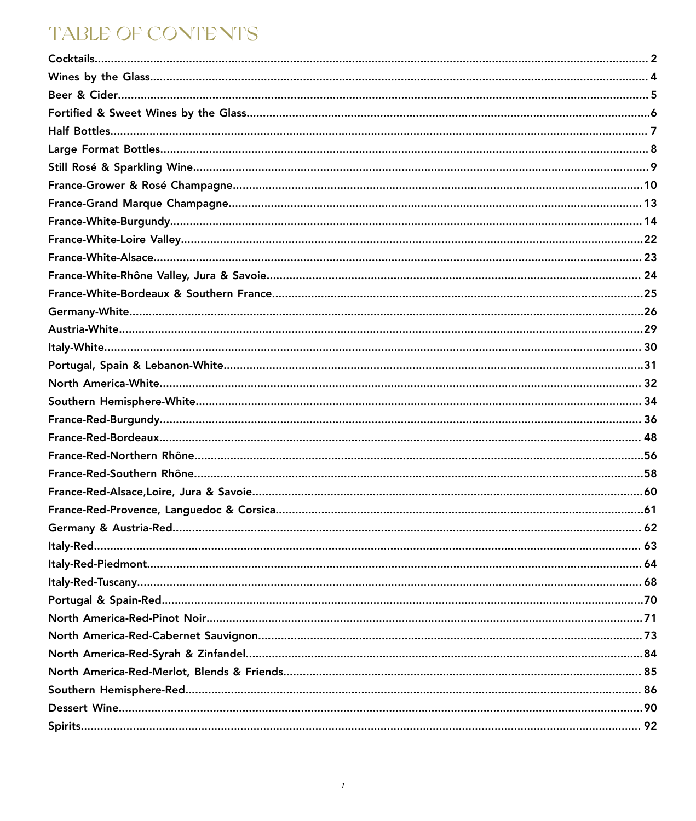## **TABLE OF CONTENTS**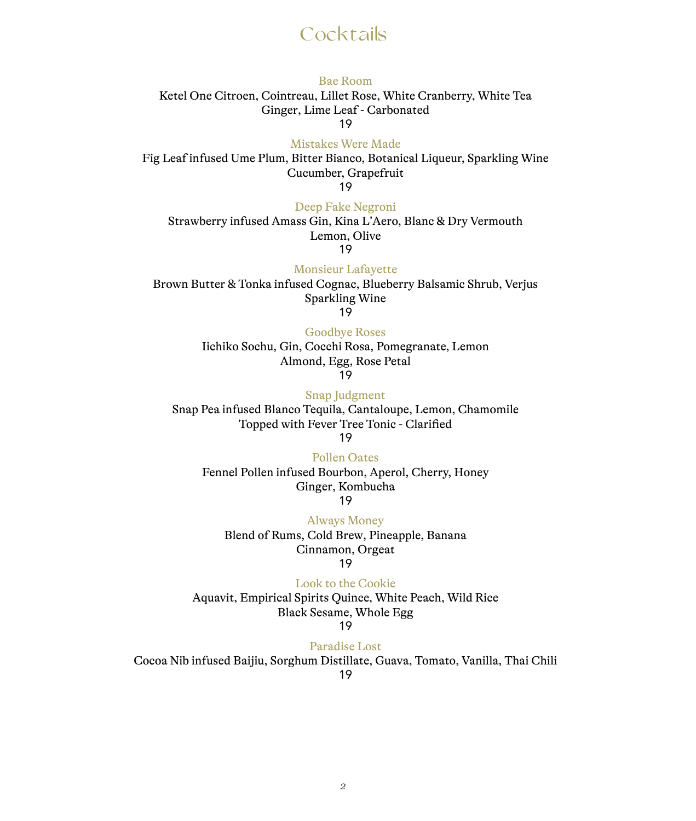## **Cocktails**

#### Bae Room Ketel One Citroen, Cointreau, Lillet Rose, White Cranberry, White Tea Ginger, Lime Leaf - Carbonated 19

Mistakes Were Made

Fig Leaf infused Ume Plum, Bitter Bianco, Botanical Liqueur, Sparkling Wine Cucumber, Grapefruit

19

#### Deep Fake Negroni

Strawberry infused Amass Gin, Kina L'Aero, Blanc & Dry Vermouth Lemon, Olive 19

Monsieur Lafayette Brown Butter & Tonka infused Cognac, Blueberry Balsamic Shrub, Verjus Sparkling Wine 19

Goodbye Roses

Iichiko Sochu, Gin, Cocchi Rosa, Pomegranate, Lemon Almond, Egg, Rose Petal 19

Snap Judgment Snap Pea infused Blanco Tequila, Cantaloupe, Lemon, Chamomile Topped with Fever Tree Tonic - Clarified 19

Pollen Oates

Fennel Pollen infused Bourbon, Aperol, Cherry, Honey Ginger, Kombucha 19

Always Money Blend of Rums, Cold Brew, Pineapple, Banana Cinnamon, Orgeat 19

Look to the Cookie Aquavit, Empirical Spirits Quince, White Peach, Wild Rice Black Sesame, Whole Egg

19

Paradise Lost

Cocoa Nib infused Baijiu, Sorghum Distillate, Guava, Tomato, Vanilla, Thai Chili

19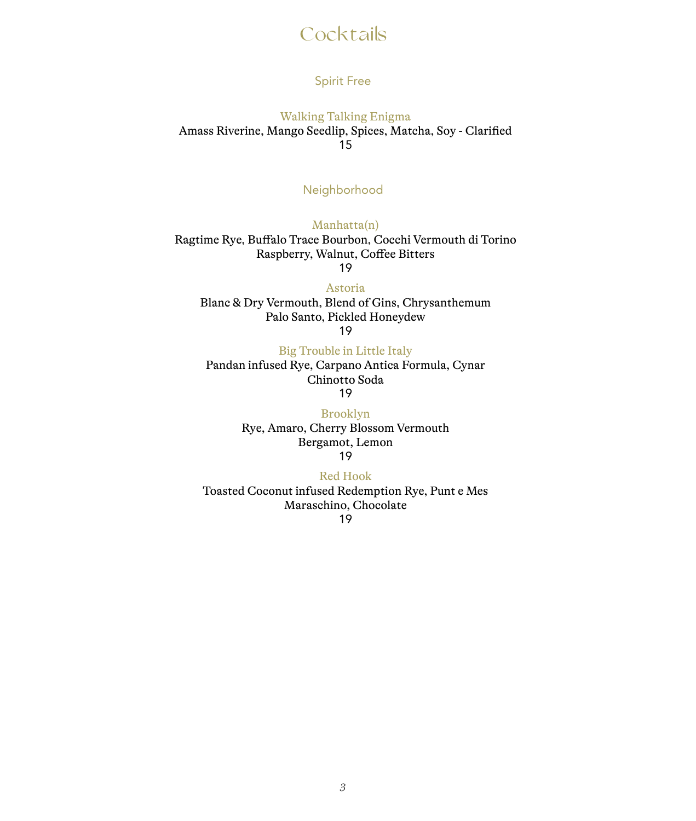## **Cocktails**

#### Spirit Free

Walking Talking Enigma Amass Riverine, Mango Seedlip, Spices, Matcha, Soy - Clarified 15

#### Neighborhood

Manhatta(n) Ragtime Rye, Buffalo Trace Bourbon, Cocchi Vermouth di Torino Raspberry, Walnut, Coffee Bitters 19

Astoria

Blanc & Dry Vermouth, Blend of Gins, Chrysanthemum Palo Santo, Pickled Honeydew 19

Big Trouble in Little Italy

Pandan infused Rye, Carpano Antica Formula, Cynar Chinotto Soda 19

> Brooklyn Rye, Amaro, Cherry Blossom Vermouth Bergamot, Lemon

19

#### Red Hook

Toasted Coconut infused Redemption Rye, Punt e Mes Maraschino, Chocolate

19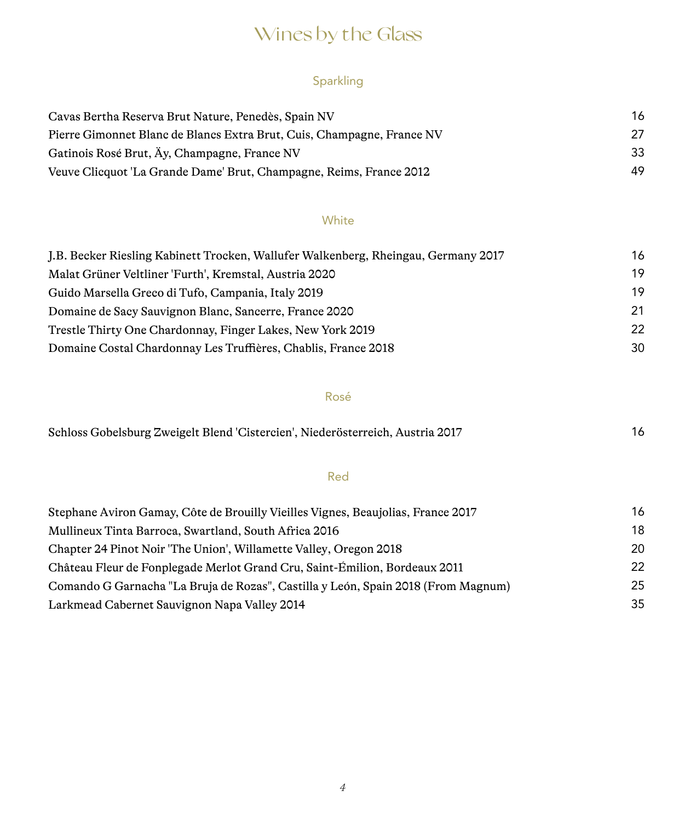# Wines by the Glass

### Sparkling

| Cavas Bertha Reserva Brut Nature, Penedès, Spain NV                    | 16 |
|------------------------------------------------------------------------|----|
| Pierre Gimonnet Blanc de Blancs Extra Brut, Cuis, Champagne, France NV | 27 |
| Gatinois Rosé Brut, Äy, Champagne, France NV                           | 33 |
| Veuve Clicquot 'La Grande Dame' Brut, Champagne, Reims, France 2012    | 49 |

#### White

| J.B. Becker Riesling Kabinett Trocken, Wallufer Walkenberg, Rheingau, Germany 2017 | 16 |
|------------------------------------------------------------------------------------|----|
| Malat Grüner Veltliner 'Furth', Kremstal, Austria 2020                             | 19 |
| Guido Marsella Greco di Tufo, Campania, Italy 2019                                 | 19 |
| Domaine de Sacy Sauvignon Blanc, Sancerre, France 2020                             | 21 |
| Trestle Thirty One Chardonnay, Finger Lakes, New York 2019                         | 22 |
| Domaine Costal Chardonnay Les Truffières, Chablis, France 2018                     | 30 |

### Rosé

| Schloss Gobelsburg Zweigelt Blend 'Cistercien', Niederösterreich, Austria 2017 |  |
|--------------------------------------------------------------------------------|--|
|--------------------------------------------------------------------------------|--|

#### Red

| Stephane Aviron Gamay, Côte de Brouilly Vieilles Vignes, Beaujolias, France 2017  | 16 |
|-----------------------------------------------------------------------------------|----|
| Mullineux Tinta Barroca, Swartland, South Africa 2016                             | 18 |
| Chapter 24 Pinot Noir 'The Union', Willamette Valley, Oregon 2018                 | 20 |
| Château Fleur de Fonplegade Merlot Grand Cru, Saint-Émilion, Bordeaux 2011        | 22 |
| Comando G Garnacha "La Bruja de Rozas", Castilla y León, Spain 2018 (From Magnum) | 25 |
| Larkmead Cabernet Sauvignon Napa Valley 2014                                      | 35 |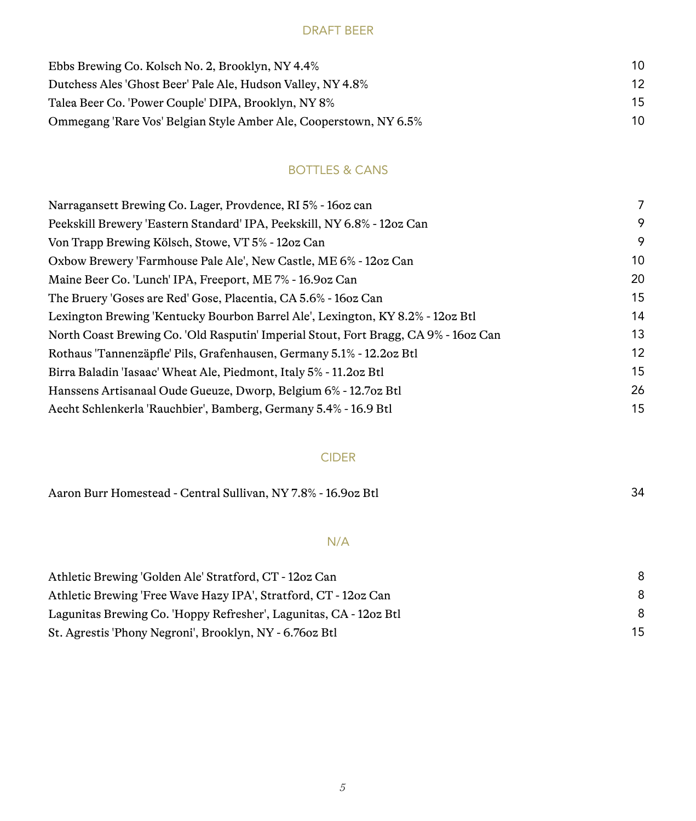#### DRAFT BEER

| Ebbs Brewing Co. Kolsch No. 2, Brooklyn, NY 4.4%                  | 10 |  |
|-------------------------------------------------------------------|----|--|
| Dutchess Ales 'Ghost Beer' Pale Ale, Hudson Valley, NY 4.8%       | 12 |  |
| Talea Beer Co. 'Power Couple' DIPA, Brooklyn, NY 8%               | 15 |  |
| Ommegang 'Rare Vos' Belgian Style Amber Ale, Cooperstown, NY 6.5% | 10 |  |

### BOTTLES & CANS

| Narragansett Brewing Co. Lager, Provdence, RI 5% - 160z can                         | 7  |
|-------------------------------------------------------------------------------------|----|
| Peekskill Brewery 'Eastern Standard' IPA, Peekskill, NY 6.8% - 12oz Can             | 9  |
| Von Trapp Brewing Kölsch, Stowe, VT 5% - 12oz Can                                   | 9  |
| Oxbow Brewery 'Farmhouse Pale Ale', New Castle, ME 6% - 12oz Can                    | 10 |
| Maine Beer Co. 'Lunch' IPA, Freeport, ME 7% - 16.90z Can                            | 20 |
| The Bruery 'Goses are Red' Gose, Placentia, CA 5.6% - 160z Can                      | 15 |
| Lexington Brewing 'Kentucky Bourbon Barrel Ale', Lexington, KY 8.2% - 12oz Btl      | 14 |
| North Coast Brewing Co. 'Old Rasputin' Imperial Stout, Fort Bragg, CA 9% - 160z Can | 13 |
| Rothaus 'Tannenzäpfle' Pils, Grafenhausen, Germany 5.1% - 12.20z Btl                | 12 |
| Birra Baladin 'Iasaac' Wheat Ale, Piedmont, Italy 5% - 11.20z Btl                   | 15 |
| Hanssens Artisanaal Oude Gueuze, Dworp, Belgium 6% - 12.7oz Btl                     | 26 |
| Aecht Schlenkerla 'Rauchbier', Bamberg, Germany 5.4% - 16.9 Btl                     | 15 |

#### CIDER

| Aaron Burr Homestead - Central Sullivan, NY 7.8% - 16.90z Btl |  |
|---------------------------------------------------------------|--|
|                                                               |  |

#### N/A

| Athletic Brewing 'Golden Ale' Stratford, CT - 12oz Can           |    |
|------------------------------------------------------------------|----|
| Athletic Brewing 'Free Wave Hazy IPA', Stratford, CT - 12oz Can  |    |
| Lagunitas Brewing Co. Hoppy Refresher', Lagunitas, CA - 12oz Btl |    |
| St. Agrestis 'Phony Negroni', Brooklyn, NY - 6.760z Btl          | 15 |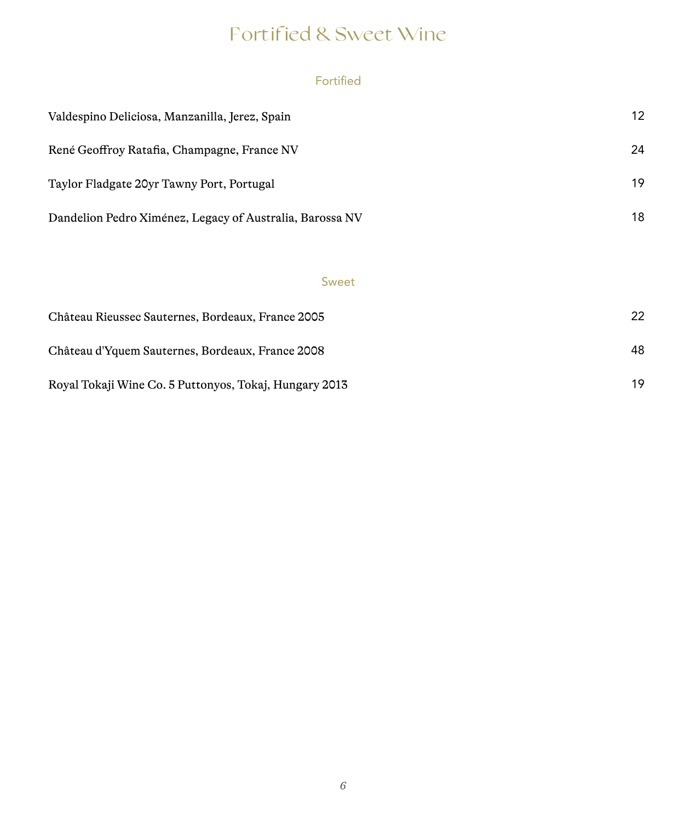# Fortified & Sweet Wine

### Fortified

| Valdespino Deliciosa, Manzanilla, Jerez, Spain           | 12 |
|----------------------------------------------------------|----|
| René Geoffroy Ratafia, Champagne, France NV              | 24 |
| Taylor Fladgate 20yr Tawny Port, Portugal                | 19 |
| Dandelion Pedro Ximénez, Legacy of Australia, Barossa NV | 18 |

### Sweet

| Château Rieussec Sauternes, Bordeaux, France 2005      | 22 |
|--------------------------------------------------------|----|
| Château d'Yquem Sauternes, Bordeaux, France 2008       | 48 |
| Royal Tokaji Wine Co. 5 Puttonyos, Tokaj, Hungary 2013 | 19 |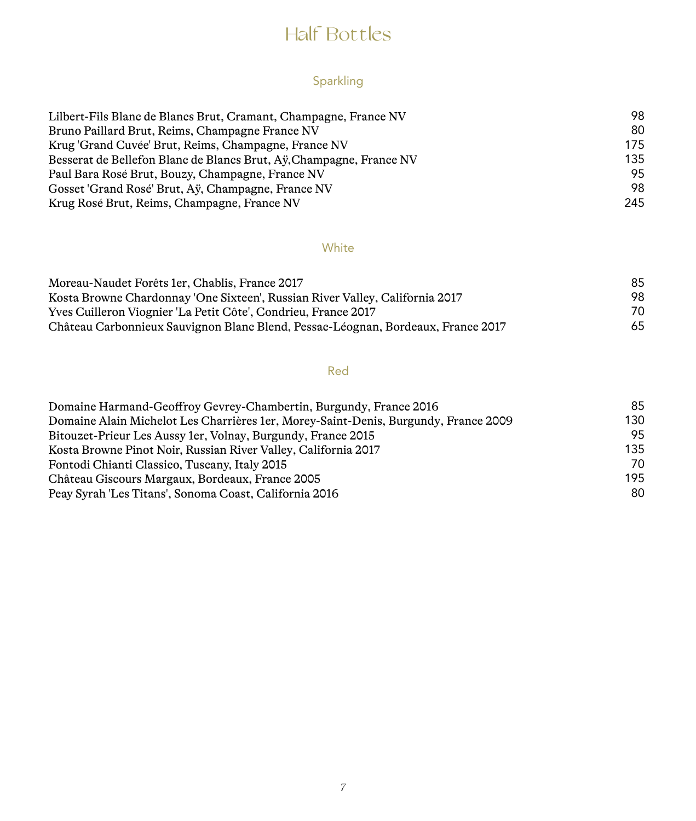## Half Bottles

### Sparkling

| Lilbert-Fils Blanc de Blancs Brut, Cramant, Champagne, France NV    | 98  |
|---------------------------------------------------------------------|-----|
| Bruno Paillard Brut, Reims, Champagne France NV                     | 80  |
| Krug 'Grand Cuvée' Brut, Reims, Champagne, France NV                | 175 |
| Besserat de Bellefon Blanc de Blancs Brut, Ay, Champagne, France NV | 135 |
| Paul Bara Rosé Brut, Bouzy, Champagne, France NV                    | 95  |
| Gosset 'Grand Rosé' Brut, Ay, Champagne, France NV                  | 98  |
| Krug Rosé Brut, Reims, Champagne, France NV                         | 245 |

#### **White**

| Moreau-Naudet Forêts 1er. Chablis. France 2017                                   | 85 |
|----------------------------------------------------------------------------------|----|
| Kosta Browne Chardonnay 'One Sixteen', Russian River Valley, California 2017     | 98 |
| Yves Cuilleron Viognier 'La Petit Côte', Condrieu, France 2017                   | 70 |
| Château Carbonnieux Sauvignon Blanc Blend, Pessac-Léognan, Bordeaux, France 2017 | 65 |

### Red

| Domaine Harmand-Geoffroy Gevrey-Chambertin, Burgundy, France 2016                   | 85  |
|-------------------------------------------------------------------------------------|-----|
| Domaine Alain Michelot Les Charrières 1er, Morey-Saint-Denis, Burgundy, France 2009 | 130 |
| Bitouzet-Prieur Les Aussy 1 er, Volnay, Burgundy, France 2015                       | 95  |
| Kosta Browne Pinot Noir, Russian River Valley, California 2017                      | 135 |
| Fontodi Chianti Classico, Tuscany, Italy 2015                                       | 70  |
| Château Giscours Margaux, Bordeaux, France 2005                                     | 195 |
| Peay Syrah 'Les Titans', Sonoma Coast, California 2016                              | 80  |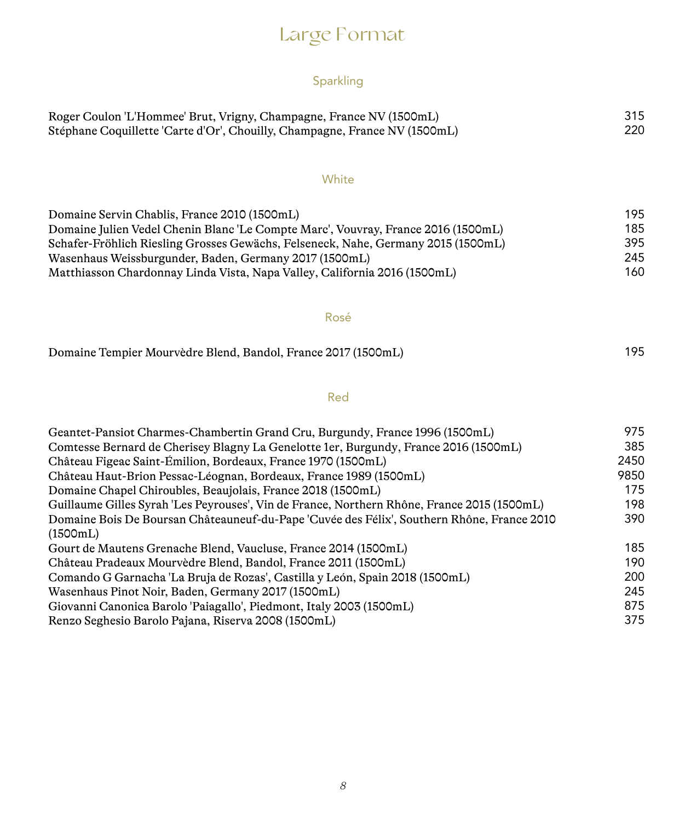# Large Format

## Sparkling

| Roger Coulon 'L'Hommee' Brut, Vrigny, Champagne, France NV (1500mL)        | 315 |
|----------------------------------------------------------------------------|-----|
| Stéphane Coquillette 'Carte d'Or', Chouilly, Champagne, France NV (1500mL) | 220 |

#### **White**

| Domaine Servin Chablis, France 2010 (1500mL)                                      | 195  |
|-----------------------------------------------------------------------------------|------|
| Domaine Julien Vedel Chenin Blanc 'Le Compte Marc', Vouvray, France 2016 (1500mL) | 185. |
| Schafer-Fröhlich Riesling Grosses Gewächs, Felseneck, Nahe, Germany 2015 (1500mL) | 395  |
| Wasenhaus Weissburgunder, Baden, Germany 2017 (1500mL)                            | 245  |
| Matthiasson Chardonnay Linda Vista, Napa Valley, California 2016 (1500mL)         | 160. |

#### Rosé

| Domaine Tempier Mourvèdre Blend, Bandol, France 2017 (1500mL) | 195 |
|---------------------------------------------------------------|-----|
|---------------------------------------------------------------|-----|

### Red

| Geantet-Pansiot Charmes-Chambertin Grand Cru, Burgundy, France 1996 (1500mL)                | 975  |
|---------------------------------------------------------------------------------------------|------|
| Comtesse Bernard de Cherisey Blagny La Genelotte 1er, Burgundy, France 2016 (1500mL)        | 385  |
| Château Figeac Saint-Émilion, Bordeaux, France 1970 (1500mL)                                | 2450 |
| Château Haut-Brion Pessac-Léognan, Bordeaux, France 1989 (1500mL)                           | 9850 |
| Domaine Chapel Chiroubles, Beaujolais, France 2018 (1500mL)                                 | 175  |
| Guillaume Gilles Syrah 'Les Peyrouses', Vin de France, Northern Rhône, France 2015 (1500mL) | 198  |
| Domaine Bois De Boursan Châteauneuf-du-Pape 'Cuvée des Félix', Southern Rhône, France 2010  | 390  |
| (1500mL)                                                                                    |      |
| Gourt de Mautens Grenache Blend, Vaucluse, France 2014 (1500mL)                             | 185  |
| Château Pradeaux Mourvèdre Blend, Bandol, France 2011 (1500mL)                              | 190  |
| Comando G Garnacha 'La Bruja de Rozas', Castilla y León, Spain 2018 (1500mL)                | 200  |
| Wasenhaus Pinot Noir, Baden, Germany 2017 (1500mL)                                          | 245  |
| Giovanni Canonica Barolo 'Paiagallo', Piedmont, Italy 2003 (1500mL)                         | 875  |
| Renzo Seghesio Barolo Pajana, Riserva 2008 (1500mL)                                         | 375  |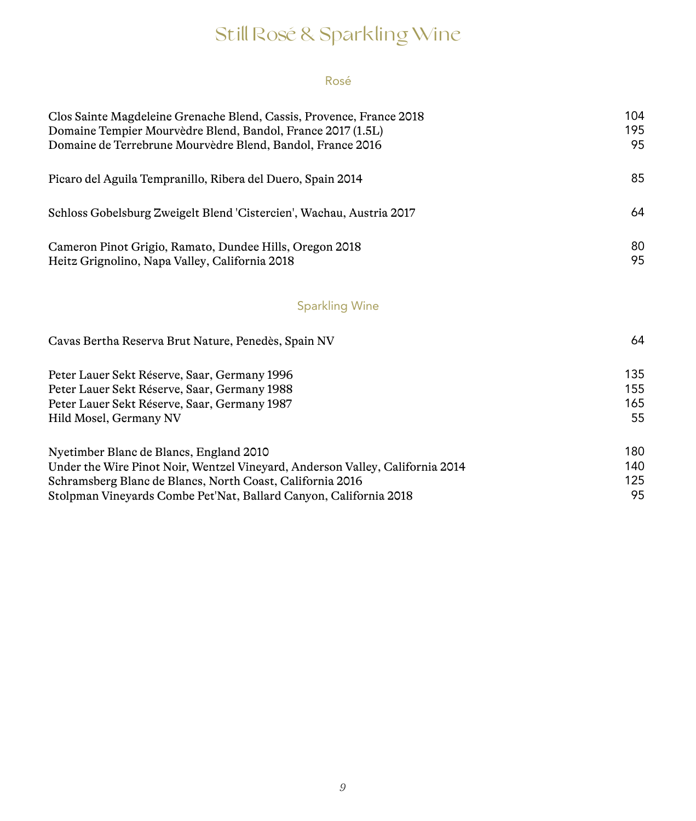# Still Rosé & Sparkling Wine

### Rosé

| Clos Sainte Magdeleine Grenache Blend, Cassis, Provence, France 2018          | 104 |
|-------------------------------------------------------------------------------|-----|
| Domaine Tempier Mourvèdre Blend, Bandol, France 2017 (1.5L)                   | 195 |
| Domaine de Terrebrune Mourvèdre Blend, Bandol, France 2016                    | 95  |
| Picaro del Aguila Tempranillo, Ribera del Duero, Spain 2014                   | 85  |
| Schloss Gobelsburg Zweigelt Blend 'Cistercien', Wachau, Austria 2017          | 64  |
| Cameron Pinot Grigio, Ramato, Dundee Hills, Oregon 2018                       | 80  |
| Heitz Grignolino, Napa Valley, California 2018                                | 95  |
| <b>Sparkling Wine</b>                                                         |     |
| Cavas Bertha Reserva Brut Nature, Penedès, Spain NV                           | 64  |
| Peter Lauer Sekt Réserve, Saar, Germany 1996                                  | 135 |
| Peter Lauer Sekt Réserve, Saar, Germany 1988                                  | 155 |
| Peter Lauer Sekt Réserve, Saar, Germany 1987                                  | 165 |
| Hild Mosel, Germany NV                                                        | 55  |
| Nyetimber Blanc de Blancs, England 2010                                       | 180 |
| Under the Wire Pinot Noir, Wentzel Vineyard, Anderson Valley, California 2014 | 140 |
| Schramsberg Blanc de Blancs, North Coast, California 2016                     | 125 |
| Stolpman Vineyards Combe Pet'Nat, Ballard Canyon, California 2018             | 95  |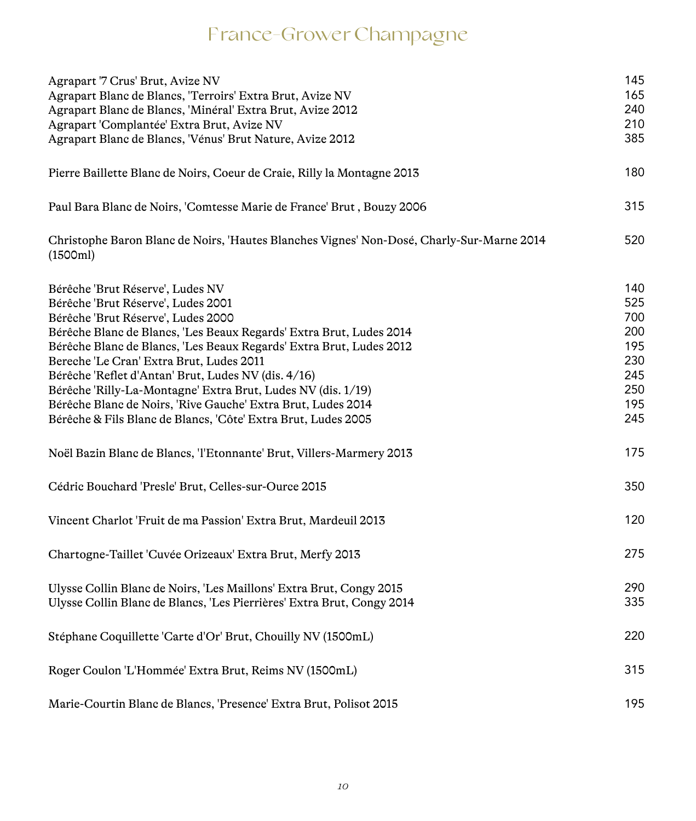# France-Grower Champagne

| Agrapart '7 Crus' Brut, Avize NV                                                                      | 145 |
|-------------------------------------------------------------------------------------------------------|-----|
| Agrapart Blanc de Blancs, 'Terroirs' Extra Brut, Avize NV                                             | 165 |
| Agrapart Blanc de Blancs, 'Minéral' Extra Brut, Avize 2012                                            | 240 |
| Agrapart 'Complantée' Extra Brut, Avize NV                                                            | 210 |
| Agrapart Blanc de Blancs, 'Vénus' Brut Nature, Avize 2012                                             | 385 |
| Pierre Baillette Blanc de Noirs, Coeur de Craie, Rilly la Montagne 2013                               | 180 |
| Paul Bara Blanc de Noirs, 'Comtesse Marie de France' Brut, Bouzy 2006                                 | 315 |
| Christophe Baron Blanc de Noirs, 'Hautes Blanches Vignes' Non-Dosé, Charly-Sur-Marne 2014<br>(1500ml) | 520 |
| Bérêche 'Brut Réserve', Ludes NV                                                                      | 140 |
| Bérêche 'Brut Réserve', Ludes 2001                                                                    | 525 |
| Bérêche 'Brut Réserve', Ludes 2000                                                                    | 700 |
| Bérêche Blanc de Blancs, 'Les Beaux Regards' Extra Brut, Ludes 2014                                   | 200 |
| Bérêche Blanc de Blancs, 'Les Beaux Regards' Extra Brut, Ludes 2012                                   | 195 |
| Bereche 'Le Cran' Extra Brut, Ludes 2011                                                              | 230 |
| Bérêche 'Reflet d'Antan' Brut, Ludes NV (dis. 4/16)                                                   | 245 |
| Bérêche 'Rilly-La-Montagne' Extra Brut, Ludes NV (dis. 1/19)                                          | 250 |
| Bérêche Blanc de Noirs, 'Rive Gauche' Extra Brut, Ludes 2014                                          | 195 |
| Bérêche & Fils Blanc de Blancs, 'Côte' Extra Brut, Ludes 2005                                         | 245 |
| Noël Bazin Blanc de Blancs, 'l'Etonnante' Brut, Villers-Marmery 2013                                  | 175 |
| Cédric Bouchard 'Presle' Brut, Celles-sur-Ource 2015                                                  | 350 |
| Vincent Charlot 'Fruit de ma Passion' Extra Brut, Mardeuil 2013                                       | 120 |
| Chartogne-Taillet 'Cuvée Orizeaux' Extra Brut, Merfy 2013                                             | 275 |
| Ulysse Collin Blanc de Noirs, 'Les Maillons' Extra Brut, Congy 2015                                   | 290 |
| Ulysse Collin Blanc de Blancs, 'Les Pierrières' Extra Brut, Congy 2014                                | 335 |
| Stéphane Coquillette 'Carte d'Or' Brut, Chouilly NV (1500mL)                                          | 220 |
| Roger Coulon 'L'Hommée' Extra Brut, Reims NV (1500mL)                                                 | 315 |
| Marie-Courtin Blanc de Blancs, 'Presence' Extra Brut, Polisot 2015                                    | 195 |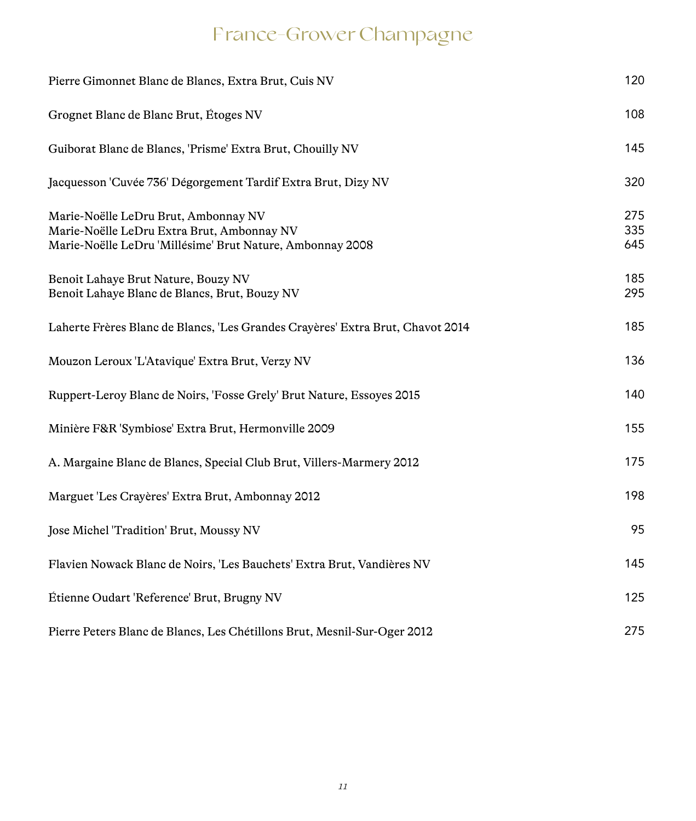# France-Grower Champagne

| Pierre Gimonnet Blanc de Blancs, Extra Brut, Cuis NV                                                                                            | 120               |
|-------------------------------------------------------------------------------------------------------------------------------------------------|-------------------|
| Grognet Blanc de Blanc Brut, Étoges NV                                                                                                          | 108               |
| Guiborat Blanc de Blancs, 'Prisme' Extra Brut, Chouilly NV                                                                                      | 145               |
| Jacquesson 'Cuvée 736' Dégorgement Tardif Extra Brut, Dizy NV                                                                                   | 320               |
| Marie-Noëlle LeDru Brut, Ambonnay NV<br>Marie-Noëlle LeDru Extra Brut, Ambonnay NV<br>Marie-Noëlle LeDru 'Millésime' Brut Nature, Ambonnay 2008 | 275<br>335<br>645 |
| Benoit Lahaye Brut Nature, Bouzy NV<br>Benoit Lahaye Blanc de Blancs, Brut, Bouzy NV                                                            | 185<br>295        |
| Laherte Frères Blanc de Blancs, 'Les Grandes Crayères' Extra Brut, Chavot 2014                                                                  | 185               |
| Mouzon Leroux 'L'Atavique' Extra Brut, Verzy NV                                                                                                 | 136               |
| Ruppert-Leroy Blanc de Noirs, 'Fosse Grely' Brut Nature, Essoyes 2015                                                                           | 140               |
| Minière F&R 'Symbiose' Extra Brut, Hermonville 2009                                                                                             | 155               |
| A. Margaine Blanc de Blancs, Special Club Brut, Villers-Marmery 2012                                                                            | 175               |
| Marguet 'Les Crayères' Extra Brut, Ambonnay 2012                                                                                                | 198               |
| Jose Michel 'Tradition' Brut, Moussy NV                                                                                                         | 95                |
| Flavien Nowack Blanc de Noirs, 'Les Bauchets' Extra Brut, Vandières NV                                                                          | 145               |
| Étienne Oudart 'Reference' Brut, Brugny NV                                                                                                      | 125               |
| Pierre Peters Blanc de Blancs, Les Chétillons Brut, Mesnil-Sur-Oger 2012                                                                        | 275               |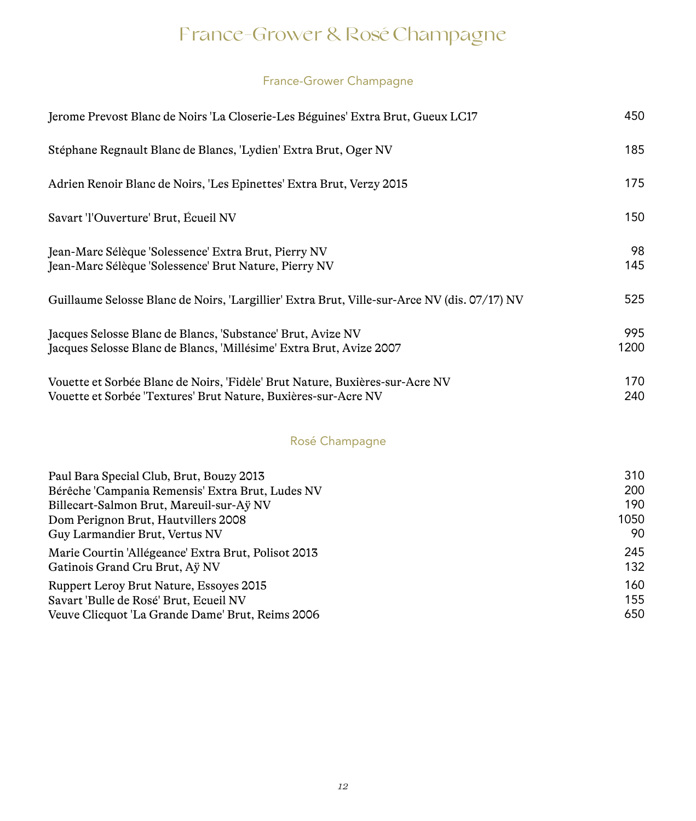# France-Grower & Rosé Champagne

### France-Grower Champagne

| Jerome Prevost Blanc de Noirs 'La Closerie-Les Béguines' Extra Brut, Gueux LC17                                                                | 450         |
|------------------------------------------------------------------------------------------------------------------------------------------------|-------------|
| Stéphane Regnault Blanc de Blancs, 'Lydien' Extra Brut, Oger NV                                                                                | 185         |
| Adrien Renoir Blanc de Noirs, 'Les Epinettes' Extra Brut, Verzy 2015                                                                           | 175         |
| Savart 'l'Ouverture' Brut, Écueil NV                                                                                                           | 150         |
| Jean-Marc Sélèque 'Solessence' Extra Brut, Pierry NV<br>Jean-Marc Sélèque 'Solessence' Brut Nature, Pierry NV                                  | 98<br>145   |
| Guillaume Selosse Blanc de Noirs, 'Largillier' Extra Brut, Ville-sur-Arce NV (dis. 07/17) NV                                                   | 525         |
| Jacques Selosse Blanc de Blancs, 'Substance' Brut, Avize NV<br>Jacques Selosse Blanc de Blancs, 'Millésime' Extra Brut, Avize 2007             | 995<br>1200 |
| Vouette et Sorbée Blanc de Noirs, 'Fidèle' Brut Nature, Buxières-sur-Acre NV<br>Vouette et Sorbée 'Textures' Brut Nature, Buxières-sur-Acre NV | 170<br>240  |

### Rosé Champagne

| Paul Bara Special Club, Brut, Bouzy 2013            | 310  |
|-----------------------------------------------------|------|
| Bérêche 'Campania Remensis' Extra Brut, Ludes NV    | 200  |
| Billecart-Salmon Brut, Mareuil-sur-Aÿ NV            | 190  |
| Dom Perignon Brut, Hautvillers 2008                 | 1050 |
| Guy Larmandier Brut, Vertus NV                      | 90   |
| Marie Courtin 'Allégeance' Extra Brut, Polisot 2013 | 245  |
| Gatinois Grand Cru Brut, Aÿ NV                      | 132  |
| Ruppert Leroy Brut Nature, Essoyes 2015             | 160  |
| Savart 'Bulle de Rosé' Brut, Ecueil NV              | 155  |
| Veuve Clicquot 'La Grande Dame' Brut, Reims 2006    | 650  |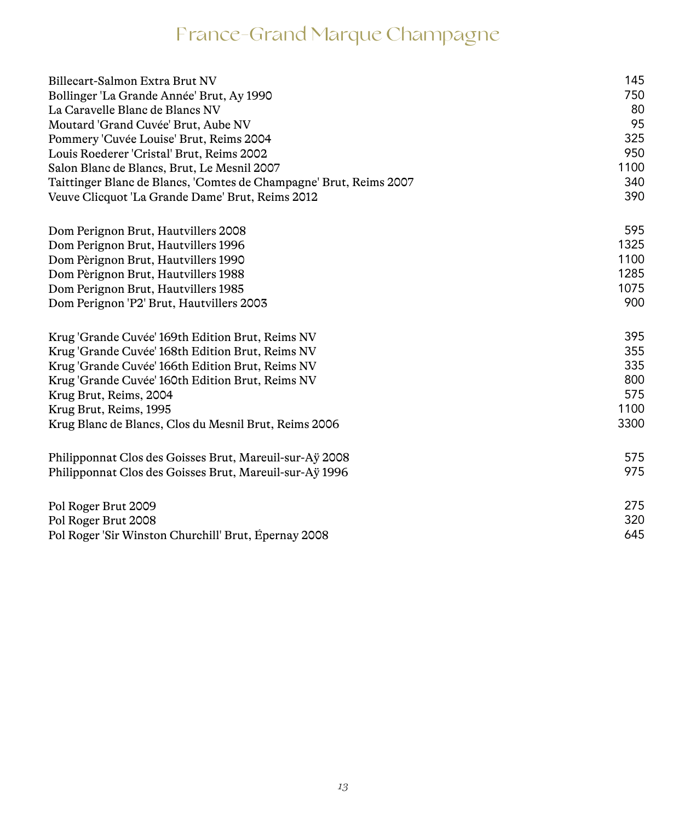# France-Grand Marque Champagne

| Billecart-Salmon Extra Brut NV                                     | 145  |
|--------------------------------------------------------------------|------|
| Bollinger 'La Grande Année' Brut, Ay 1990                          | 750  |
| La Caravelle Blanc de Blancs NV                                    | 80   |
| Moutard 'Grand Cuvée' Brut, Aube NV                                | 95   |
| Pommery 'Cuvée Louise' Brut, Reims 2004                            | 325  |
| Louis Roederer 'Cristal' Brut, Reims 2002                          | 950  |
| Salon Blanc de Blancs, Brut, Le Mesnil 2007                        | 1100 |
| Taittinger Blanc de Blancs, 'Comtes de Champagne' Brut, Reims 2007 | 340  |
| Veuve Clicquot 'La Grande Dame' Brut, Reims 2012                   | 390  |
| Dom Perignon Brut, Hautvillers 2008                                | 595  |
| Dom Perignon Brut, Hautvillers 1996                                | 1325 |
| Dom Pèrignon Brut, Hautvillers 1990                                | 1100 |
| Dom Pèrignon Brut, Hautvillers 1988                                | 1285 |
| Dom Perignon Brut, Hautvillers 1985                                | 1075 |
| Dom Perignon 'P2' Brut, Hautvillers 2003                           | 900  |
| Krug 'Grande Cuvée' 169th Edition Brut, Reims NV                   | 395  |
| Krug 'Grande Cuvée' 168th Edition Brut, Reims NV                   | 355  |
| Krug 'Grande Cuvée' 166th Edition Brut, Reims NV                   | 335  |
| Krug 'Grande Cuvée' 160th Edition Brut, Reims NV                   | 800  |
| Krug Brut, Reims, 2004                                             | 575  |
| Krug Brut, Reims, 1995                                             | 1100 |
| Krug Blanc de Blancs, Clos du Mesnil Brut, Reims 2006              | 3300 |
| Philipponnat Clos des Goisses Brut, Mareuil-sur-Aÿ 2008            | 575  |
| Philipponnat Clos des Goisses Brut, Mareuil-sur-Aÿ 1996            | 975  |
| Pol Roger Brut 2009                                                | 275  |
| Pol Roger Brut 2008                                                | 320  |
| Pol Roger 'Sir Winston Churchill' Brut, Épernay 2008               | 645  |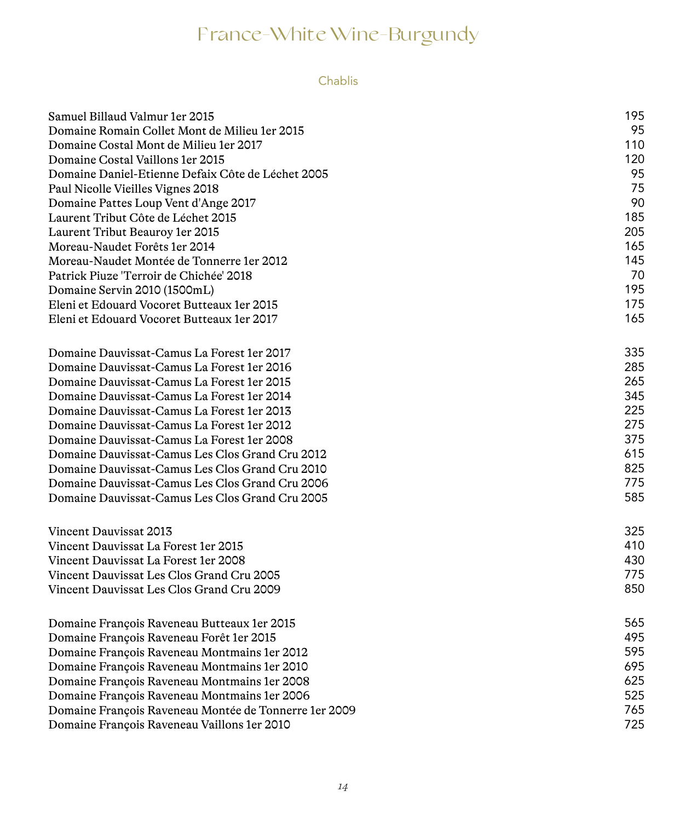### Chablis

| Samuel Billaud Valmur 1 er 2015<br>Domaine Romain Collet Mont de Milieu 1 er 2015 | 195<br>95  |
|-----------------------------------------------------------------------------------|------------|
| Domaine Costal Mont de Milieu 1 er 2017                                           | 110        |
| Domaine Costal Vaillons 1 er 2015                                                 | 120        |
|                                                                                   | 95         |
| Domaine Daniel-Etienne Defaix Côte de Léchet 2005                                 | 75         |
| Paul Nicolle Vieilles Vignes 2018                                                 | 90         |
| Domaine Pattes Loup Vent d'Ange 2017                                              |            |
| Laurent Tribut Côte de Léchet 2015                                                | 185<br>205 |
| Laurent Tribut Beauroy 1er 2015                                                   |            |
| Moreau-Naudet Forêts 1er 2014                                                     | 165        |
| Moreau-Naudet Montée de Tonnerre 1 er 2012                                        | 145<br>70  |
| Patrick Piuze 'Terroir de Chichée' 2018                                           | 195        |
| Domaine Servin 2010 (1500mL)                                                      |            |
| Eleni et Edouard Vocoret Butteaux 1 er 2015                                       | 175        |
| Eleni et Edouard Vocoret Butteaux 1 er 2017                                       | 165        |
| Domaine Dauvissat-Camus La Forest 1er 2017                                        | 335        |
| Domaine Dauvissat-Camus La Forest 1er 2016                                        | 285        |
| Domaine Dauvissat-Camus La Forest 1 er 2015                                       | 265        |
| Domaine Dauvissat-Camus La Forest 1 er 2014                                       | 345        |
| Domaine Dauvissat-Camus La Forest 1er 2013                                        | 225        |
| Domaine Dauvissat-Camus La Forest 1er 2012                                        | 275        |
| Domaine Dauvissat-Camus La Forest 1er 2008                                        | 375        |
| Domaine Dauvissat-Camus Les Clos Grand Cru 2012                                   | 615        |
| Domaine Dauvissat-Camus Les Clos Grand Cru 2010                                   | 825        |
| Domaine Dauvissat-Camus Les Clos Grand Cru 2006                                   | 775        |
| Domaine Dauvissat-Camus Les Clos Grand Cru 2005                                   | 585        |
| Vincent Dauvissat 2013                                                            | 325        |
| Vincent Dauvissat La Forest 1er 2015                                              | 410        |
| Vincent Dauvissat La Forest 1er 2008                                              | 430        |
| Vincent Dauvissat Les Clos Grand Cru 2005                                         | 775        |
| Vincent Dauvissat Les Clos Grand Cru 2009                                         | 850        |
|                                                                                   |            |
| Domaine François Raveneau Butteaux 1er 2015                                       | 565        |
| Domaine François Raveneau Forêt 1er 2015                                          | 495        |
| Domaine François Raveneau Montmains 1er 2012                                      | 595        |
| Domaine François Raveneau Montmains 1er 2010                                      | 695        |
| Domaine François Raveneau Montmains 1er 2008                                      | 625        |
| Domaine François Raveneau Montmains 1er 2006                                      | 525        |
| Domaine François Raveneau Montée de Tonnerre 1er 2009                             | 765        |
| Domaine François Raveneau Vaillons 1er 2010                                       | 725        |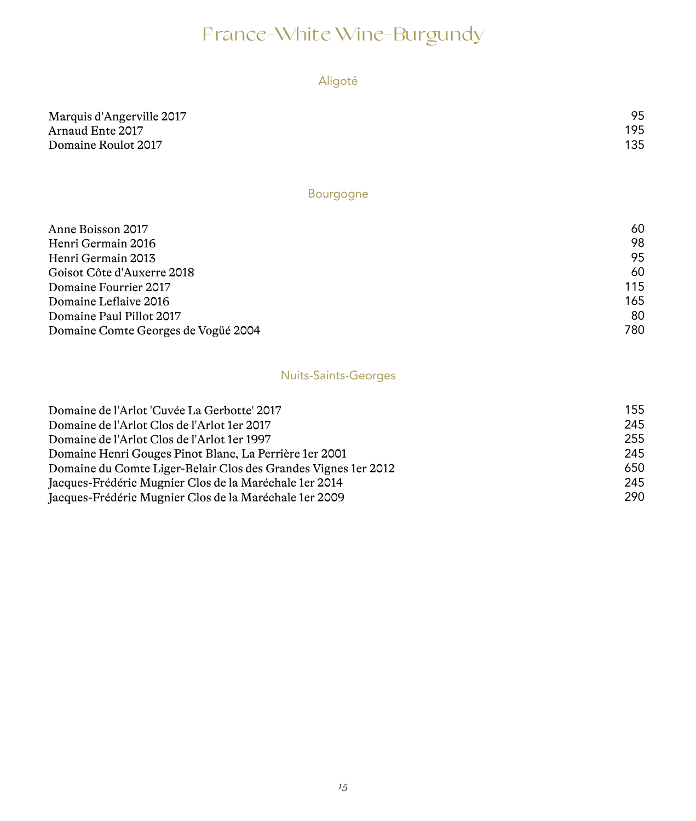### Aligoté

| Marquis d'Angerville 2017 | 95  |
|---------------------------|-----|
| Arnaud Ente 2017          | 195 |
| Domaine Roulot 2017       | 135 |

### Bourgogne

| 60  |
|-----|
| 98  |
| 95  |
| 60  |
| 115 |
| 165 |
| 80  |
| 780 |
|     |

### Nuits-Saints-Georges

| Domaine de l'Arlot 'Cuvée La Gerbotte' 2017                     | 155 |
|-----------------------------------------------------------------|-----|
| Domaine de l'Arlot Clos de l'Arlot 1 er 2017                    | 245 |
| Domaine de l'Arlot Clos de l'Arlot 1 er 1997                    | 255 |
| Domaine Henri Gouges Pinot Blanc, La Perrière 1 er 2001         | 245 |
| Domaine du Comte Liger-Belair Clos des Grandes Vignes 1 er 2012 | 650 |
| Jacques-Frédéric Mugnier Clos de la Maréchale 1 er 2014         | 245 |
| Jacques-Frédéric Mugnier Clos de la Maréchale 1 er 2009         | 290 |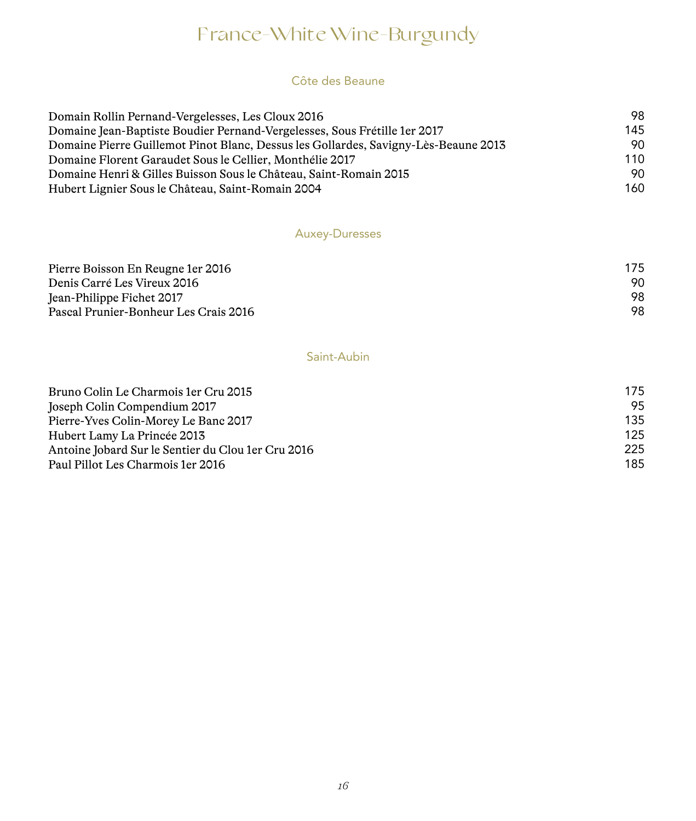#### Côte des Beaune

| Domain Rollin Pernand-Vergelesses, Les Cloux 2016                                   | 98  |
|-------------------------------------------------------------------------------------|-----|
| Domaine Jean-Baptiste Boudier Pernand-Vergelesses, Sous Frétille 1 er 2017          | 145 |
| Domaine Pierre Guillemot Pinot Blanc, Dessus les Gollardes, Savigny-Lès-Beaune 2013 | 90. |
| Domaine Florent Garaudet Sous le Cellier, Monthélie 2017                            | 110 |
| Domaine Henri & Gilles Buisson Sous le Château, Saint-Romain 2015                   | 90. |
| Hubert Lignier Sous le Château, Saint-Romain 2004                                   | 160 |

### Auxey-Duresses

| Pierre Boisson En Reugne 1 er 2016    | 175 |
|---------------------------------------|-----|
| Denis Carré Les Vireux 2016           | 90. |
| Jean-Philippe Fichet 2017             | 98. |
| Pascal Prunier-Bonheur Les Crais 2016 | 98. |

### Saint-Aubin

| Bruno Colin Le Charmois 1 er Cru 2015               | 175 |
|-----------------------------------------------------|-----|
| Joseph Colin Compendium 2017                        | 95  |
| Pierre-Yves Colin-Morey Le Banc 2017                | 135 |
| Hubert Lamy La Princée 2013                         | 125 |
| Antoine Jobard Sur le Sentier du Clou 1 er Cru 2016 | 225 |
| Paul Pillot Les Charmois 1 er 2016                  | 185 |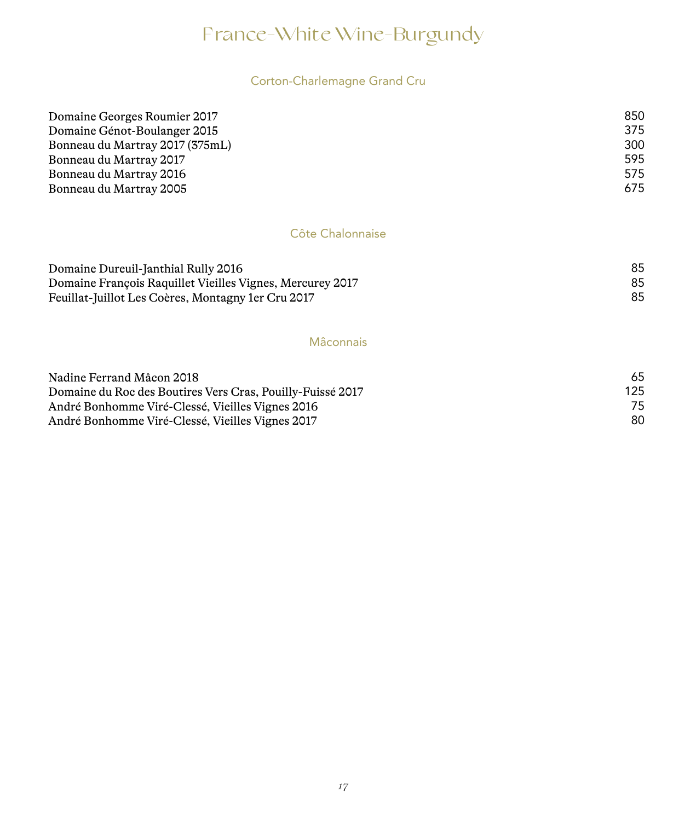### Corton-Charlemagne Grand Cru

| Domaine Georges Roumier 2017    | 850 |
|---------------------------------|-----|
| Domaine Génot-Boulanger 2015    | 375 |
| Bonneau du Martray 2017 (375mL) | 300 |
| Bonneau du Martray 2017         | 595 |
| Bonneau du Martray 2016         | 575 |
| Bonneau du Martray 2005         | 675 |

### Côte Chalonnaise

| Domaine Dureuil-Janthial Rully 2016                       |  |
|-----------------------------------------------------------|--|
| Domaine François Raquillet Vieilles Vignes, Mercurey 2017 |  |
| Feuillat-Juillot Les Coères, Montagny 1 er Cru 2017       |  |

#### Mâconnais

| Nadine Ferrand Mâcon 2018                                  | 65  |  |
|------------------------------------------------------------|-----|--|
| Domaine du Roc des Boutires Vers Cras, Pouilly-Fuissé 2017 | 125 |  |
| André Bonhomme Viré-Clessé, Vieilles Vignes 2016           | 75  |  |
| André Bonhomme Viré-Clessé, Vieilles Vignes 2017           | 80  |  |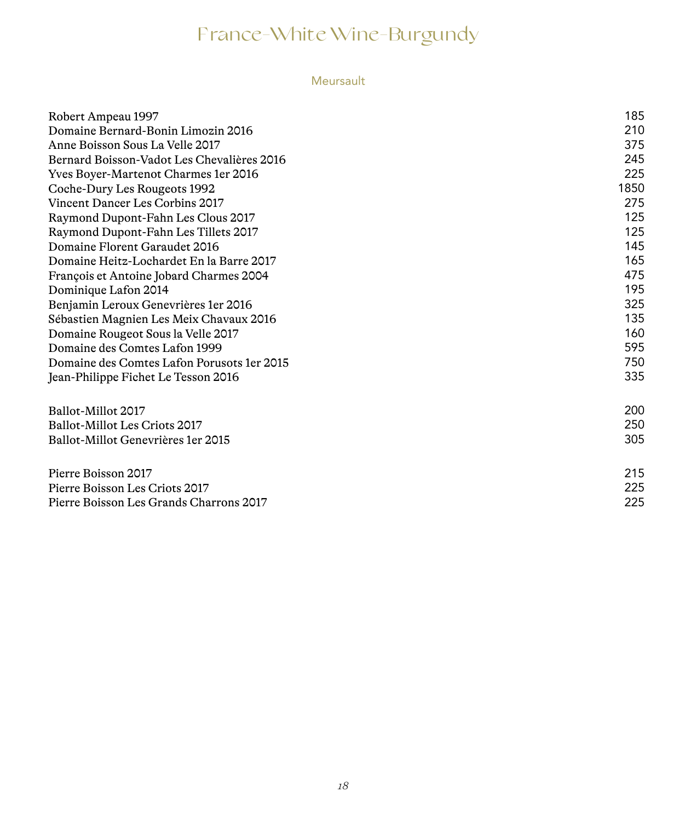### Meursault

| Robert Ampeau 1997                          | 185  |
|---------------------------------------------|------|
| Domaine Bernard-Bonin Limozin 2016          | 210  |
| Anne Boisson Sous La Velle 2017             | 375  |
| Bernard Boisson-Vadot Les Chevalières 2016  | 245  |
| Yves Boyer-Martenot Charmes 1 er 2016       | 225  |
| Coche-Dury Les Rougeots 1992                | 1850 |
| Vincent Dancer Les Corbins 2017             | 275  |
| Raymond Dupont-Fahn Les Clous 2017          | 125  |
| Raymond Dupont-Fahn Les Tillets 2017        | 125  |
| Domaine Florent Garaudet 2016               | 145  |
| Domaine Heitz-Lochardet En la Barre 2017    | 165  |
| François et Antoine Jobard Charmes 2004     | 475  |
| Dominique Lafon 2014                        | 195  |
| Benjamin Leroux Genevrières 1 er 2016       | 325  |
| Sébastien Magnien Les Meix Chavaux 2016     | 135  |
| Domaine Rougeot Sous la Velle 2017          | 160  |
| Domaine des Comtes Lafon 1999               | 595  |
| Domaine des Comtes Lafon Porusots 1 er 2015 | 750  |
| Jean-Philippe Fichet Le Tesson 2016         | 335  |
| Ballot-Millot 2017                          | 200  |
| Ballot-Millot Les Criots 2017               | 250  |
| Ballot-Millot Genevrières 1 er 2015         | 305  |
| Pierre Boisson 2017                         | 215  |
| Pierre Boisson Les Criots 2017              | 225  |
| Pierre Boisson Les Grands Charrons 2017     | 225  |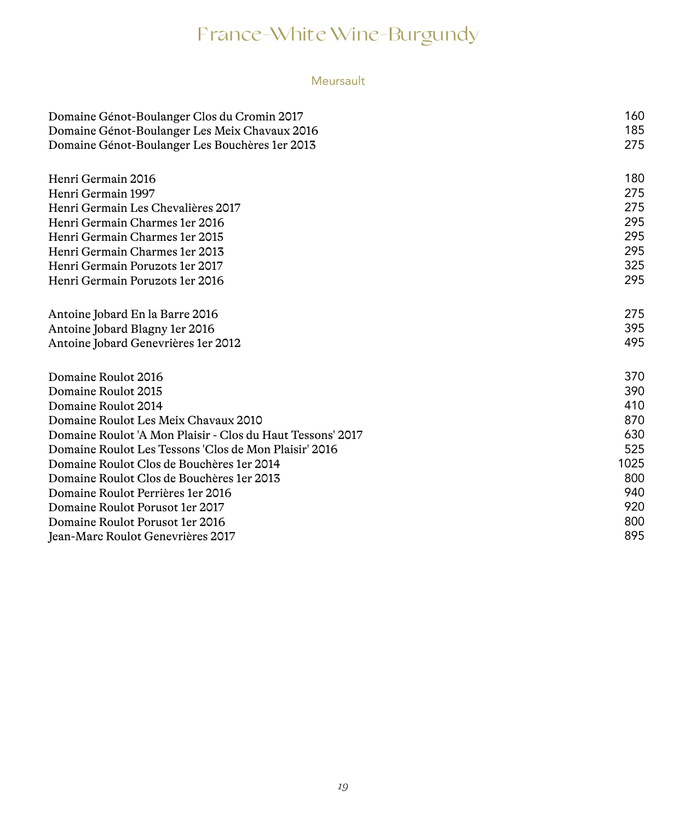### Meursault

| Domaine Génot-Boulanger Clos du Cromin 2017                | 160  |
|------------------------------------------------------------|------|
| Domaine Génot-Boulanger Les Meix Chavaux 2016              | 185  |
| Domaine Génot-Boulanger Les Bouchères 1 er 2013            | 275  |
| Henri Germain 2016                                         | 180  |
| Henri Germain 1997                                         | 275  |
| Henri Germain Les Chevalières 2017                         | 275  |
| Henri Germain Charmes 1er 2016                             | 295  |
| Henri Germain Charmes 1 er 2015                            | 295  |
| Henri Germain Charmes 1 er 2013                            | 295  |
| Henri Germain Poruzots 1 er 2017                           | 325  |
| Henri Germain Poruzots 1 er 2016                           | 295  |
| Antoine Jobard En la Barre 2016                            | 275  |
| Antoine Jobard Blagny 1er 2016                             | 395  |
| Antoine Jobard Genevrières 1 er 2012                       | 495  |
| Domaine Roulot 2016                                        | 370  |
| Domaine Roulot 2015                                        | 390  |
| Domaine Roulot 2014                                        | 410  |
| Domaine Roulot Les Meix Chavaux 2010                       | 870  |
| Domaine Roulot 'A Mon Plaisir - Clos du Haut Tessons' 2017 | 630  |
| Domaine Roulot Les Tessons 'Clos de Mon Plaisir' 2016      | 525  |
| Domaine Roulot Clos de Bouchères 1 er 2014                 | 1025 |
| Domaine Roulot Clos de Bouchères 1 er 2013                 | 800  |
| Domaine Roulot Perrières 1 er 2016                         | 940  |
| Domaine Roulot Porusot 1 er 2017                           | 920  |
| Domaine Roulot Porusot 1er 2016                            | 800  |
| Jean-Marc Roulot Genevrières 2017                          | 895  |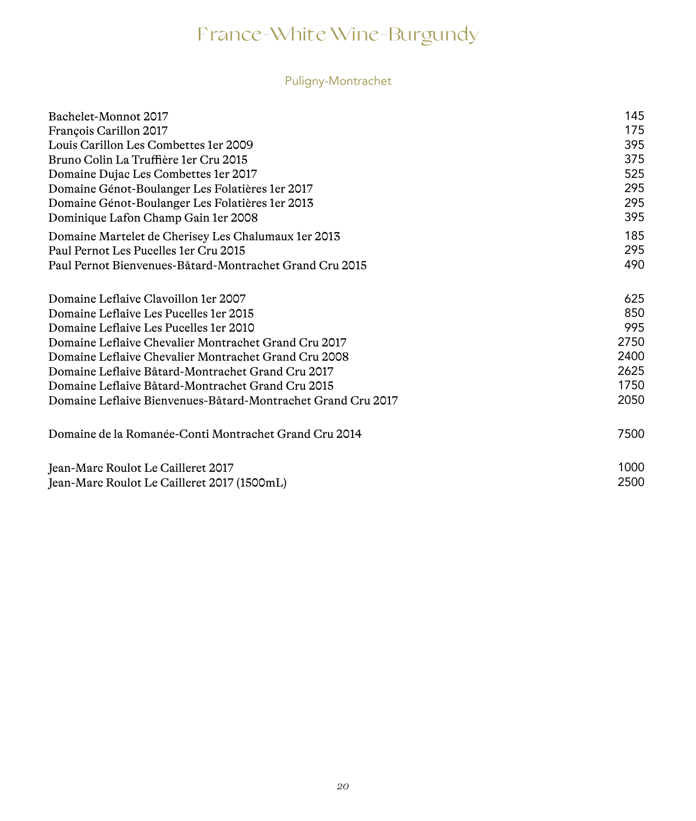### Puligny-Montrachet

| Bachelet-Monnot 2017                                         | 145  |
|--------------------------------------------------------------|------|
| François Carillon 2017                                       | 175  |
| Louis Carillon Les Combettes 1er 2009                        | 395  |
| Bruno Colin La Truffière 1 er Cru 2015                       | 375  |
| Domaine Dujac Les Combettes 1 er 2017                        | 525  |
| Domaine Génot-Boulanger Les Folatières 1 er 2017             | 295  |
| Domaine Génot-Boulanger Les Folatières 1 er 2013             | 295  |
| Dominique Lafon Champ Gain 1er 2008                          | 395  |
| Domaine Martelet de Cherisey Les Chalumaux 1 er 2013         | 185  |
| Paul Pernot Les Pucelles 1 er Cru 2015                       | 295  |
| Paul Pernot Bienvenues-Bâtard-Montrachet Grand Cru 2015      | 490  |
| Domaine Leflaive Clavoillon 1er 2007                         | 625  |
| Domaine Leflaive Les Pucelles 1 er 2015                      | 850  |
| Domaine Leflaive Les Pucelles 1 er 2010                      | 995  |
| Domaine Leflaive Chevalier Montrachet Grand Cru 2017         | 2750 |
| Domaine Leflaive Chevalier Montrachet Grand Cru 2008         | 2400 |
| Domaine Leflaive Bâtard-Montrachet Grand Cru 2017            | 2625 |
| Domaine Leflaive Bâtard-Montrachet Grand Cru 2015            | 1750 |
| Domaine Leflaive Bienvenues-Bâtard-Montrachet Grand Cru 2017 | 2050 |
| Domaine de la Romanée-Conti Montrachet Grand Cru 2014        | 7500 |
| Jean-Marc Roulot Le Cailleret 2017                           | 1000 |
| Jean-Marc Roulot Le Cailleret 2017 (1500mL)                  | 2500 |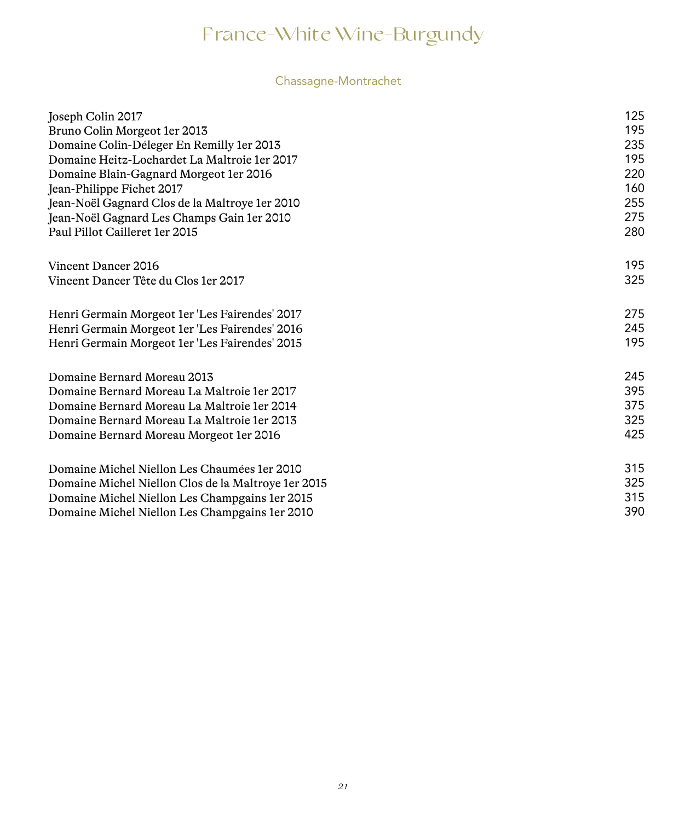### Chassagne-Montrachet

| Joseph Colin 2017                                   | 125 |
|-----------------------------------------------------|-----|
| Bruno Colin Morgeot 1er 2013                        | 195 |
| Domaine Colin-Déleger En Remilly 1 er 2013          | 235 |
| Domaine Heitz-Lochardet La Maltroie 1er 2017        | 195 |
| Domaine Blain-Gagnard Morgeot 1 er 2016             | 220 |
| Jean-Philippe Fichet 2017                           | 160 |
| Jean-Noël Gagnard Clos de la Maltroye 1er 2010      | 255 |
| Jean-Noël Gagnard Les Champs Gain 1er 2010          | 275 |
| Paul Pillot Cailleret 1er 2015                      | 280 |
| Vincent Dancer 2016                                 | 195 |
| Vincent Dancer Tête du Clos 1 er 2017               | 325 |
| Henri Germain Morgeot 1er 'Les Fairendes' 2017      | 275 |
| Henri Germain Morgeot 1er 'Les Fairendes' 2016      | 245 |
| Henri Germain Morgeot 1er 'Les Fairendes' 2015      | 195 |
| Domaine Bernard Moreau 2013                         | 245 |
| Domaine Bernard Moreau La Maltroie 1 er 2017        | 395 |
| Domaine Bernard Moreau La Maltroie 1 er 2014        | 375 |
| Domaine Bernard Moreau La Maltroie 1 er 2013        | 325 |
| Domaine Bernard Moreau Morgeot 1er 2016             | 425 |
| Domaine Michel Niellon Les Chaumées 1er 2010        | 315 |
| Domaine Michel Niellon Clos de la Maltroye 1er 2015 | 325 |
| Domaine Michel Niellon Les Champgains 1er 2015      | 315 |
| Domaine Michel Niellon Les Champgains 1 er 2010     | 390 |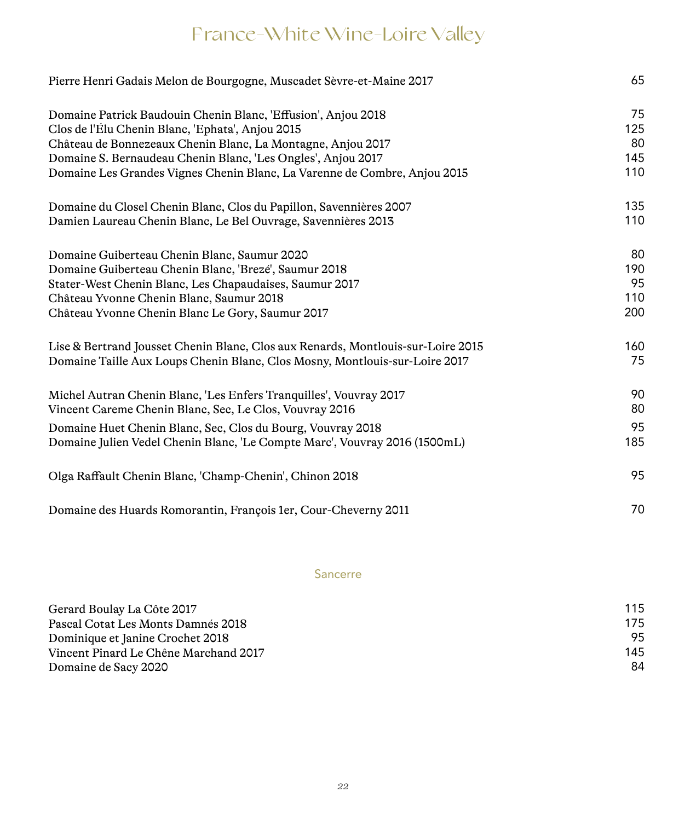# France-White Wine-Loire Valley

| Pierre Henri Gadais Melon de Bourgogne, Muscadet Sèvre-et-Maine 2017                                              | 65        |
|-------------------------------------------------------------------------------------------------------------------|-----------|
| Domaine Patrick Baudouin Chenin Blanc, 'Effusion', Anjou 2018<br>Clos de l'Élu Chenin Blanc, 'Ephata', Anjou 2015 | 75<br>125 |
| Château de Bonnezeaux Chenin Blanc, La Montagne, Anjou 2017                                                       | 80        |
| Domaine S. Bernaudeau Chenin Blanc, 'Les Ongles', Anjou 2017                                                      | 145       |
| Domaine Les Grandes Vignes Chenin Blanc, La Varenne de Combre, Anjou 2015                                         | 110       |
| Domaine du Closel Chenin Blanc, Clos du Papillon, Savennières 2007                                                | 135       |
| Damien Laureau Chenin Blanc, Le Bel Ouvrage, Savennières 2013                                                     | 110       |
| Domaine Guiberteau Chenin Blanc, Saumur 2020                                                                      | 80        |
| Domaine Guiberteau Chenin Blanc, 'Brezé', Saumur 2018                                                             | 190       |
| Stater-West Chenin Blanc, Les Chapaudaises, Saumur 2017                                                           | 95        |
| Château Yvonne Chenin Blanc, Saumur 2018                                                                          | 110       |
| Château Yvonne Chenin Blanc Le Gory, Saumur 2017                                                                  | 200       |
| Lise & Bertrand Jousset Chenin Blanc, Clos aux Renards, Montlouis-sur-Loire 2015                                  | 160       |
| Domaine Taille Aux Loups Chenin Blanc, Clos Mosny, Montlouis-sur-Loire 2017                                       | 75        |
| Michel Autran Chenin Blanc, 'Les Enfers Tranquilles', Vouvray 2017                                                | 90        |
| Vincent Careme Chenin Blanc, Sec. Le Clos, Vouvray 2016                                                           | 80        |
| Domaine Huet Chenin Blanc, Sec, Clos du Bourg, Vouvray 2018                                                       | 95        |
| Domaine Julien Vedel Chenin Blanc, 'Le Compte Marc', Vouvray 2016 (1500mL)                                        | 185       |
| Olga Raffault Chenin Blanc, 'Champ-Chenin', Chinon 2018                                                           | 95        |
| Domaine des Huards Romorantin, François 1er, Cour-Cheverny 2011                                                   | 70        |

### Sancerre

| Gerard Boulay La Côte 2017            | 115 |
|---------------------------------------|-----|
| Pascal Cotat Les Monts Damnés 2018    | 175 |
| Dominique et Janine Crochet 2018      | 95  |
| Vincent Pinard Le Chêne Marchand 2017 | 145 |
| Domaine de Sacy 2020                  | 84  |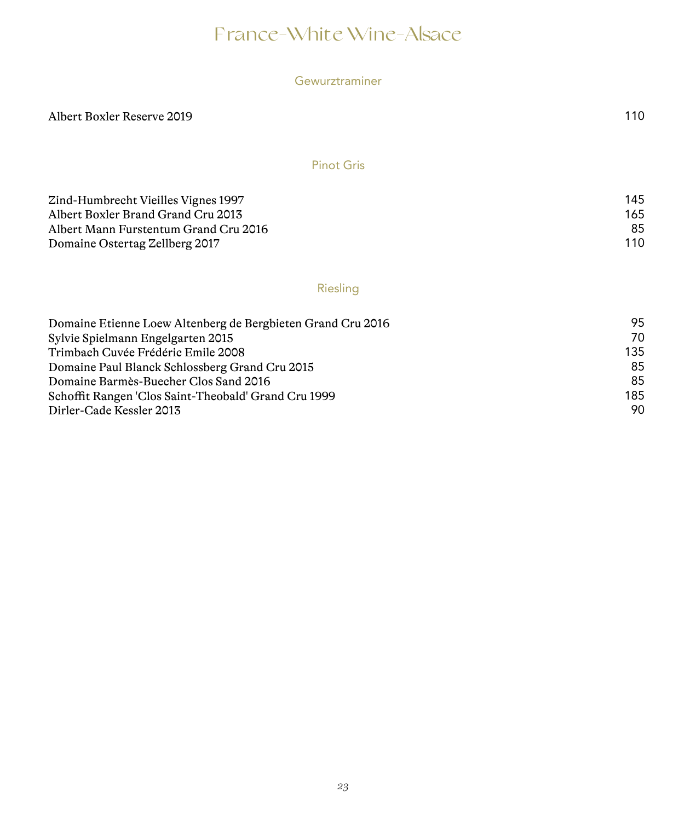## France-White Wine-Alsace

|  | Gewurztraminer |
|--|----------------|
|  |                |

Albert Boxler Reserve 2019 110

Pinot Gris

| Zind-Humbrecht Vieilles Vignes 1997   | 145 |
|---------------------------------------|-----|
| Albert Boxler Brand Grand Cru 2013    | 165 |
| Albert Mann Furstentum Grand Cru 2016 | 85  |
| Domaine Ostertag Zellberg 2017        | 110 |

### Riesling

| Domaine Etienne Loew Altenberg de Bergbieten Grand Cru 2016 | 95. |
|-------------------------------------------------------------|-----|
| Sylvie Spielmann Engelgarten 2015                           | 70  |
| Trimbach Cuvée Frédéric Emile 2008                          | 135 |
| Domaine Paul Blanck Schlossberg Grand Cru 2015              | 85  |
| Domaine Barmès-Buecher Clos Sand 2016                       | 85  |
| Schoffit Rangen 'Clos Saint-Theobald' Grand Cru 1999        | 185 |
| Dirler-Cade Kessler 2013                                    | 90  |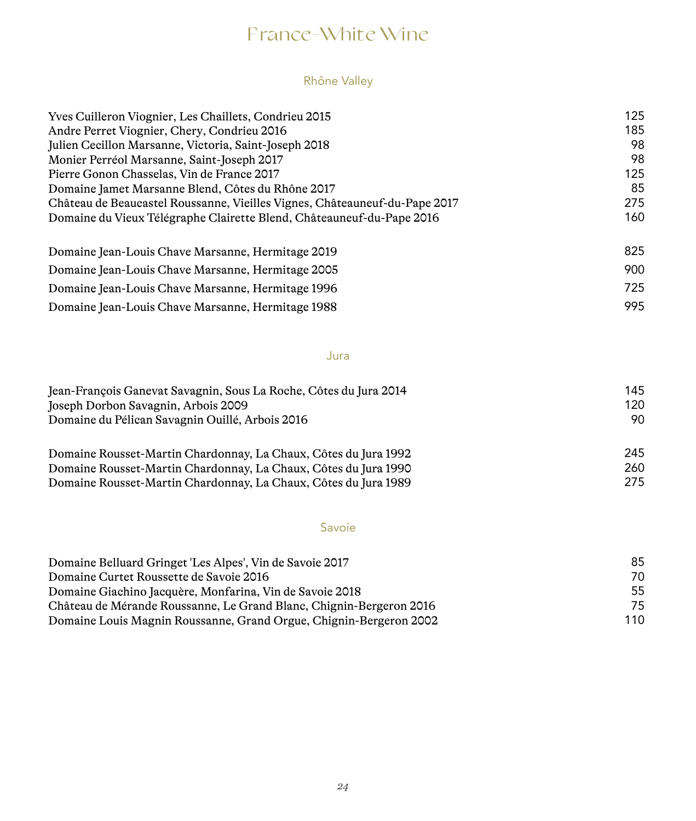## France-White Wine

### Rhône Valley

| 125 |
|-----|
| 185 |
| 98  |
| 98  |
| 125 |
| 85  |
| 275 |
| 160 |
| 825 |
| 900 |
| 725 |
| 995 |
|     |

Jura

| Jean-François Ganevat Savagnin, Sous La Roche, Côtes du Jura 2014 | 145 |
|-------------------------------------------------------------------|-----|
| Joseph Dorbon Savagnin, Arbois 2009                               | 120 |
| Domaine du Pélican Savagnin Quillé, Arbois 2016                   | 90  |
| Domaine Rousset-Martin Chardonnay, La Chaux, Côtes du Jura 1992   | 245 |

| Domaine Rousset-Martin Chardonnay, La Chaux, Côtes du Jura 1990 | 260 |
|-----------------------------------------------------------------|-----|
| Domaine Rousset-Martin Chardonnay, La Chaux, Côtes du Jura 1989 | 275 |

Savoie

| Domaine Belluard Gringet 'Les Alpes', Vin de Savoie 2017            | 85  |
|---------------------------------------------------------------------|-----|
| Domaine Curtet Roussette de Savoie 2016                             | 70  |
| Domaine Giachino Jacquère, Monfarina, Vin de Savoie 2018            | 55  |
| Château de Mérande Roussanne, Le Grand Blanc, Chignin-Bergeron 2016 | 75  |
| Domaine Louis Magnin Roussanne, Grand Orgue, Chignin-Bergeron 2002  | 110 |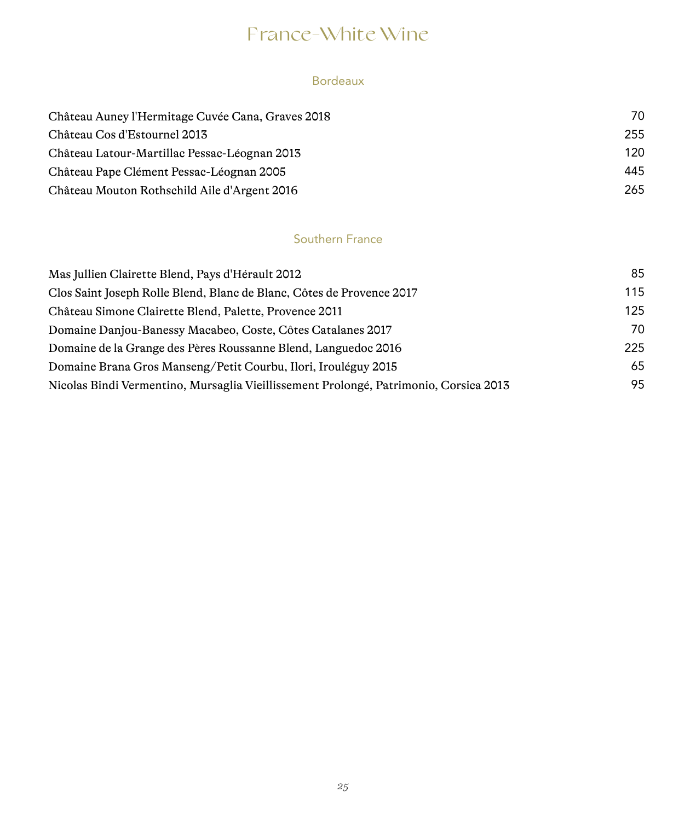## France-White Wine

### Bordeaux

| Château Auney l'Hermitage Cuvée Cana, Graves 2018 | 70  |
|---------------------------------------------------|-----|
| Château Cos d'Estournel 2013                      | 255 |
| Château Latour-Martillac Pessac-Léognan 2013      | 120 |
| Château Pape Clément Pessac-Léognan 2005          | 445 |
| Château Mouton Rothschild Aile d'Argent 2016      | 265 |

### Southern France

| 85  |
|-----|
| 115 |
| 125 |
| 70  |
| 225 |
| 65  |
| 95  |
|     |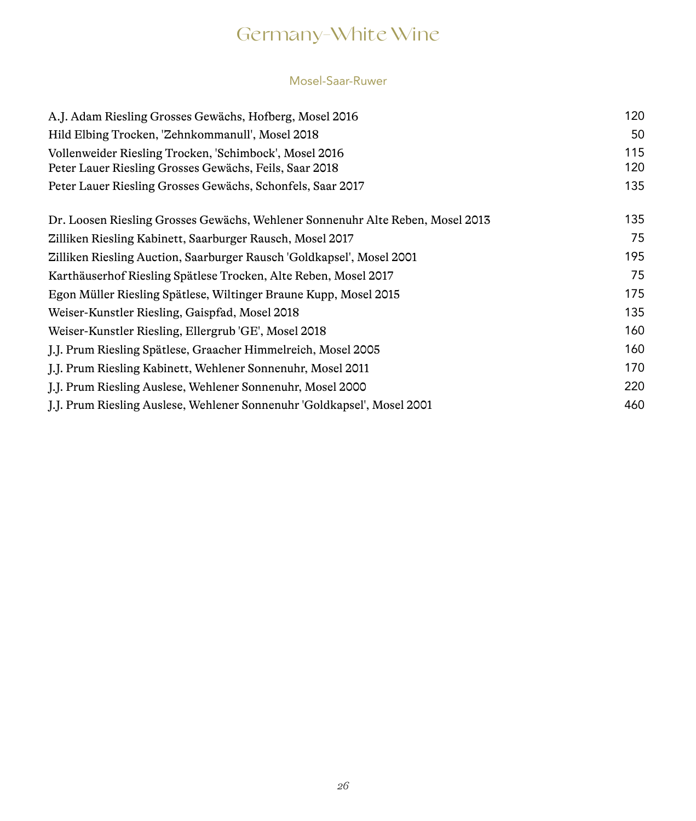# Germany-White Wine

#### Mosel-Saar-Ruwer

| A.J. Adam Riesling Grosses Gewächs, Hofberg, Mosel 2016                        | 120 |
|--------------------------------------------------------------------------------|-----|
| Hild Elbing Trocken, 'Zehnkommanull', Mosel 2018                               | 50  |
| Vollenweider Riesling Trocken, 'Schimbock', Mosel 2016                         | 115 |
| Peter Lauer Riesling Grosses Gewächs, Feils, Saar 2018                         | 120 |
| Peter Lauer Riesling Grosses Gewächs, Schonfels, Saar 2017                     | 135 |
| Dr. Loosen Riesling Grosses Gewächs, Wehlener Sonnenuhr Alte Reben, Mosel 2013 | 135 |
| Zilliken Riesling Kabinett, Saarburger Rausch, Mosel 2017                      | 75  |
| Zilliken Riesling Auction, Saarburger Rausch 'Goldkapsel', Mosel 2001          | 195 |
| Karthäuserhof Riesling Spätlese Trocken, Alte Reben, Mosel 2017                | 75  |
| Egon Müller Riesling Spätlese, Wiltinger Braune Kupp, Mosel 2015               | 175 |
| Weiser-Kunstler Riesling, Gaispfad, Mosel 2018                                 | 135 |
| Weiser-Kunstler Riesling, Ellergrub 'GE', Mosel 2018                           | 160 |
| J.J. Prum Riesling Spätlese, Graacher Himmelreich, Mosel 2005                  | 160 |
| J.J. Prum Riesling Kabinett, Wehlener Sonnenuhr, Mosel 2011                    | 170 |
| J.J. Prum Riesling Auslese, Wehlener Sonnenuhr, Mosel 2000                     | 220 |
| J.J. Prum Riesling Auslese, Wehlener Sonnenuhr 'Goldkapsel', Mosel 2001        | 460 |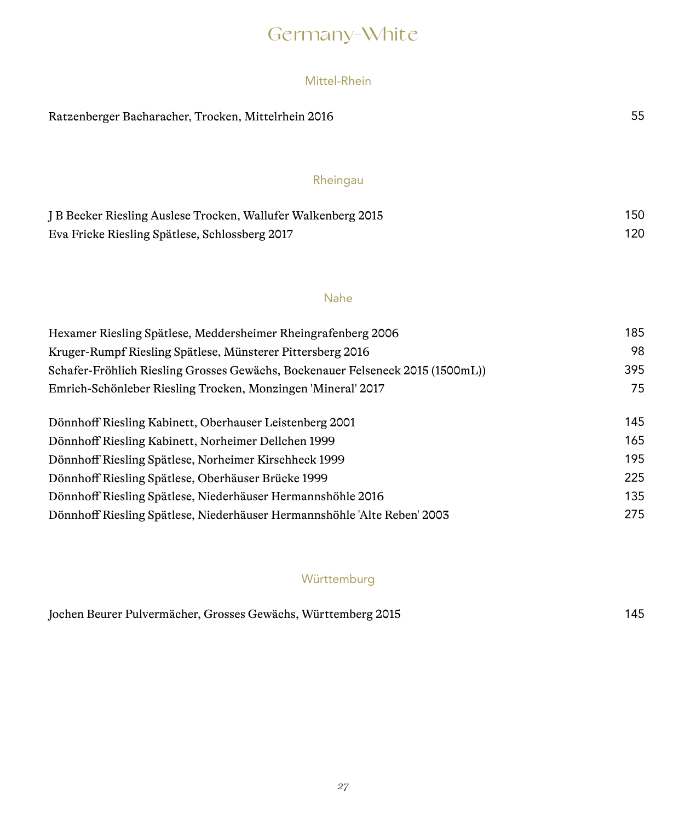# Germany-White

### Mittel-Rhein

| Ratzenberger Bacharacher, Trocken, Mittelrhein 2016                            | 55  |
|--------------------------------------------------------------------------------|-----|
| Rheingau                                                                       |     |
| J B Becker Riesling Auslese Trocken, Wallufer Walkenberg 2015                  | 150 |
| Eva Fricke Riesling Spätlese, Schlossberg 2017                                 | 120 |
|                                                                                |     |
| <b>Nahe</b>                                                                    |     |
| Hexamer Riesling Spätlese, Meddersheimer Rheingrafenberg 2006                  | 185 |
| Kruger-Rumpf Riesling Spätlese, Münsterer Pittersberg 2016                     | 98  |
| Schafer-Fröhlich Riesling Grosses Gewächs, Bockenauer Felseneck 2015 (1500mL)) | 395 |
| Emrich-Schönleber Riesling Trocken, Monzingen 'Mineral' 2017                   | 75  |
| Dönnhoff Riesling Kabinett, Oberhauser Leistenberg 2001                        | 145 |
| Dönnhoff Riesling Kabinett, Norheimer Dellchen 1999                            | 165 |
| Dönnhoff Riesling Spätlese, Norheimer Kirschheck 1999                          | 195 |
| Dönnhoff Riesling Spätlese, Oberhäuser Brücke 1999                             | 225 |
| Dönnhoff Riesling Spätlese, Niederhäuser Hermannshöhle 2016                    | 135 |
| Dönnhoff Riesling Spätlese, Niederhäuser Hermannshöhle 'Alte Reben' 2003       | 275 |

### Württemburg

| Jochen Beurer Pulvermächer, Grosses Gewächs, Württemberg 2015 |  | 145 |
|---------------------------------------------------------------|--|-----|
|---------------------------------------------------------------|--|-----|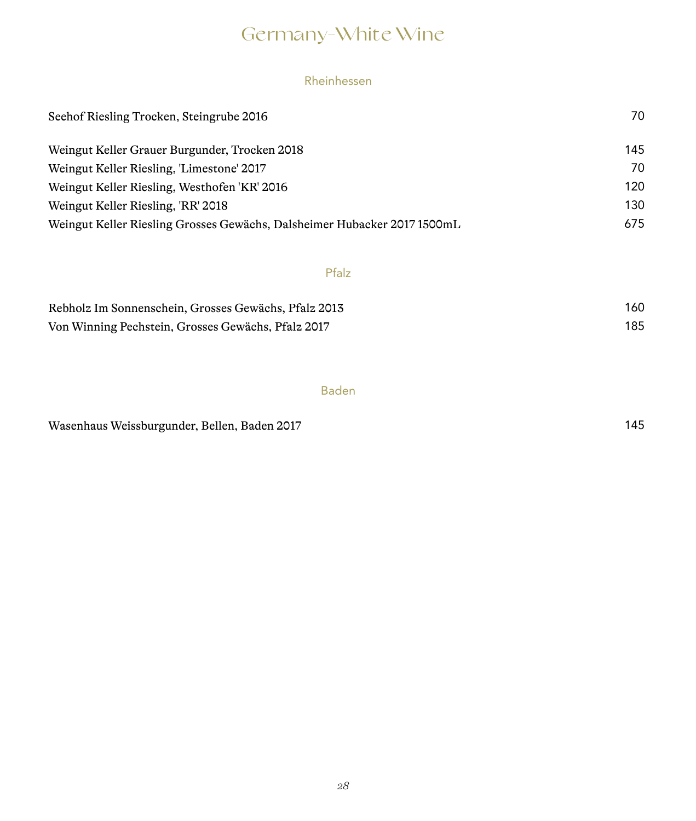# Germany-White Wine

### Rheinhessen

| Seehof Riesling Trocken, Steingrube 2016                                 | 70  |
|--------------------------------------------------------------------------|-----|
| Weingut Keller Grauer Burgunder, Trocken 2018                            | 145 |
| Weingut Keller Riesling, 'Limestone' 2017                                | 70  |
| Weingut Keller Riesling, Westhofen 'KR' 2016                             | 120 |
| Weingut Keller Riesling, 'RR' 2018                                       | 130 |
| Weingut Keller Riesling Grosses Gewächs, Dalsheimer Hubacker 2017 1500mL | 675 |

### Pfalz

| Rebholz Im Sonnenschein, Grosses Gewächs, Pfalz 2013 | 160 |
|------------------------------------------------------|-----|
| Von Winning Pechstein, Grosses Gewächs, Pfalz 2017   | 185 |

#### Baden

Wasenhaus Weissburgunder, Bellen, Baden 2017 145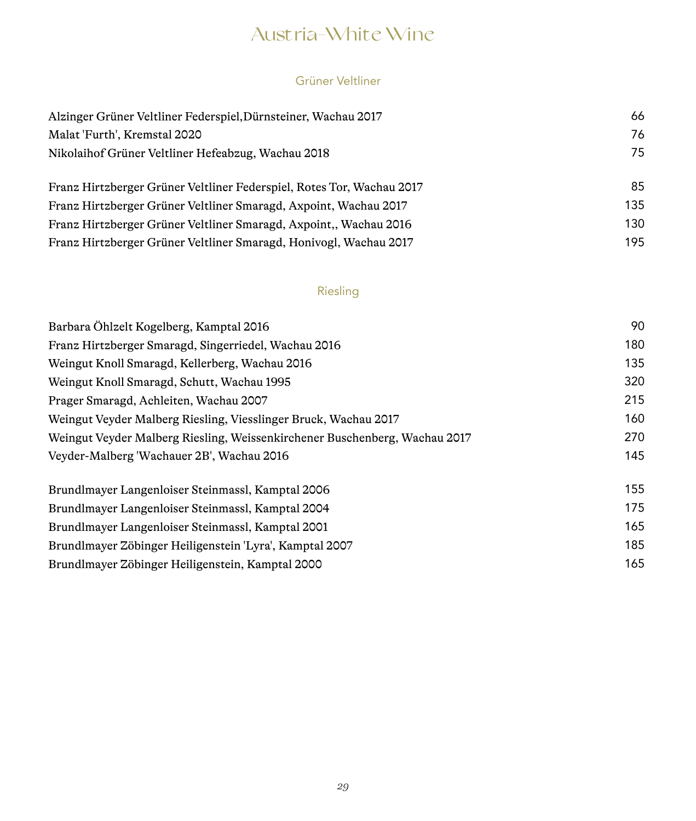## Austria-White Wine

### Grüner Veltliner

| Alzinger Grüner Veltliner Federspiel, Dürnsteiner, Wachau 2017        | 66  |
|-----------------------------------------------------------------------|-----|
| Malat 'Furth', Kremstal 2020                                          | 76  |
| Nikolaih of Grüner Veltliner Hefeabzug, Wachau 2018                   | 75  |
| Franz Hirtzberger Grüner Veltliner Federspiel, Rotes Tor, Wachau 2017 | 85  |
| Franz Hirtzberger Grüner Veltliner Smaragd, Axpoint, Wachau 2017      | 135 |
| Franz Hirtzberger Grüner Veltliner Smaragd, Axpoint., Wachau 2016     | 130 |
| Franz Hirtzberger Grüner Veltliner Smaragd, Honivogl, Wachau 2017     | 195 |

### Riesling

| Barbara Öhlzelt Kogelberg, Kamptal 2016                                    | 90  |
|----------------------------------------------------------------------------|-----|
| Franz Hirtzberger Smaragd, Singerriedel, Wachau 2016                       | 180 |
| Weingut Knoll Smaragd, Kellerberg, Wachau 2016                             | 135 |
| Weingut Knoll Smaragd, Schutt, Wachau 1995                                 | 320 |
| Prager Smaragd, Achleiten, Wachau 2007                                     | 215 |
| Weingut Veyder Malberg Riesling, Viesslinger Bruck, Wachau 2017            | 160 |
| Weingut Veyder Malberg Riesling, Weissenkirchener Buschenberg, Wachau 2017 | 270 |
| Veyder-Malberg 'Wachauer 2B', Wachau 2016                                  | 145 |
| Brundlmayer Langenloiser Steinmassl, Kamptal 2006                          | 155 |
| Brundlmayer Langenloiser Steinmassl, Kamptal 2004                          | 175 |
| Brundlmayer Langenloiser Steinmassl, Kamptal 2001                          | 165 |
| Brundlmayer Zöbinger Heiligenstein 'Lyra', Kamptal 2007                    | 185 |
| Brundlmayer Zöbinger Heiligenstein, Kamptal 2000                           | 165 |
|                                                                            |     |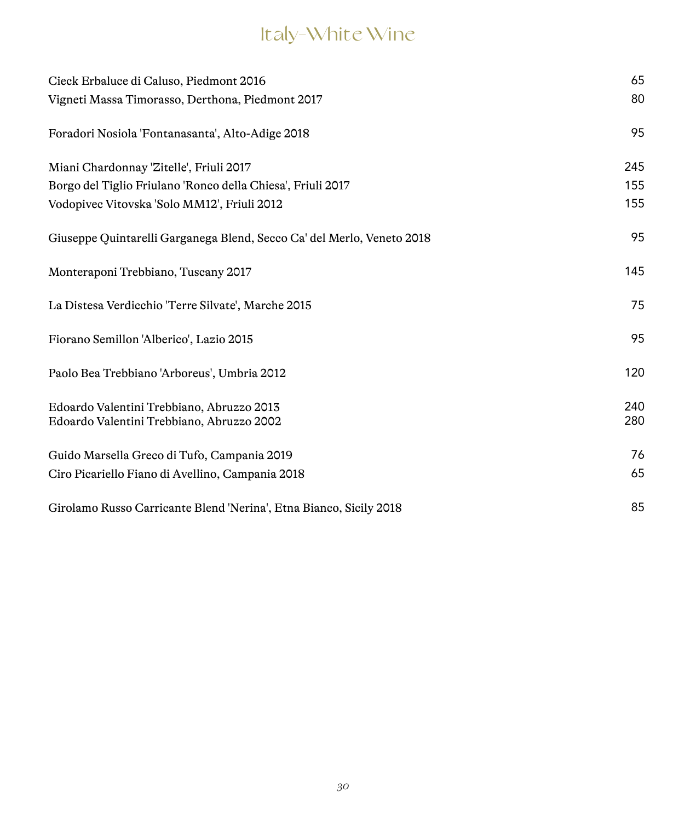# Italy-White Wine

| Cieck Erbaluce di Caluso, Piedmont 2016                                | 65  |
|------------------------------------------------------------------------|-----|
| Vigneti Massa Timorasso, Derthona, Piedmont 2017                       | 80  |
| Foradori Nosiola 'Fontanasanta', Alto-Adige 2018                       | 95  |
| Miani Chardonnay 'Zitelle', Friuli 2017                                | 245 |
| Borgo del Tiglio Friulano 'Ronco della Chiesa', Friuli 2017            | 155 |
| Vodopivec Vitovska 'Solo MM12', Friuli 2012                            | 155 |
| Giuseppe Quintarelli Garganega Blend, Secco Ca' del Merlo, Veneto 2018 | 95  |
| Monteraponi Trebbiano, Tuscany 2017                                    | 145 |
| La Distesa Verdicchio 'Terre Silvate', Marche 2015                     | 75  |
| Fiorano Semillon 'Alberico', Lazio 2015                                | 95  |
| Paolo Bea Trebbiano 'Arboreus', Umbria 2012                            | 120 |
| Edoardo Valentini Trebbiano, Abruzzo 2013                              | 240 |
| Edoardo Valentini Trebbiano, Abruzzo 2002                              | 280 |
| Guido Marsella Greco di Tufo, Campania 2019                            | 76  |
| Ciro Picariello Fiano di Avellino, Campania 2018                       | 65  |
| Girolamo Russo Carricante Blend 'Nerina', Etna Bianco, Sicily 2018     | 85  |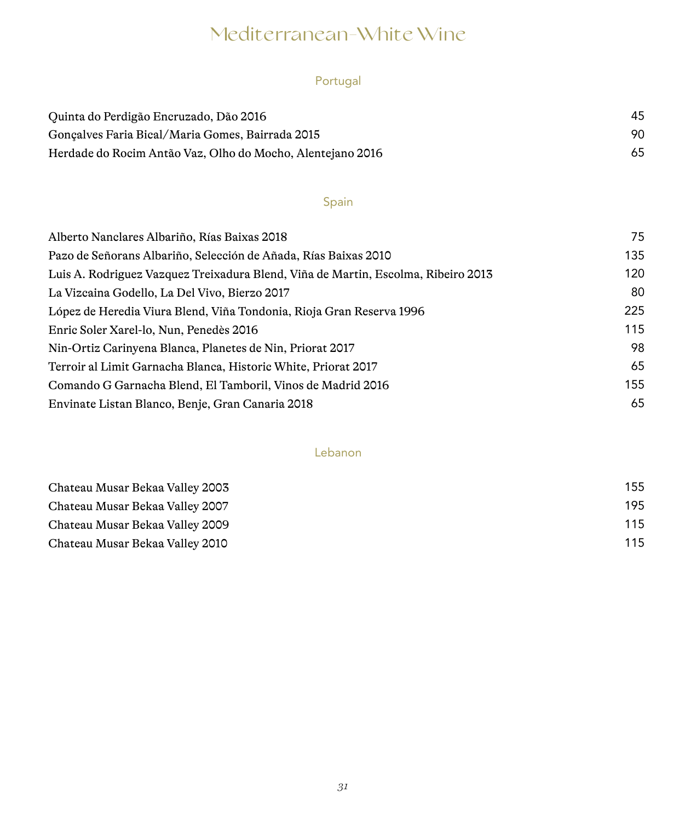## Mediterranean-White Wine

### Portugal

| Quinta do Perdigão Encruzado, Dão 2016                     | 45 |
|------------------------------------------------------------|----|
| Goncalves Faria Bical/Maria Gomes, Bairrada 2015           | 90 |
| Herdade do Rocim Antão Vaz, Olho do Mocho, Alentejano 2016 | 65 |

### Spain

| Alberto Nanclares Albariño, Rías Baixas 2018                                      | 75  |
|-----------------------------------------------------------------------------------|-----|
| Pazo de Señorans Albariño, Selección de Añada, Rías Baixas 2010                   | 135 |
| Luis A. Rodriguez Vazquez Treixadura Blend, Viña de Martin, Escolma, Ribeiro 2013 | 120 |
| La Vizcaina Godello, La Del Vivo, Bierzo 2017                                     | 80  |
| López de Heredia Viura Blend, Viña Tondonia, Rioja Gran Reserva 1996              | 225 |
| Enric Soler Xarel-lo, Nun, Penedès 2016                                           | 115 |
| Nin-Ortiz Carinyena Blanca, Planetes de Nin, Priorat 2017                         | 98  |
| Terroir al Limit Garnacha Blanca, Historic White, Priorat 2017                    | 65  |
| Comando G Garnacha Blend, El Tamboril, Vinos de Madrid 2016                       | 155 |
| Envinate Listan Blanco, Benje, Gran Canaria 2018                                  | 65  |

#### Lebanon

| Chateau Musar Bekaa Valley 2003 | 155 |
|---------------------------------|-----|
| Chateau Musar Bekaa Valley 2007 | 195 |
| Chateau Musar Bekaa Valley 2009 | 115 |
| Chateau Musar Bekaa Valley 2010 | 115 |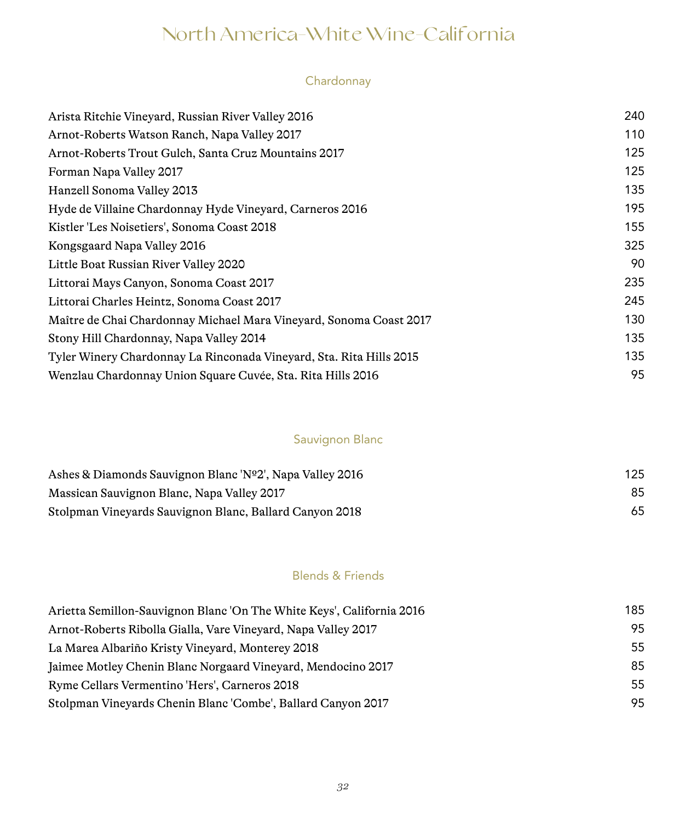# North America-White Wine-California

### Chardonnay

| Arista Ritchie Vineyard, Russian River Valley 2016                  | 240 |
|---------------------------------------------------------------------|-----|
| Arnot-Roberts Watson Ranch, Napa Valley 2017                        | 110 |
| Arnot-Roberts Trout Gulch, Santa Cruz Mountains 2017                | 125 |
| Forman Napa Valley 2017                                             | 125 |
| Hanzell Sonoma Valley 2013                                          | 135 |
| Hyde de Villaine Chardonnay Hyde Vineyard, Carneros 2016            | 195 |
| Kistler 'Les Noisetiers', Sonoma Coast 2018                         | 155 |
| Kongsgaard Napa Valley 2016                                         | 325 |
| Little Boat Russian River Valley 2020                               | 90  |
| Littorai Mays Canyon, Sonoma Coast 2017                             | 235 |
| Littorai Charles Heintz, Sonoma Coast 2017                          | 245 |
| Maître de Chai Chardonnay Michael Mara Vineyard, Sonoma Coast 2017  | 130 |
| Stony Hill Chardonnay, Napa Valley 2014                             | 135 |
| Tyler Winery Chardonnay La Rinconada Vineyard, Sta. Rita Hills 2015 | 135 |
| Wenzlau Chardonnay Union Square Cuvée, Sta. Rita Hills 2016         | 95  |
|                                                                     |     |

### Sauvignon Blanc

| Ashes & Diamonds Sauvignon Blanc 'Nº2', Napa Valley 2016 | 125 |
|----------------------------------------------------------|-----|
| Massican Sauvignon Blanc, Napa Valley 2017               | 85  |
| Stolpman Vineyards Sauvignon Blanc, Ballard Canyon 2018  | 65  |

### Blends & Friends

| Arietta Semillon-Sauvignon Blanc 'On The White Keys', California 2016 | 185 |
|-----------------------------------------------------------------------|-----|
| Arnot-Roberts Ribolla Gialla, Vare Vineyard, Napa Valley 2017         | 95  |
| La Marea Albariño Kristy Vineyard, Monterey 2018                      | 55  |
| Jaimee Motley Chenin Blanc Norgaard Vineyard, Mendocino 2017          | 85  |
| Ryme Cellars Vermentino 'Hers', Carneros 2018                         | 55  |
| Stolpman Vineyards Chenin Blanc 'Combe', Ballard Canyon 2017          | 95  |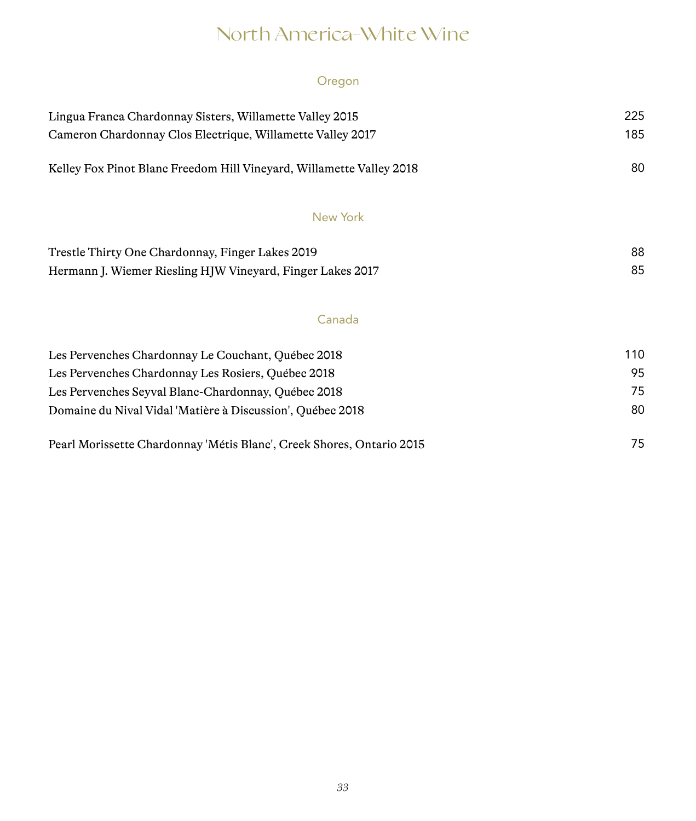## North America-White Wine

### Oregon

| Lingua Franca Chardonnay Sisters, Willamette Valley 2015             | 225 |
|----------------------------------------------------------------------|-----|
| Cameron Chardonnay Clos Electrique, Willamette Valley 2017           | 185 |
| Kelley Fox Pinot Blanc Freedom Hill Vineyard, Willamette Valley 2018 | 80  |
| New York                                                             |     |
| Trestle Thirty One Chardonnay, Finger Lakes 2019                     | 88  |
| Hermann J. Wiemer Riesling HJW Vineyard, Finger Lakes 2017           | 85  |

### Canada

| Les Pervenches Chardonnay Le Couchant, Québec 2018                    | 110 |
|-----------------------------------------------------------------------|-----|
| Les Pervenches Chardonnay Les Rosiers, Québec 2018                    | 95  |
| Les Pervenches Seyval Blanc-Chardonnay, Québec 2018                   | 75  |
| Domaine du Nival Vidal 'Matière à Discussion', Québec 2018            | 80  |
| Pearl Morissette Chardonnay 'Métis Blanc', Creek Shores, Ontario 2015 | 75  |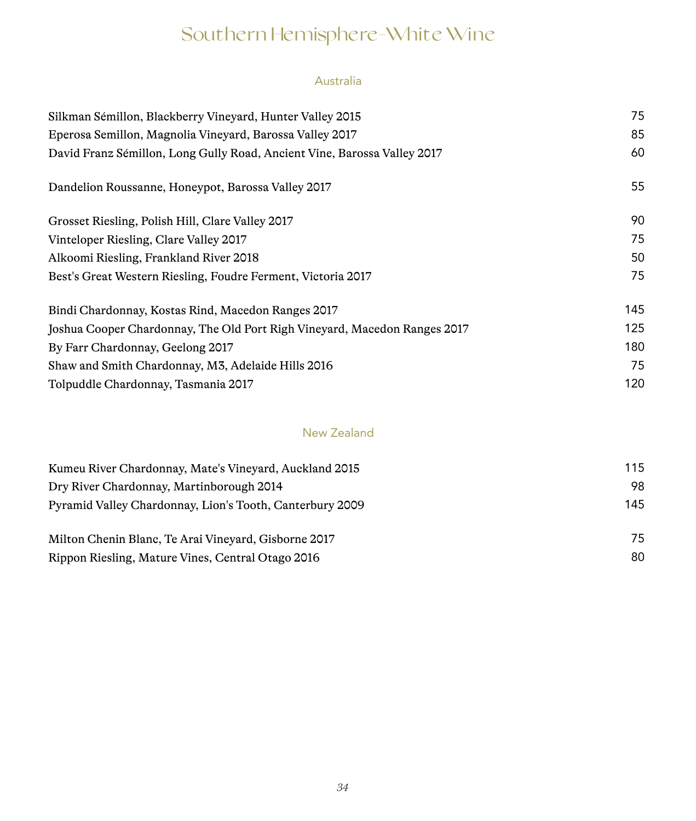# Southern Hemisphere-White Wine

### Australia

| Silkman Sémillon, Blackberry Vineyard, Hunter Valley 2015                 | 75  |
|---------------------------------------------------------------------------|-----|
| Eperosa Semillon, Magnolia Vineyard, Barossa Valley 2017                  | 85  |
| David Franz Sémillon, Long Gully Road, Ancient Vine, Barossa Valley 2017  | 60  |
| Dandelion Roussanne, Honeypot, Barossa Valley 2017                        | 55  |
| Grosset Riesling, Polish Hill, Clare Valley 2017                          | 90  |
| Vinteloper Riesling, Clare Valley 2017                                    | 75  |
| Alkoomi Riesling, Frankland River 2018                                    | 50  |
| Best's Great Western Riesling, Foudre Ferment, Victoria 2017              | 75  |
| Bindi Chardonnay, Kostas Rind, Macedon Ranges 2017                        | 145 |
| Joshua Cooper Chardonnay, The Old Port Righ Vineyard, Macedon Ranges 2017 | 125 |
| By Farr Chardonnay, Geelong 2017                                          | 180 |
| Shaw and Smith Chardonnay, M3, Adelaide Hills 2016                        | 75  |
| Tolpuddle Chardonnay, Tasmania 2017                                       | 120 |

### New Zealand

| Kumeu River Chardonnay, Mate's Vineyard, Auckland 2015   | 115 |
|----------------------------------------------------------|-----|
| Dry River Chardonnay, Martinborough 2014                 | 98  |
| Pyramid Valley Chardonnay, Lion's Tooth, Canterbury 2009 | 145 |
| Milton Chenin Blanc, Te Arai Vinevard, Gisborne 2017     | 75  |
| Rippon Riesling, Mature Vines, Central Otago 2016        | 80  |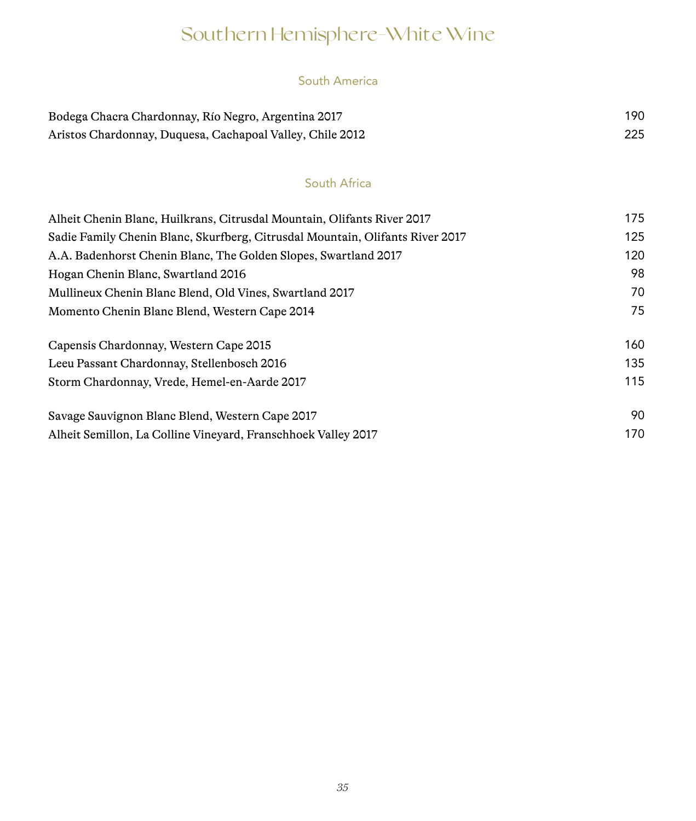# Southern Hemisphere-White Wine

### South America

| Bodega Chacra Chardonnay, Río Negro, Argentina 2017       | 190 |
|-----------------------------------------------------------|-----|
| Aristos Chardonnay, Duquesa, Cachapoal Valley, Chile 2012 | 225 |

### South Africa

| Alheit Chenin Blanc, Huilkrans, Citrusdal Mountain, Olifants River 2017       | 175 |
|-------------------------------------------------------------------------------|-----|
| Sadie Family Chenin Blanc, Skurfberg, Citrusdal Mountain, Olifants River 2017 | 125 |
| A.A. Badenhorst Chenin Blanc, The Golden Slopes, Swartland 2017               | 120 |
| Hogan Chenin Blanc, Swartland 2016                                            | 98  |
| Mullineux Chenin Blanc Blend, Old Vines, Swartland 2017                       | 70  |
| Momento Chenin Blanc Blend, Western Cape 2014                                 | 75  |
| Capensis Chardonnay, Western Cape 2015                                        | 160 |
| Leeu Passant Chardonnay, Stellenbosch 2016                                    | 135 |
| Storm Chardonnay, Vrede, Hemel-en-Aarde 2017                                  | 115 |
| Savage Sauvignon Blanc Blend, Western Cape 2017                               | 90  |
| Alheit Semillon, La Colline Vineyard, Franschhoek Valley 2017                 | 170 |
|                                                                               |     |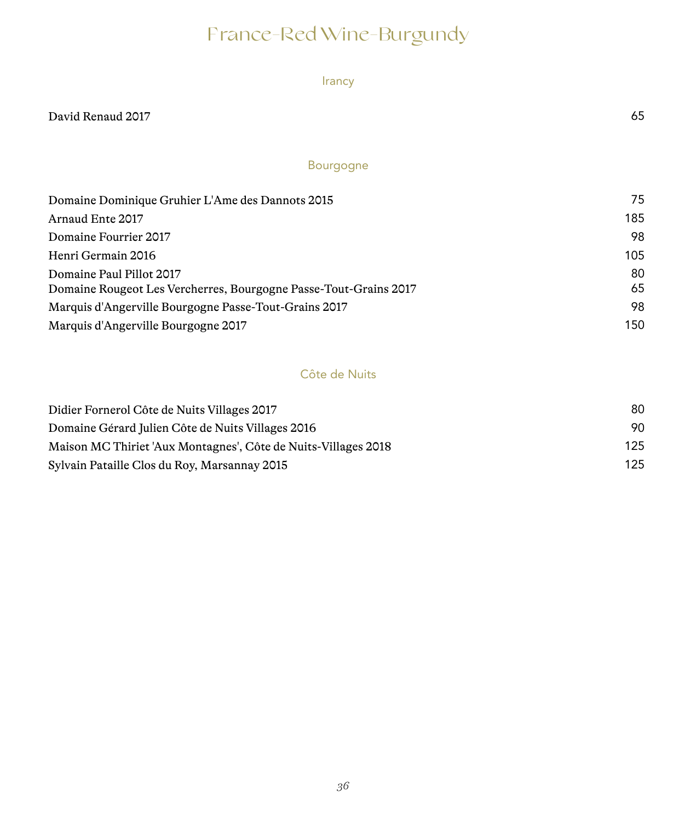# France-Red Wine-Burgundy

Irancy

### Bourgogne

| Domaine Dominique Gruhier L'Ame des Dannots 2015                                             | 75       |
|----------------------------------------------------------------------------------------------|----------|
| Arnaud Ente 2017                                                                             | 185      |
| Domaine Fourrier 2017                                                                        | 98       |
| Henri Germain 2016                                                                           | 105      |
| Domaine Paul Pillot 2017<br>Domaine Rougeot Les Vercherres, Bourgogne Passe-Tout-Grains 2017 | 80<br>65 |
| Marquis d'Angerville Bourgogne Passe-Tout-Grains 2017                                        | 98       |
| Marquis d'Angerville Bourgogne 2017                                                          | 150      |

### Côte de Nuits

| Didier Fornerol Côte de Nuits Villages 2017                    | 80  |
|----------------------------------------------------------------|-----|
| Domaine Gérard Julien Côte de Nuits Villages 2016              | 90  |
| Maison MC Thiriet 'Aux Montagnes', Côte de Nuits-Villages 2018 | 125 |
| Sylvain Pataille Clos du Roy, Marsannay 2015                   | 125 |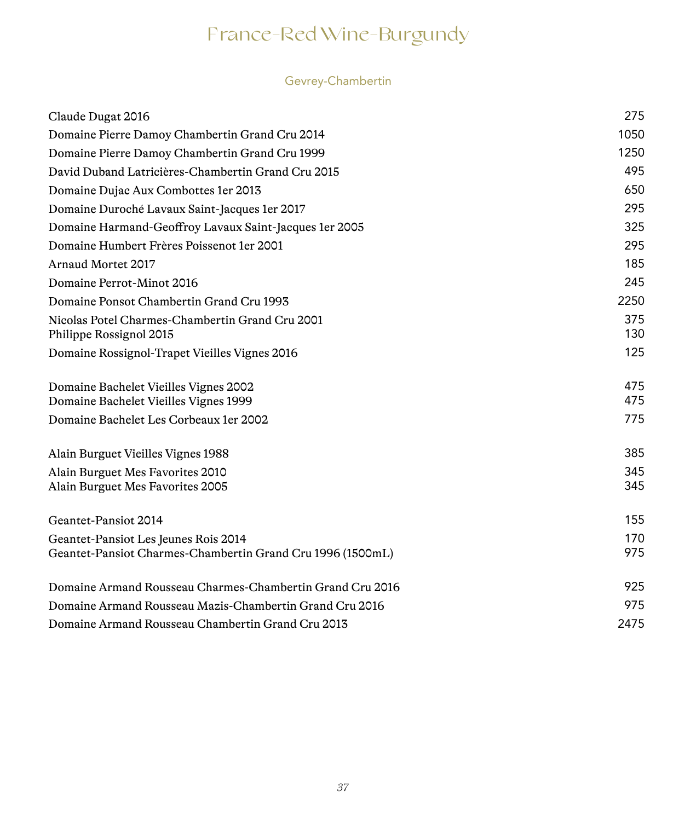### Gevrey-Chambertin

| Claude Dugat 2016                                                              | 275        |
|--------------------------------------------------------------------------------|------------|
| Domaine Pierre Damoy Chambertin Grand Cru 2014                                 | 1050       |
| Domaine Pierre Damoy Chambertin Grand Cru 1999                                 | 1250       |
| David Duband Latricières-Chambertin Grand Cru 2015                             | 495        |
| Domaine Dujac Aux Combottes 1er 2013                                           | 650        |
| Domaine Duroché Lavaux Saint-Jacques 1er 2017                                  | 295        |
| Domaine Harmand-Geoffroy Lavaux Saint-Jacques 1er 2005                         | 325        |
| Domaine Humbert Frères Poissenot 1er 2001                                      | 295        |
| Arnaud Mortet 2017                                                             | 185        |
| Domaine Perrot-Minot 2016                                                      | 245        |
| Domaine Ponsot Chambertin Grand Cru 1993                                       | 2250       |
| Nicolas Potel Charmes-Chambertin Grand Cru 2001<br>Philippe Rossignol 2015     | 375<br>130 |
| Domaine Rossignol-Trapet Vieilles Vignes 2016                                  | 125        |
| Domaine Bachelet Vieilles Vignes 2002<br>Domaine Bachelet Vieilles Vignes 1999 | 475<br>475 |
| Domaine Bachelet Les Corbeaux 1 er 2002                                        | 775        |
| Alain Burguet Vieilles Vignes 1988                                             | 385        |
| Alain Burguet Mes Favorites 2010<br>Alain Burguet Mes Favorites 2005           | 345<br>345 |
| Geantet-Pansiot 2014                                                           | 155        |
| Geantet-Pansiot Les Jeunes Rois 2014                                           | 170        |
| Geantet-Pansiot Charmes-Chambertin Grand Cru 1996 (1500mL)                     | 975        |
| Domaine Armand Rousseau Charmes-Chambertin Grand Cru 2016                      | 925        |
| Domaine Armand Rousseau Mazis-Chambertin Grand Cru 2016                        | 975        |
| Domaine Armand Rousseau Chambertin Grand Cru 2013                              | 2475       |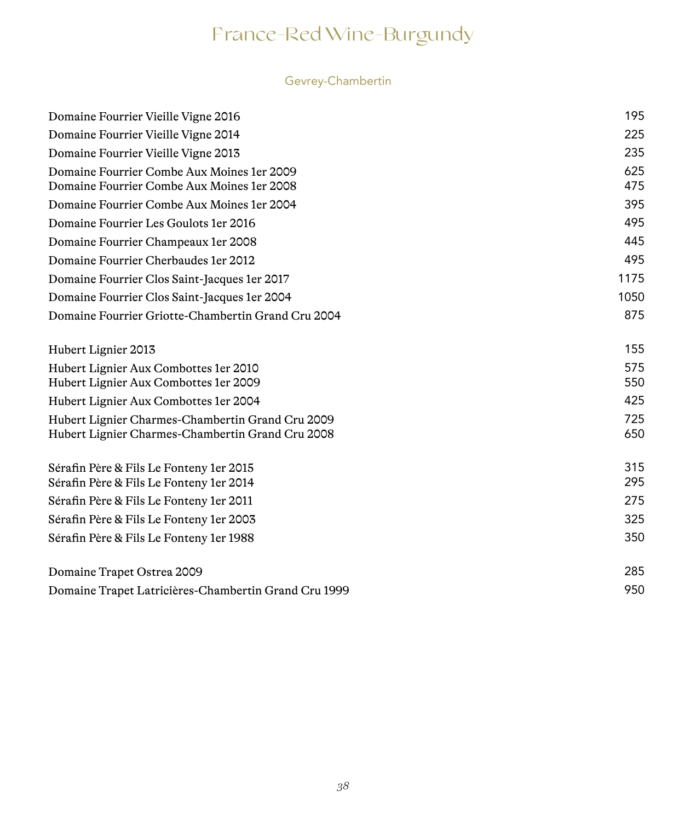### Gevrey-Chambertin

| Domaine Fourrier Vieille Vigne 2016                                                                  | 195        |
|------------------------------------------------------------------------------------------------------|------------|
| Domaine Fourrier Vieille Vigne 2014                                                                  | 225        |
| Domaine Fourrier Vieille Vigne 2013                                                                  | 235        |
| Domaine Fourrier Combe Aux Moines 1 er 2009<br>Domaine Fourrier Combe Aux Moines 1 er 2008           | 625<br>475 |
| Domaine Fourrier Combe Aux Moines 1 er 2004                                                          | 395        |
| Domaine Fourrier Les Goulots 1 er 2016                                                               | 495        |
| Domaine Fourrier Champeaux 1er 2008                                                                  | 445        |
| Domaine Fourrier Cherbaudes 1 er 2012                                                                | 495        |
| Domaine Fourrier Clos Saint-Jacques 1er 2017                                                         | 1175       |
| Domaine Fourrier Clos Saint-Jacques 1er 2004                                                         | 1050       |
| Domaine Fourrier Griotte-Chambertin Grand Cru 2004                                                   | 875        |
| Hubert Lignier 2013                                                                                  | 155        |
| Hubert Lignier Aux Combottes 1er 2010<br>Hubert Lignier Aux Combottes 1er 2009                       | 575<br>550 |
| Hubert Lignier Aux Combottes 1 er 2004                                                               | 425        |
| Hubert Lignier Charmes-Chambertin Grand Cru 2009<br>Hubert Lignier Charmes-Chambertin Grand Cru 2008 | 725<br>650 |
| Sérafin Père & Fils Le Fonteny 1 er 2015<br>Sérafin Père & Fils Le Fonteny 1er 2014                  | 315<br>295 |
| Sérafin Père & Fils Le Fonteny 1 er 2011                                                             | 275        |
| Sérafin Père & Fils Le Fonteny 1 er 2003                                                             | 325        |
| Sérafin Père & Fils Le Fonteny 1er 1988                                                              | 350        |
| Domaine Trapet Ostrea 2009                                                                           | 285        |
| Domaine Trapet Latricières-Chambertin Grand Cru 1999                                                 | 950        |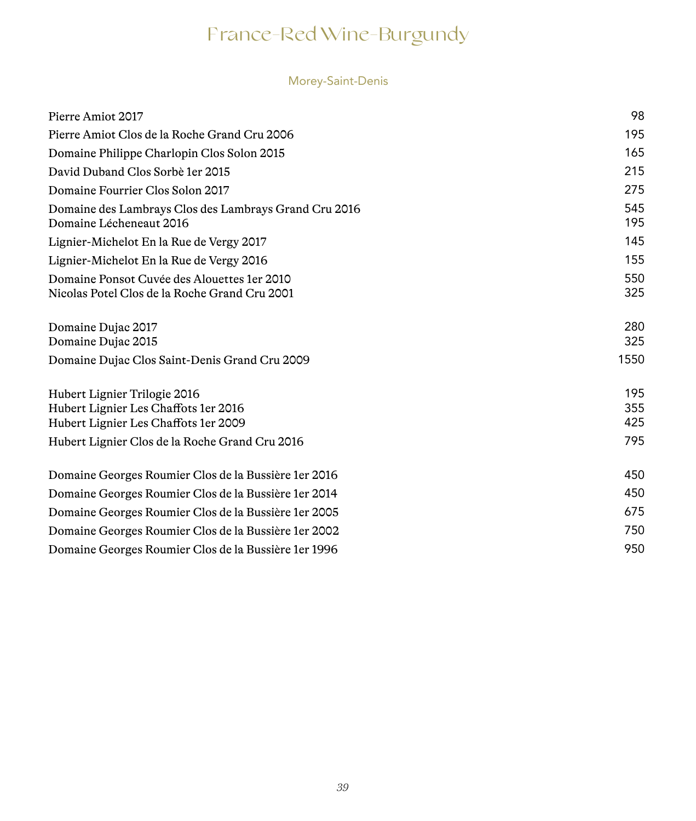### Morey-Saint-Denis

| Pierre Amiot 2017                                                                                            | 98                |
|--------------------------------------------------------------------------------------------------------------|-------------------|
| Pierre Amiot Clos de la Roche Grand Cru 2006                                                                 | 195               |
| Domaine Philippe Charlopin Clos Solon 2015                                                                   | 165               |
| David Duband Clos Sorbè 1er 2015                                                                             | 215               |
| Domaine Fourrier Clos Solon 2017                                                                             | 275               |
| Domaine des Lambrays Clos des Lambrays Grand Cru 2016<br>Domaine Lécheneaut 2016                             | 545<br>195        |
| Lignier-Michelot En la Rue de Vergy 2017                                                                     | 145               |
| Lignier-Michelot En la Rue de Vergy 2016                                                                     | 155               |
| Domaine Ponsot Cuvée des Alouettes 1 er 2010<br>Nicolas Potel Clos de la Roche Grand Cru 2001                | 550<br>325        |
| Domaine Dujac 2017<br>Domaine Dujac 2015                                                                     | 280<br>325        |
| Domaine Dujac Clos Saint-Denis Grand Cru 2009                                                                | 1550              |
| Hubert Lignier Trilogie 2016<br>Hubert Lignier Les Chaffots 1er 2016<br>Hubert Lignier Les Chaffots 1er 2009 | 195<br>355<br>425 |
| Hubert Lignier Clos de la Roche Grand Cru 2016                                                               | 795               |
| Domaine Georges Roumier Clos de la Bussière 1 er 2016                                                        | 450               |
| Domaine Georges Roumier Clos de la Bussière 1 er 2014                                                        | 450               |
| Domaine Georges Roumier Clos de la Bussière 1 er 2005                                                        | 675               |
| Domaine Georges Roumier Clos de la Bussière 1 er 2002                                                        | 750               |
| Domaine Georges Roumier Clos de la Bussière 1 er 1996                                                        | 950               |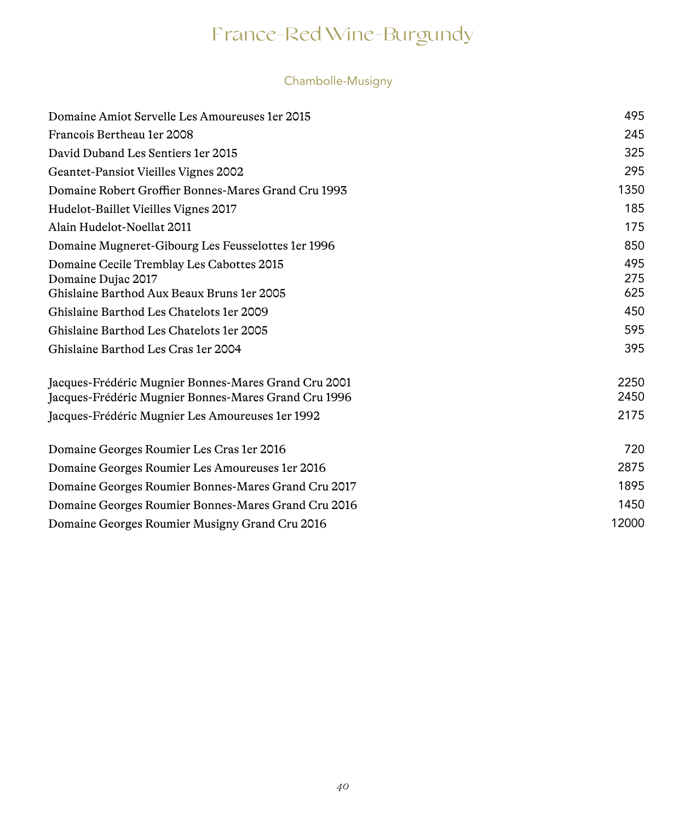### Chambolle-Musigny

| Domaine Amiot Servelle Les Amoureuses 1 er 2015                                                              | 495          |
|--------------------------------------------------------------------------------------------------------------|--------------|
| Francois Bertheau 1er 2008                                                                                   | 245          |
| David Duband Les Sentiers 1 er 2015                                                                          | 325          |
| Geantet-Pansiot Vieilles Vignes 2002                                                                         | 295          |
| Domaine Robert Groffier Bonnes-Mares Grand Cru 1993                                                          | 1350         |
| Hudelot-Baillet Vieilles Vignes 2017                                                                         | 185          |
| Alain Hudelot-Noellat 2011                                                                                   | 175          |
| Domaine Mugneret-Gibourg Les Feusselottes 1er 1996                                                           | 850          |
| Domaine Cecile Tremblay Les Cabottes 2015<br>Domaine Dujac 2017                                              | 495<br>275   |
| Ghislaine Barthod Aux Beaux Bruns 1er 2005                                                                   | 625          |
| Ghislaine Barthod Les Chatelots 1er 2009                                                                     | 450          |
| Ghislaine Barthod Les Chatelots 1er 2005                                                                     | 595          |
| Ghislaine Barthod Les Cras 1 er 2004                                                                         | 395          |
| Jacques-Frédéric Mugnier Bonnes-Mares Grand Cru 2001<br>Jacques-Frédéric Mugnier Bonnes-Mares Grand Cru 1996 | 2250<br>2450 |
| Jacques-Frédéric Mugnier Les Amoureuses 1 er 1992                                                            | 2175         |
| Domaine Georges Roumier Les Cras 1er 2016                                                                    | 720          |
| Domaine Georges Roumier Les Amoureuses 1 er 2016                                                             | 2875         |
| Domaine Georges Roumier Bonnes-Mares Grand Cru 2017                                                          | 1895         |
| Domaine Georges Roumier Bonnes-Mares Grand Cru 2016                                                          | 1450         |
| Domaine Georges Roumier Musigny Grand Cru 2016                                                               | 12000        |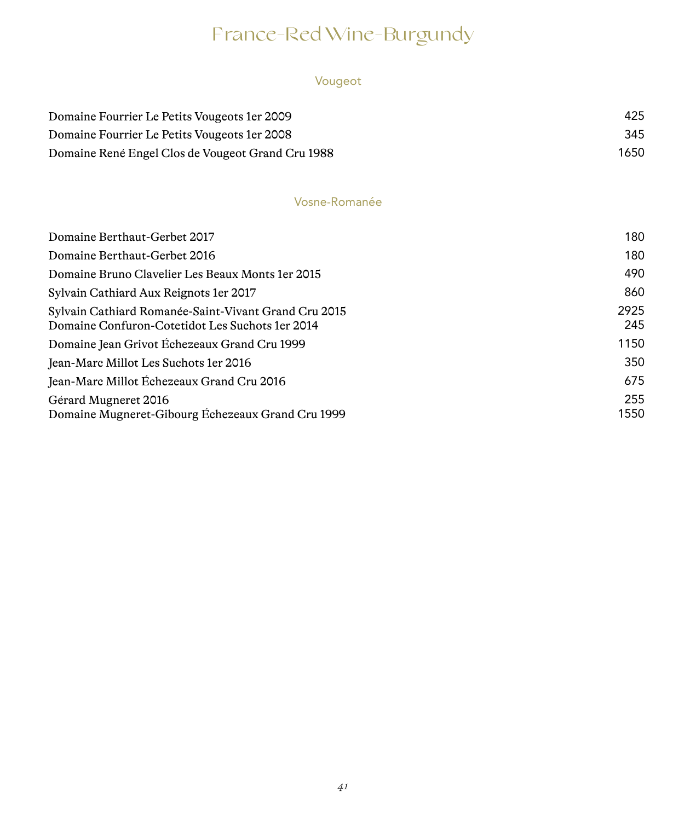### Vougeot

| Domaine Fourrier Le Petits Vougeots 1 er 2009     | 425  |
|---------------------------------------------------|------|
| Domaine Fourrier Le Petits Vougeots 1 er 2008     | 345  |
| Domaine René Engel Clos de Vougeot Grand Cru 1988 | 1650 |

### Vosne-Romanée

| Domaine Berthaut-Gerbet 2017                                                                             | 180         |
|----------------------------------------------------------------------------------------------------------|-------------|
| Domaine Berthaut-Gerbet 2016                                                                             | 180         |
| Domaine Bruno Clavelier Les Beaux Monts 1 er 2015                                                        | 490         |
| Sylvain Cathiard Aux Reignots 1 er 2017                                                                  | 860         |
| Sylvain Cathiard Romanée-Saint-Vivant Grand Cru 2015<br>Domaine Confuron-Cotetidot Les Suchots 1 er 2014 | 2925<br>245 |
| Domaine Jean Grivot Échezeaux Grand Cru 1999                                                             | 1150        |
| Jean-Marc Millot Les Suchots 1 er 2016                                                                   | 350         |
| Jean-Marc Millot Échezeaux Grand Cru 2016                                                                | 675         |
| Gérard Mugneret 2016<br>Domaine Mugneret-Gibourg Échezeaux Grand Cru 1999                                | 255<br>1550 |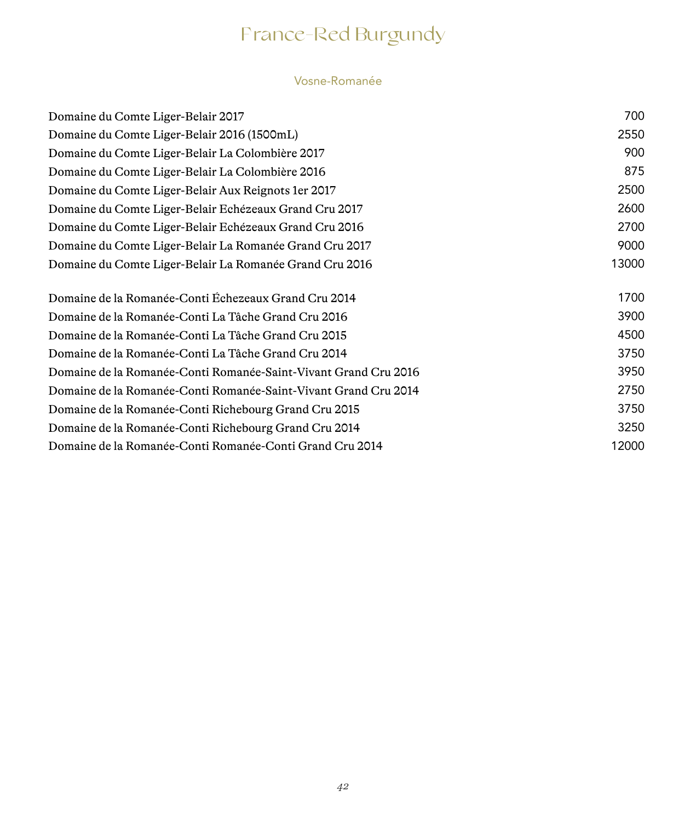# France-Red Burgundy

#### Vosne-Romanée

| Domaine du Comte Liger-Belair 2017                              | 700   |
|-----------------------------------------------------------------|-------|
| Domaine du Comte Liger-Belair 2016 (1500mL)                     | 2550  |
| Domaine du Comte Liger-Belair La Colombière 2017                | 900   |
| Domaine du Comte Liger-Belair La Colombière 2016                | 875   |
| Domaine du Comte Liger-Belair Aux Reignots 1 er 2017            | 2500  |
| Domaine du Comte Liger-Belair Echézeaux Grand Cru 2017          | 2600  |
| Domaine du Comte Liger-Belair Echézeaux Grand Cru 2016          | 2700  |
| Domaine du Comte Liger-Belair La Romanée Grand Cru 2017         | 9000  |
| Domaine du Comte Liger-Belair La Romanée Grand Cru 2016         | 13000 |
| Domaine de la Romanée-Conti Échezeaux Grand Cru 2014            | 1700  |
| Domaine de la Romanée-Conti La Tâche Grand Cru 2016             | 3900  |
| Domaine de la Romanée-Conti La Tâche Grand Cru 2015             | 4500  |
| Domaine de la Romanée-Conti La Tâche Grand Cru 2014             | 3750  |
| Domaine de la Romanée-Conti Romanée-Saint-Vivant Grand Cru 2016 | 3950  |
| Domaine de la Romanée-Conti Romanée-Saint-Vivant Grand Cru 2014 | 2750  |
| Domaine de la Romanée-Conti Richebourg Grand Cru 2015           | 3750  |
| Domaine de la Romanée-Conti Richebourg Grand Cru 2014           | 3250  |
| Domaine de la Romanée-Conti Romanée-Conti Grand Cru 2014        | 12000 |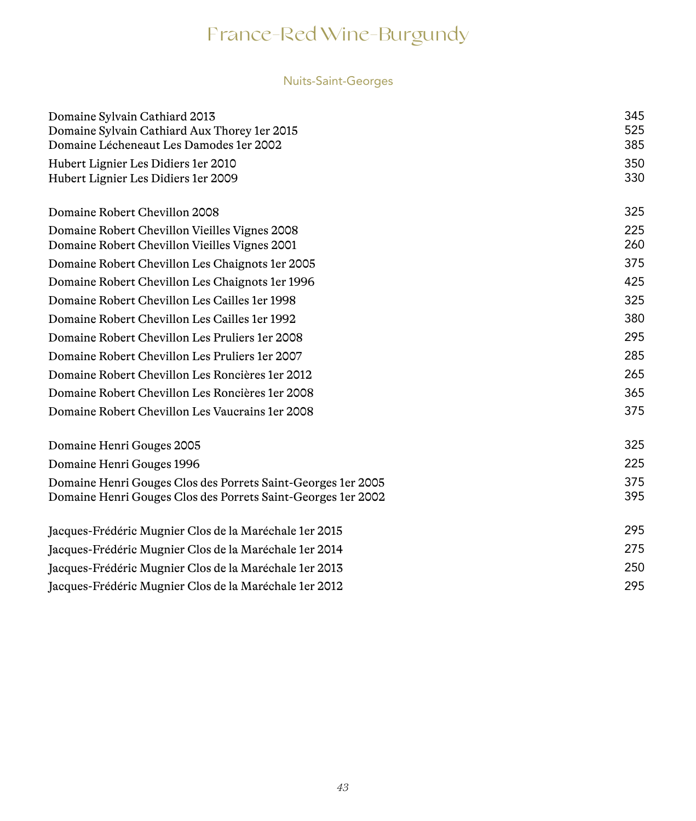### Nuits-Saint-Georges

| Domaine Sylvain Cathiard 2013<br>Domaine Sylvain Cathiard Aux Thorey 1er 2015<br>Domaine Lécheneaut Les Damodes 1er 2002       | 345<br>525<br>385 |
|--------------------------------------------------------------------------------------------------------------------------------|-------------------|
| Hubert Lignier Les Didiers 1er 2010<br>Hubert Lignier Les Didiers 1er 2009                                                     | 350<br>330        |
|                                                                                                                                |                   |
| Domaine Robert Chevillon 2008                                                                                                  | 325               |
| Domaine Robert Chevillon Vieilles Vignes 2008<br>Domaine Robert Chevillon Vieilles Vignes 2001                                 | 225<br>260        |
| Domaine Robert Chevillon Les Chaignots 1er 2005                                                                                | 375               |
| Domaine Robert Chevillon Les Chaignots 1 er 1996                                                                               | 425               |
| Domaine Robert Chevillon Les Cailles 1 er 1998                                                                                 | 325               |
| Domaine Robert Chevillon Les Cailles 1 er 1992                                                                                 | 380               |
| Domaine Robert Chevillon Les Pruliers 1 er 2008                                                                                | 295               |
| Domaine Robert Chevillon Les Pruliers 1er 2007                                                                                 | 285               |
| Domaine Robert Chevillon Les Roncières 1 er 2012                                                                               | 265               |
| Domaine Robert Chevillon Les Roncières 1 er 2008                                                                               | 365               |
| Domaine Robert Chevillon Les Vaucrains 1 er 2008                                                                               | 375               |
| Domaine Henri Gouges 2005                                                                                                      | 325               |
| Domaine Henri Gouges 1996                                                                                                      | 225               |
| Domaine Henri Gouges Clos des Porrets Saint-Georges 1 er 2005<br>Domaine Henri Gouges Clos des Porrets Saint-Georges 1 er 2002 | 375<br>395        |
| Jacques-Frédéric Mugnier Clos de la Maréchale 1 er 2015                                                                        | 295               |
| Jacques-Frédéric Mugnier Clos de la Maréchale 1 er 2014                                                                        | 275               |
| Jacques-Frédéric Mugnier Clos de la Maréchale 1er 2013                                                                         | 250               |
| Jacques-Frédéric Mugnier Clos de la Maréchale 1 er 2012                                                                        | 295               |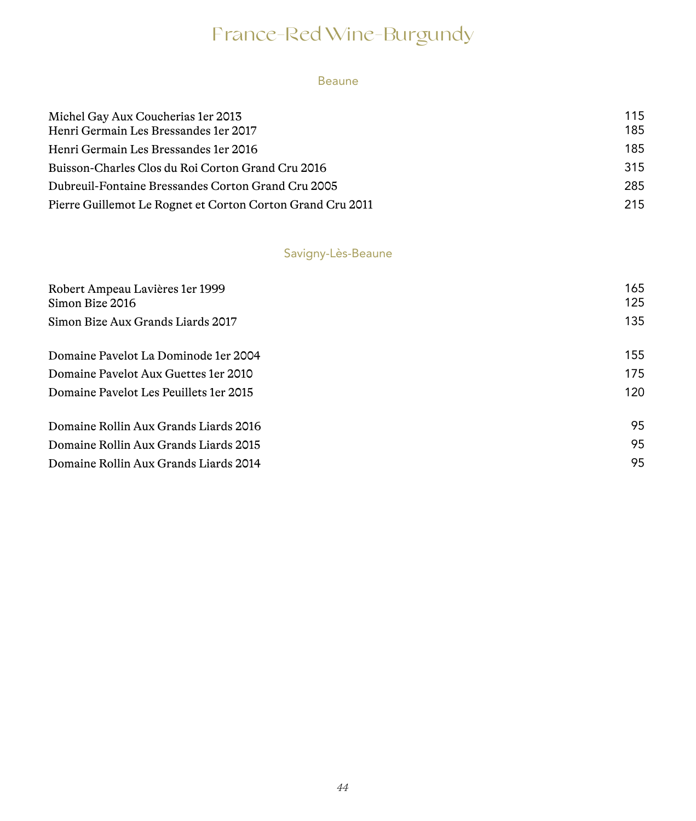#### Beaune

| Michel Gay Aux Coucherias 1 er 2013                        | 115 |
|------------------------------------------------------------|-----|
| Henri Germain Les Bressandes 1 er 2017                     | 185 |
| Henri Germain Les Bressandes 1 er 2016                     | 185 |
| Buisson-Charles Clos du Roi Corton Grand Cru 2016          | 315 |
| Dubreuil-Fontaine Bressandes Corton Grand Cru 2005         | 285 |
| Pierre Guillemot Le Rognet et Corton Corton Grand Cru 2011 | 215 |

### Savigny-Lès-Beaune

| Robert Ampeau Lavières 1 er 1999<br>Simon Bize 2016 | 165<br>125 |
|-----------------------------------------------------|------------|
| Simon Bize Aux Grands Liards 2017                   | 135        |
| Domaine Pavelot La Dominode 1 er 2004               | 155        |
| Domaine Payelot Aux Guettes 1 er 2010               | 175        |
| Domaine Payelot Les Peuillets 1 er 2015             | 120        |
| Domaine Rollin Aux Grands Liards 2016               | 95         |
| Domaine Rollin Aux Grands Liards 2015               | 95         |
| Domaine Rollin Aux Grands Liards 2014               | 95         |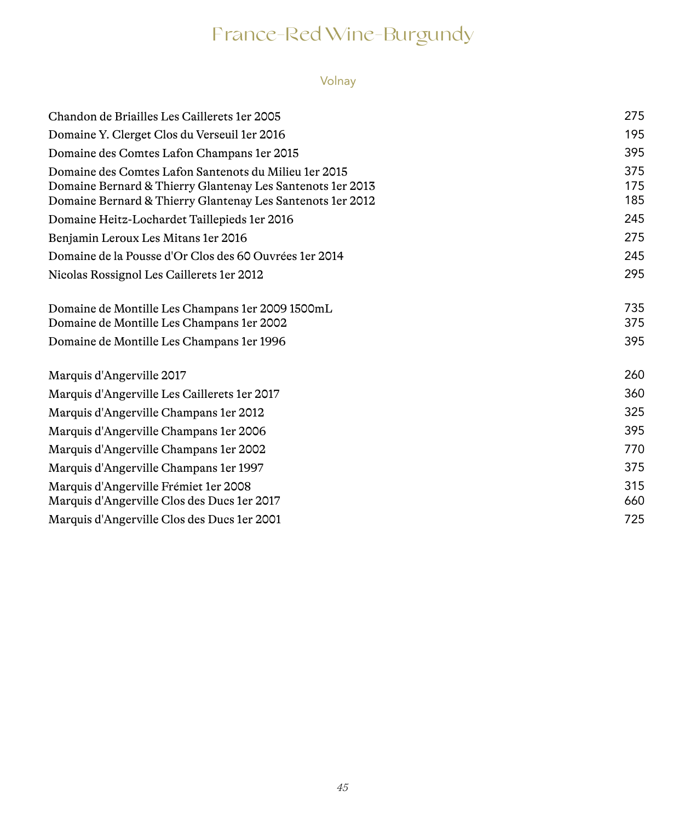### Volnay

| Chandon de Briailles Les Caillerets 1 er 2005                                                                                                                                       | 275               |
|-------------------------------------------------------------------------------------------------------------------------------------------------------------------------------------|-------------------|
| Domaine Y. Clerget Clos du Verseuil 1 er 2016                                                                                                                                       | 195               |
| Domaine des Comtes Lafon Champans 1 er 2015                                                                                                                                         | 395               |
| Domaine des Comtes Lafon Santenots du Milieu 1 er 2015<br>Domaine Bernard & Thierry Glantenay Les Santenots 1 er 2013<br>Domaine Bernard & Thierry Glantenay Les Santenots 1er 2012 | 375<br>175<br>185 |
| Domaine Heitz-Lochardet Taillepieds 1 er 2016                                                                                                                                       | 245               |
| Benjamin Leroux Les Mitans 1 er 2016                                                                                                                                                | 275               |
| Domaine de la Pousse d'Or Clos des 60 Ouvrées 1 er 2014                                                                                                                             | 245               |
| Nicolas Rossignol Les Caillerets 1 er 2012                                                                                                                                          | 295               |
| Domaine de Montille Les Champans 1 er 2009 1500 mL<br>Domaine de Montille Les Champans 1 er 2002<br>Domaine de Montille Les Champans 1 er 1996                                      | 735<br>375<br>395 |
|                                                                                                                                                                                     |                   |
| Marquis d'Angerville 2017                                                                                                                                                           | 260               |
| Marquis d'Angerville Les Caillerets 1 er 2017                                                                                                                                       | 360               |
| Marquis d'Angerville Champans 1 er 2012                                                                                                                                             | 325               |
| Marquis d'Angerville Champans 1 er 2006                                                                                                                                             | 395               |
| Marquis d'Angerville Champans 1 er 2002                                                                                                                                             | 770               |
| Marquis d'Angerville Champans 1 er 1997                                                                                                                                             | 375               |
| Marquis d'Angerville Frémiet 1 er 2008<br>Marquis d'Angerville Clos des Ducs 1 er 2017                                                                                              | 315<br>660        |
| Marquis d'Angerville Clos des Ducs 1 er 2001                                                                                                                                        | 725               |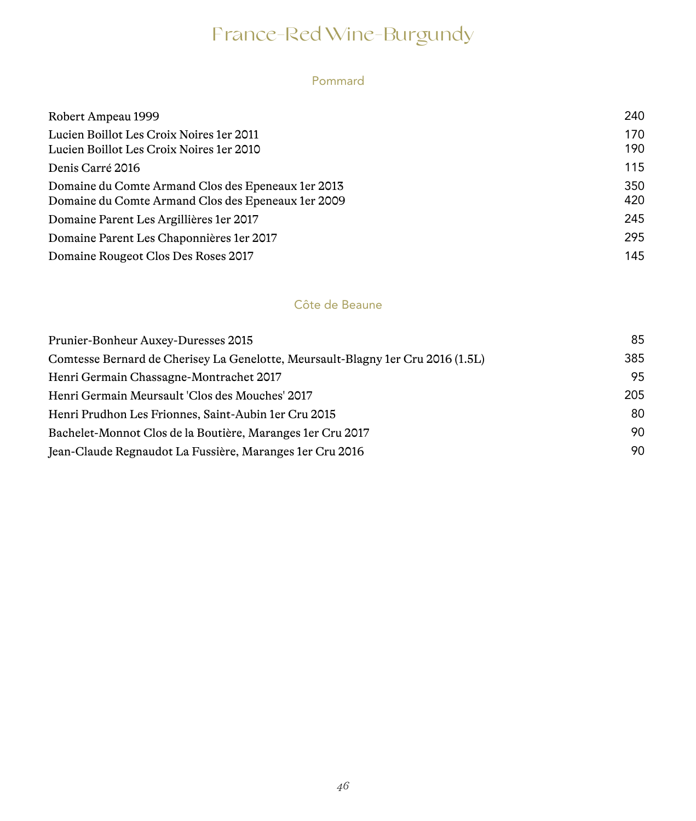#### Pommard

| Robert Ampeau 1999                                                                                         | 240        |
|------------------------------------------------------------------------------------------------------------|------------|
| Lucien Boillot Les Croix Noires 1 er 2011<br>Lucien Boillot Les Croix Noires 1 er 2010                     | 170<br>190 |
| Denis Carré 2016                                                                                           | 115        |
| Domaine du Comte Armand Clos des Epeneaux 1 er 2013<br>Domaine du Comte Armand Clos des Epeneaux 1 er 2009 | 350<br>420 |
| Domaine Parent Les Argillières 1 er 2017                                                                   | 245        |
| Domaine Parent Les Chaponnières 1 er 2017                                                                  | 295        |
| Domaine Rougeot Clos Des Roses 2017                                                                        | 145        |

#### Côte de Beaune

| Prunier-Bonheur Auxey-Duresses 2015                                             | 85  |
|---------------------------------------------------------------------------------|-----|
| Comtesse Bernard de Cherisey La Genelotte, Meursault-Blagny 1er Cru 2016 (1.5L) | 385 |
| Henri Germain Chassagne-Montrachet 2017                                         | 95  |
| Henri Germain Meursault 'Clos des Mouches' 2017                                 | 205 |
| Henri Prudhon Les Frionnes, Saint-Aubin 1 er Cru 2015                           | 80  |
| Bachelet-Monnot Clos de la Boutière, Maranges 1er Cru 2017                      | 90  |
| Jean-Claude Regnaudot La Fussière, Maranges 1 er Cru 2016                       | 90  |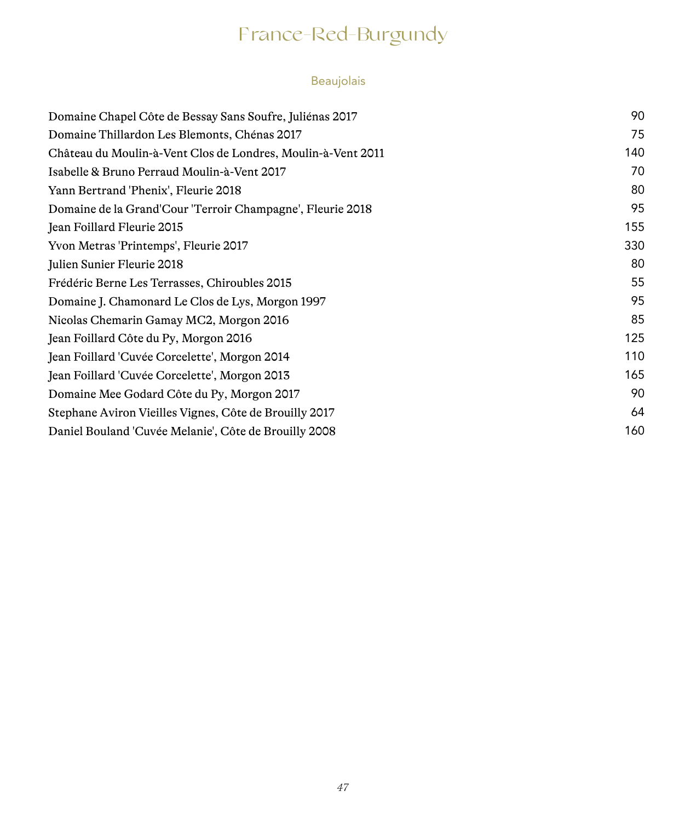# France-Red-Burgundy

### Beaujolais

| Domaine Chapel Côte de Bessay Sans Soufre, Juliénas 2017     | 90  |
|--------------------------------------------------------------|-----|
| Domaine Thillardon Les Blemonts, Chénas 2017                 | 75  |
| Château du Moulin-à-Vent Clos de Londres, Moulin-à-Vent 2011 | 140 |
| Isabelle & Bruno Perraud Moulin-à-Vent 2017                  | 70  |
| Yann Bertrand 'Phenix', Fleurie 2018                         | 80  |
| Domaine de la Grand'Cour 'Terroir Champagne', Fleurie 2018   | 95  |
| Jean Foillard Fleurie 2015                                   | 155 |
| Yvon Metras 'Printemps', Fleurie 2017                        | 330 |
| Julien Sunier Fleurie 2018                                   | 80  |
| Frédéric Berne Les Terrasses, Chiroubles 2015                | 55  |
| Domaine J. Chamonard Le Clos de Lys, Morgon 1997             | 95  |
| Nicolas Chemarin Gamay MC2, Morgon 2016                      | 85  |
| Jean Foillard Côte du Py, Morgon 2016                        | 125 |
| Jean Foillard 'Cuvée Corcelette', Morgon 2014                | 110 |
| Jean Foillard 'Cuvée Corcelette', Morgon 2013                | 165 |
| Domaine Mee Godard Côte du Py, Morgon 2017                   | 90  |
| Stephane Aviron Vieilles Vignes, Côte de Brouilly 2017       | 64  |
| Daniel Bouland 'Cuvée Melanie', Côte de Brouilly 2008        | 160 |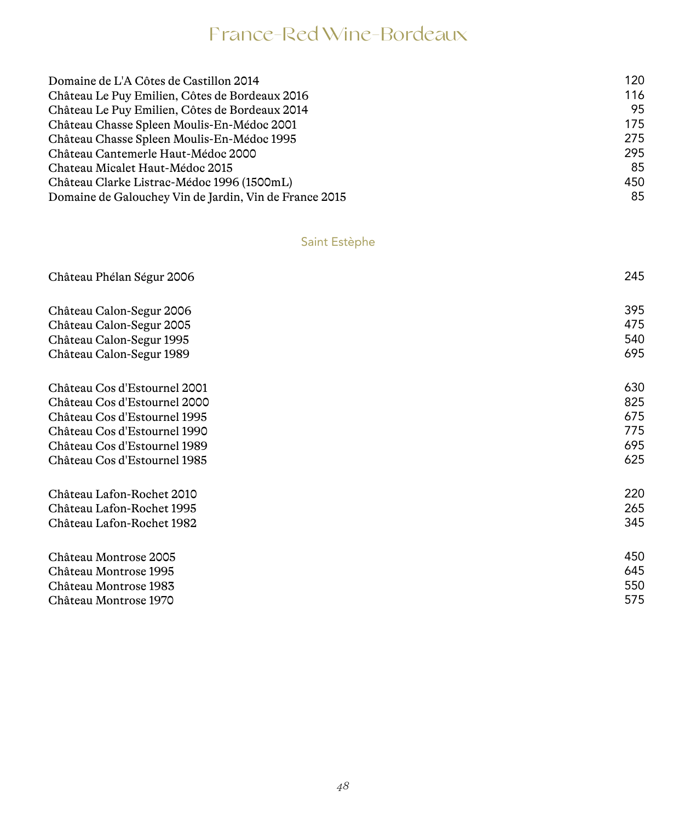| 120 |
|-----|
| 116 |
| 95  |
| 175 |
| 275 |
| 295 |
| 85  |
| 450 |
| 85  |
|     |

### Saint Estèphe

| Château Phélan Ségur 2006    | 245 |
|------------------------------|-----|
| Château Calon-Segur 2006     | 395 |
| Château Calon-Segur 2005     | 475 |
| Château Calon-Segur 1995     | 540 |
| Château Calon-Segur 1989     | 695 |
| Château Cos d'Estournel 2001 | 630 |
| Château Cos d'Estournel 2000 | 825 |
| Château Cos d'Estournel 1995 | 675 |
| Château Cos d'Estournel 1990 | 775 |
| Château Cos d'Estournel 1989 | 695 |
| Château Cos d'Estournel 1985 | 625 |
| Château Lafon-Rochet 2010    | 220 |
| Château Lafon-Rochet 1995    | 265 |
| Château Lafon-Rochet 1982    | 345 |
| Château Montrose 2005        | 450 |
| Château Montrose 1995        | 645 |
| Château Montrose 1983        | 550 |
| Château Montrose 1970        | 575 |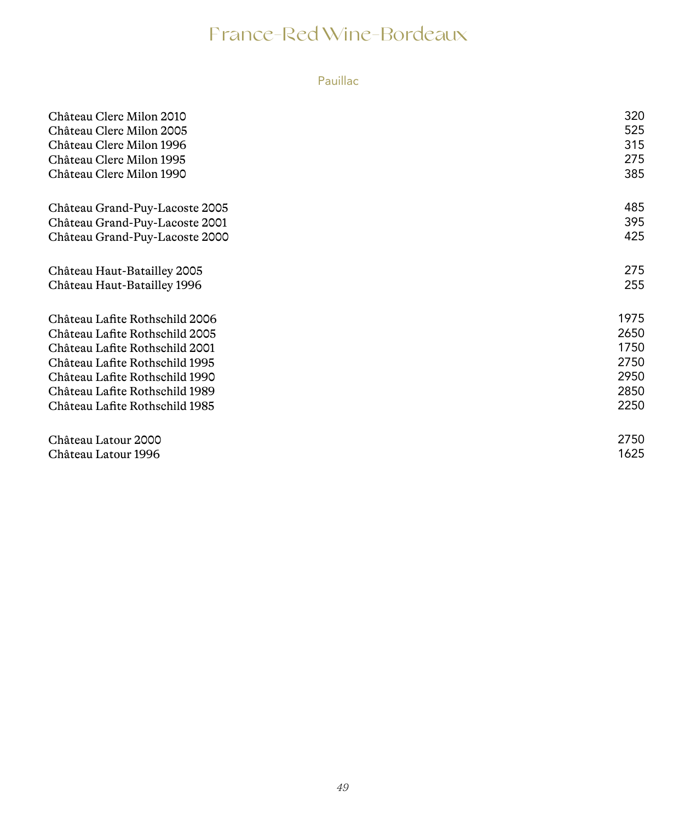### Pauillac

| Château Clerc Milon 2010       | 320  |
|--------------------------------|------|
| Château Clerc Milon 2005       | 525  |
| Château Clerc Milon 1996       | 315  |
| Château Clerc Milon 1995       | 275  |
| Château Clerc Milon 1990       | 385  |
| Château Grand-Puy-Lacoste 2005 | 485  |
| Château Grand-Puy-Lacoste 2001 | 395  |
| Château Grand-Puy-Lacoste 2000 | 425  |
| Château Haut-Batailley 2005    | 275  |
| Château Haut-Batailley 1996    | 255  |
| Château Lafite Rothschild 2006 | 1975 |
| Château Lafite Rothschild 2005 | 2650 |
| Château Lafite Rothschild 2001 | 1750 |
| Château Lafite Rothschild 1995 | 2750 |
| Château Lafite Rothschild 1990 | 2950 |
| Château Lafite Rothschild 1989 | 2850 |
| Château Lafite Rothschild 1985 | 2250 |
| Château Latour 2000            | 2750 |
| Château Latour 1996            | 1625 |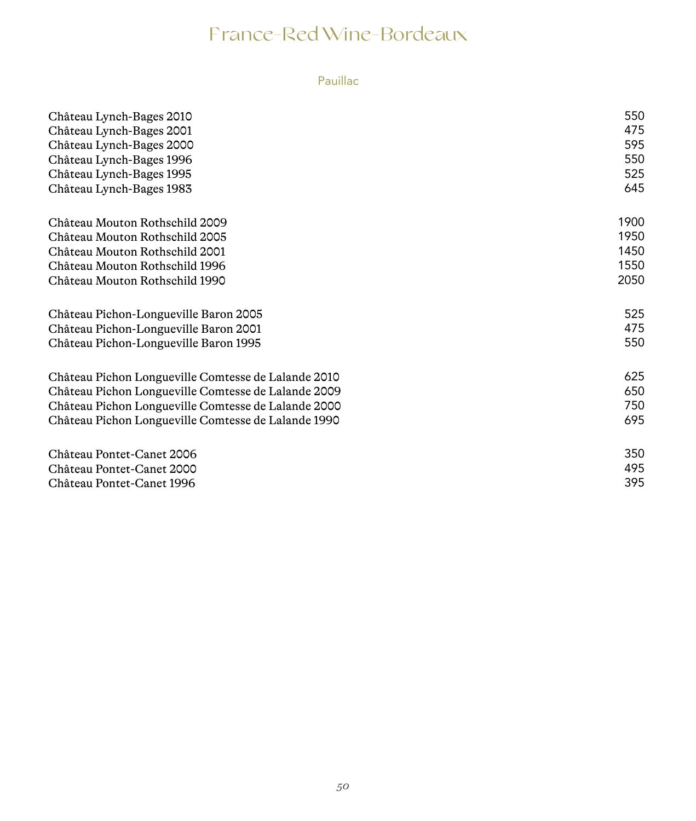### Pauillac

| Château Lynch-Bages 2010                            | 550  |
|-----------------------------------------------------|------|
| Château Lynch-Bages 2001                            | 475  |
| Château Lynch-Bages 2000                            | 595  |
| Château Lynch-Bages 1996                            | 550  |
| Château Lynch-Bages 1995                            | 525  |
| Château Lynch-Bages 1983                            | 645  |
| Château Mouton Rothschild 2009                      | 1900 |
| Château Mouton Rothschild 2005                      | 1950 |
| Château Mouton Rothschild 2001                      | 1450 |
| Château Mouton Rothschild 1996                      | 1550 |
| Château Mouton Rothschild 1990                      | 2050 |
| Château Pichon-Longueville Baron 2005               | 525  |
| Château Pichon-Longueville Baron 2001               | 475  |
| Château Pichon-Longueville Baron 1995               | 550  |
| Château Pichon Longueville Comtesse de Lalande 2010 | 625  |
| Château Pichon Longueville Comtesse de Lalande 2009 | 650  |
| Château Pichon Longueville Comtesse de Lalande 2000 | 750  |
| Château Pichon Longueville Comtesse de Lalande 1990 | 695  |
| Château Pontet-Canet 2006                           | 350  |
| Château Pontet-Canet 2000                           | 495  |
| Château Pontet-Canet 1996                           | 395  |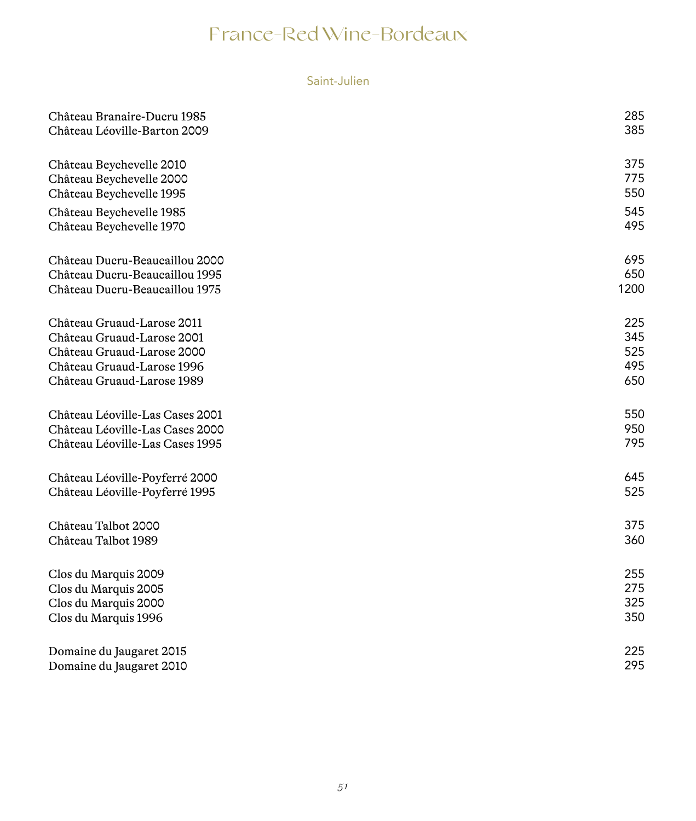#### Saint-Julien

| Château Branaire-Ducru 1985     | 285  |
|---------------------------------|------|
| Château Léoville-Barton 2009    | 385  |
| Château Beychevelle 2010        | 375  |
| Château Beychevelle 2000        | 775  |
| Château Beychevelle 1995        | 550  |
| Château Beychevelle 1985        | 545  |
| Château Beychevelle 1970        | 495  |
| Château Ducru-Beaucaillou 2000  | 695  |
| Château Ducru-Beaucaillou 1995  | 650  |
| Château Ducru-Beaucaillou 1975  | 1200 |
| Château Gruaud-Larose 2011      | 225  |
| Château Gruaud-Larose 2001      | 345  |
| Château Gruaud-Larose 2000      | 525  |
| Château Gruaud-Larose 1996      | 495  |
| Château Gruaud-Larose 1989      | 650  |
| Château Léoville-Las Cases 2001 | 550  |
| Château Léoville-Las Cases 2000 | 950  |
| Château Léoville-Las Cases 1995 | 795  |
| Château Léoville-Poyferré 2000  | 645  |
| Château Léoville-Poyferré 1995  | 525  |
| Château Talbot 2000             | 375  |
| Château Talbot 1989             | 360  |
| Clos du Marquis 2009            | 255  |
| Clos du Marquis 2005            | 275  |
| Clos du Marquis 2000            | 325  |
| Clos du Marquis 1996            | 350  |
| Domaine du Jaugaret 2015        | 225  |
| Domaine du Jaugaret 2010        | 295  |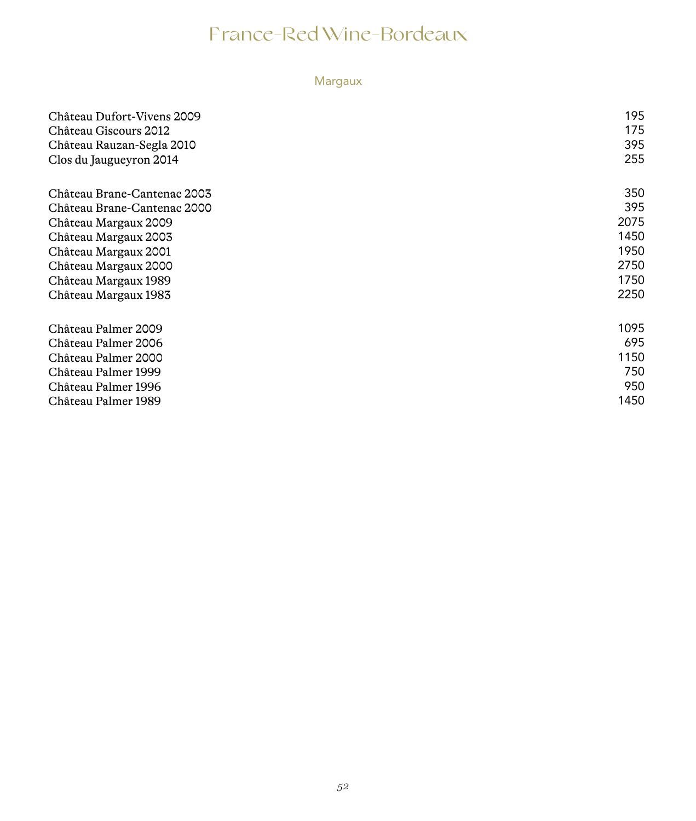### Margaux

| Château Dufort-Vivens 2009<br>Château Giscours 2012<br>Château Rauzan-Segla 2010<br>Clos du Jaugueyron 2014 | 195<br>175<br>395<br>255 |
|-------------------------------------------------------------------------------------------------------------|--------------------------|
| Château Brane-Cantenac 2003                                                                                 | 350                      |
| Château Brane-Cantenac 2000                                                                                 | 395                      |
| Château Margaux 2009                                                                                        | 2075                     |
| Château Margaux 2003                                                                                        | 1450                     |
| Château Margaux 2001                                                                                        | 1950                     |
| Château Margaux 2000                                                                                        | 2750                     |
| Château Margaux 1989                                                                                        | 1750                     |
| Château Margaux 1983                                                                                        | 2250                     |
|                                                                                                             |                          |
| Château Palmer 2009                                                                                         | 1095                     |
| Château Palmer 2006                                                                                         | 695                      |
| Château Palmer 2000                                                                                         | 1150                     |
| Château Palmer 1999                                                                                         | 750                      |
| Château Palmer 1996                                                                                         | 950                      |
| Château Palmer 1989                                                                                         | 1450                     |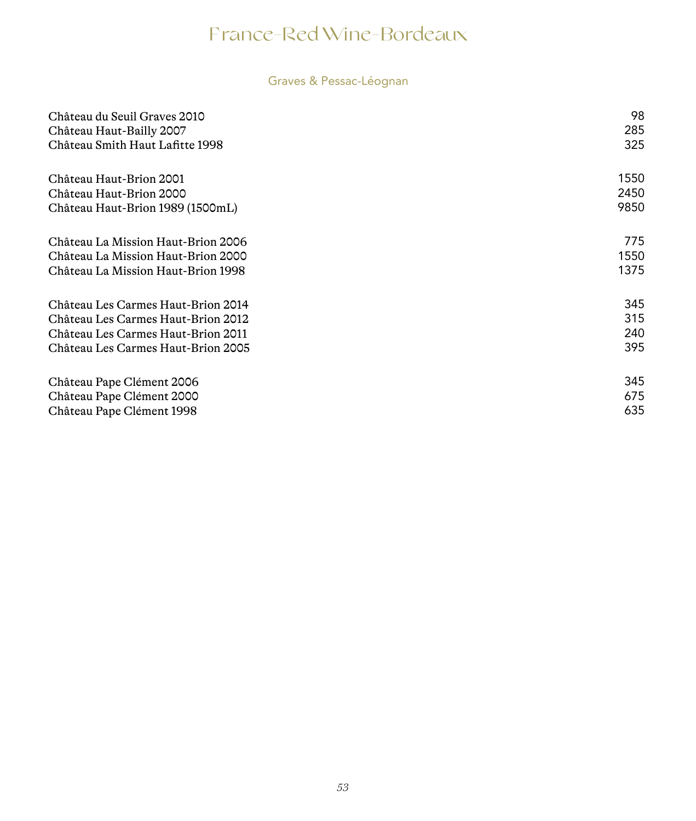### Graves & Pessac-Léognan

| Château du Seuil Graves 2010<br>Château Haut-Bailly 2007<br>Château Smith Haut Lafitte 1998 | 98<br>285<br>325 |
|---------------------------------------------------------------------------------------------|------------------|
| Château Haut-Brion 2001                                                                     | 1550             |
| Château Haut-Brion 2000<br>Château Haut-Brion 1989 (1500mL)                                 | 2450<br>9850     |
| Château La Mission Haut-Brion 2006                                                          | 775              |
| Château La Mission Haut-Brion 2000                                                          | 1550             |
| Château La Mission Haut-Brion 1998                                                          | 1375             |
| Château Les Carmes Haut-Brion 2014                                                          | 345              |
| Château Les Carmes Haut-Brion 2012                                                          | 315              |
| Château Les Carmes Haut-Brion 2011                                                          | 240              |
| Château Les Carmes Haut-Brion 2005                                                          | 395              |
| Château Pape Clément 2006                                                                   | 345              |
| Château Pape Clément 2000                                                                   | 675              |
| Château Pape Clément 1998                                                                   | 635              |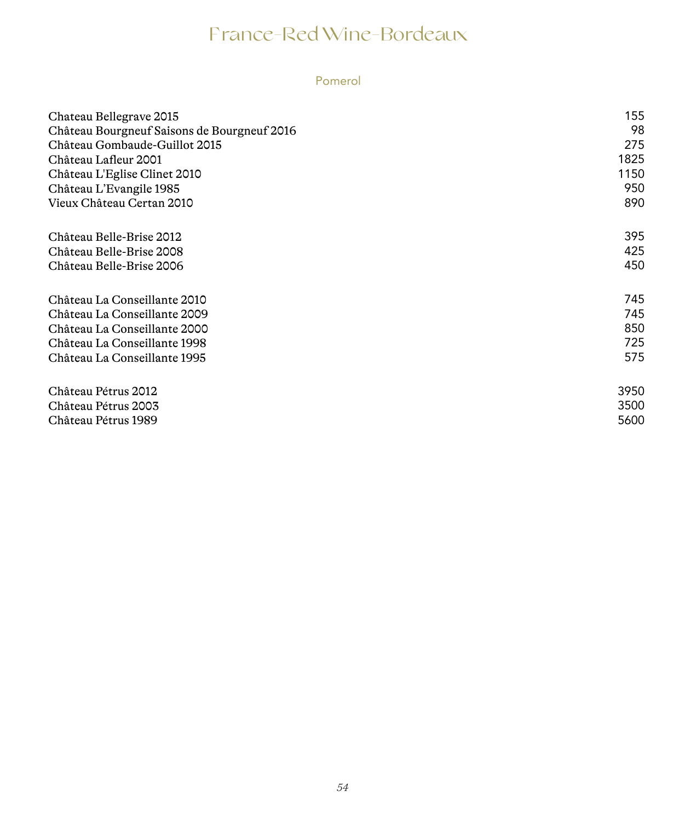#### Pomerol

| Chateau Bellegrave 2015                     | 155  |
|---------------------------------------------|------|
| Château Bourgneuf Saisons de Bourgneuf 2016 | 98   |
| Château Gombaude-Guillot 2015               | 275  |
| Château Lafleur 2001                        | 1825 |
| Château L'Eglise Clinet 2010                | 1150 |
| Château L'Evangile 1985                     | 950  |
| Vieux Château Certan 2010                   | 890  |
| Château Belle-Brise 2012                    | 395  |
| Château Belle-Brise 2008                    | 425  |
| Château Belle-Brise 2006                    | 450  |
| Château La Conseillante 2010                | 745  |
| Château La Conseillante 2009                | 745  |
| Château La Conseillante 2000                | 850  |
| Château La Conseillante 1998                | 725  |
| Château La Conseillante 1995                | 575  |
| Château Pétrus 2012                         | 3950 |
| Château Pétrus 2003                         | 3500 |
| Château Pétrus 1989                         | 5600 |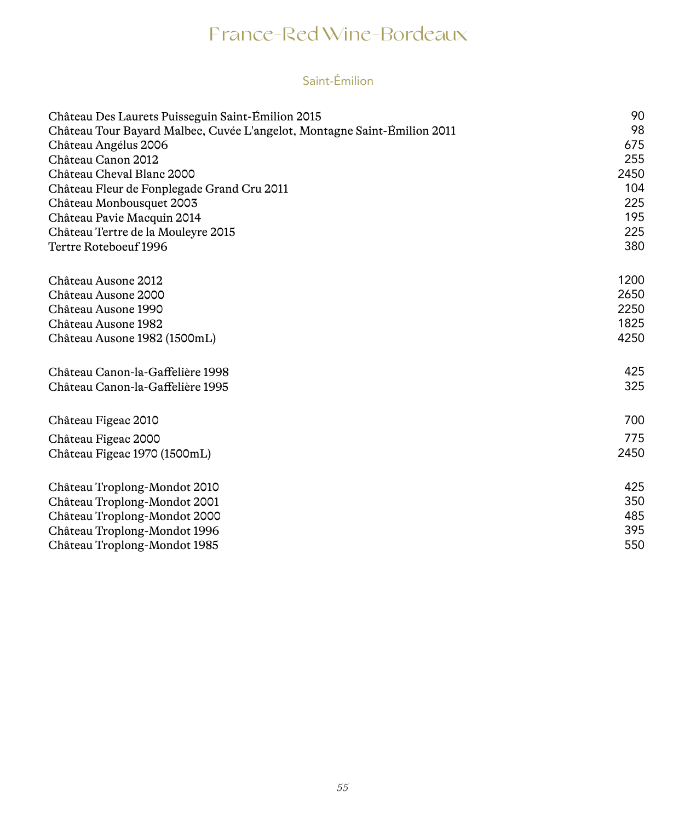### Saint-Émilion

| Château Des Laurets Puisseguin Saint-Emilion 2015                        | 90   |
|--------------------------------------------------------------------------|------|
| Château Tour Bayard Malbec, Cuvée L'angelot, Montagne Saint-Émilion 2011 | 98   |
| Château Angélus 2006                                                     | 675  |
| Château Canon 2012                                                       | 255  |
| Château Cheval Blanc 2000                                                | 2450 |
| Château Fleur de Fonplegade Grand Cru 2011                               | 104  |
| Château Monbousquet 2003                                                 | 225  |
| Château Pavie Macquin 2014                                               | 195  |
| Château Tertre de la Mouleyre 2015                                       | 225  |
| Tertre Roteboeuf 1996                                                    | 380  |
| Château Ausone 2012                                                      | 1200 |
| Château Ausone 2000                                                      | 2650 |
| Château Ausone 1990                                                      | 2250 |
| Château Ausone 1982                                                      | 1825 |
| Château Ausone 1982 (1500mL)                                             | 4250 |
| Château Canon-la-Gaffelière 1998                                         | 425  |
| Château Canon-la-Gaffelière 1995                                         | 325  |
| Château Figeac 2010                                                      | 700  |
| Château Figeac 2000                                                      | 775  |
| Château Figeac 1970 (1500mL)                                             | 2450 |
| Château Troplong-Mondot 2010                                             | 425  |
| Château Troplong-Mondot 2001                                             | 350  |
| Château Troplong-Mondot 2000                                             | 485  |
| Château Troplong-Mondot 1996                                             | 395  |
| Château Troplong-Mondot 1985                                             | 550  |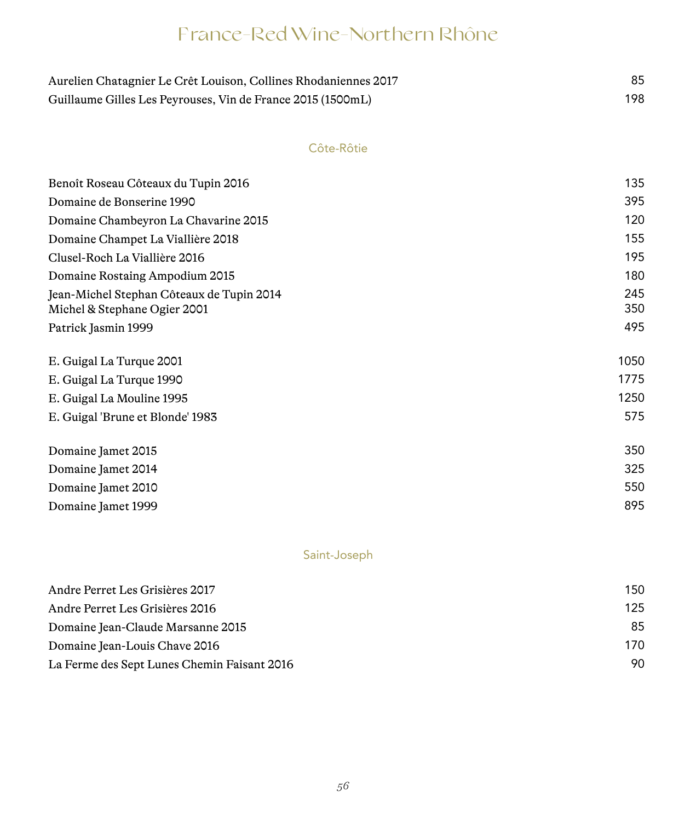## France-Red Wine-Northern Rhône

| Aurelien Chatagnier Le Crêt Louison, Collines Rhodaniennes 2017 |     |
|-----------------------------------------------------------------|-----|
| Guillaume Gilles Les Peyrouses, Vin de France 2015 (1500mL)     | 198 |

#### Côte-Rôtie

| Benoît Roseau Côteaux du Tupin 2016                                       | 135        |
|---------------------------------------------------------------------------|------------|
| Domaine de Bonserine 1990                                                 | 395        |
| Domaine Chambeyron La Chavarine 2015                                      | 120        |
| Domaine Champet La Viallière 2018                                         | 155        |
| Clusel-Roch La Viallière 2016                                             | 195        |
| Domaine Rostaing Ampodium 2015                                            | 180        |
| Jean-Michel Stephan Côteaux de Tupin 2014<br>Michel & Stephane Ogier 2001 | 245<br>350 |
| Patrick Jasmin 1999                                                       | 495        |
| E. Guigal La Turque 2001                                                  | 1050       |
| E. Guigal La Turque 1990                                                  | 1775       |
| E. Guigal La Mouline 1995                                                 | 1250       |
| E. Guigal 'Brune et Blonde' 1983                                          | 575        |
| Domaine Jamet 2015                                                        | 350        |
| Domaine Jamet 2014                                                        | 325        |
| Domaine Jamet 2010                                                        | 550        |
| Domaine Jamet 1999                                                        | 895        |

#### Saint-Joseph

| Andre Perret Les Grisières 2017             | 150 |
|---------------------------------------------|-----|
| Andre Perret Les Grisières 2016             | 125 |
| Domaine Jean-Claude Marsanne 2015           | 85  |
| Domaine Jean-Louis Chave 2016               | 170 |
| La Ferme des Sept Lunes Chemin Faisant 2016 | 90  |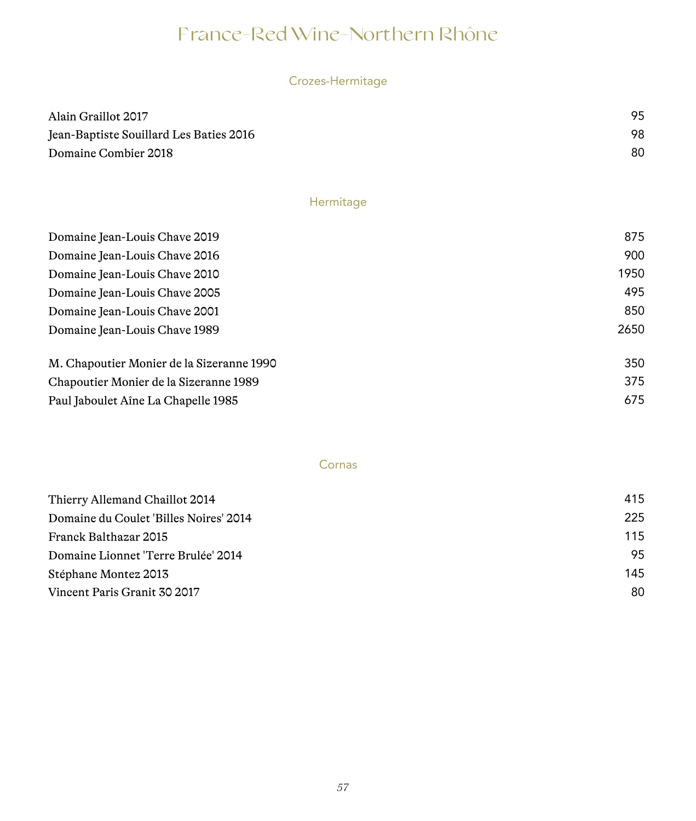## France-Red Wine-Northern Rhône

| Crozes-Hermitage |  |  |  |
|------------------|--|--|--|
|                  |  |  |  |
|                  |  |  |  |

| Alain Graillot 2017                     | 95 |
|-----------------------------------------|----|
| Jean-Baptiste Souillard Les Baties 2016 | 98 |
| Domaine Combier 2018                    | 80 |

#### Hermitage

| Domaine Jean-Louis Chave 2019             | 875  |
|-------------------------------------------|------|
| Domaine Jean-Louis Chave 2016             | 900  |
| Domaine Jean-Louis Chave 2010             | 1950 |
| Domaine Jean-Louis Chave 2005             | 495  |
| Domaine Jean-Louis Chave 2001             | 850  |
| Domaine Jean-Louis Chave 1989             | 2650 |
| M. Chapoutier Monier de la Sizeranne 1990 | 350  |
| Chapoutier Monier de la Sizeranne 1989    | 375  |
| Paul Jaboulet Aîne La Chapelle 1985       | 675  |

#### Cornas

| 415 |
|-----|
| 225 |
| 115 |
| 95  |
| 145 |
| 80  |
|     |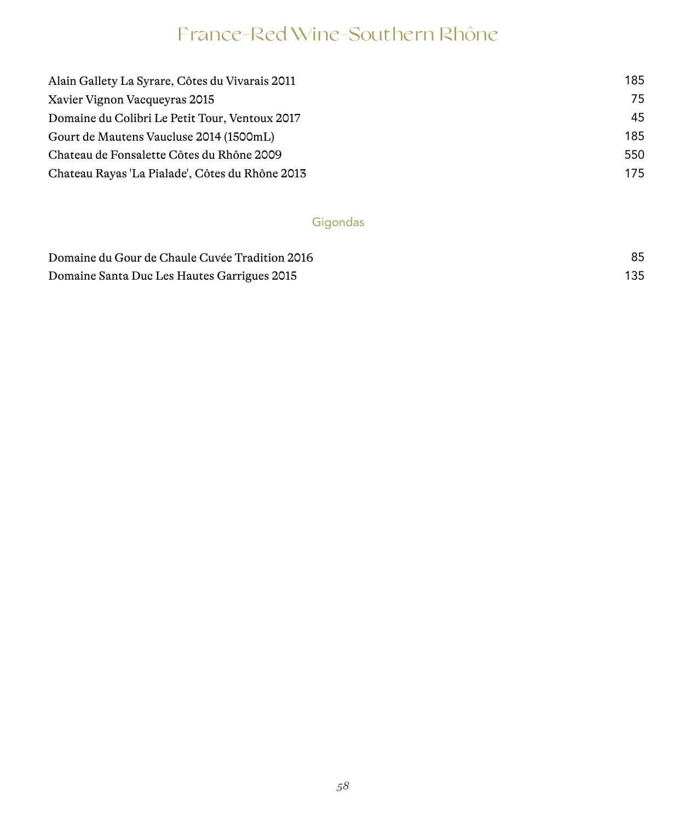## France-Red Wine-Southern Rhône

| 185 |
|-----|
| 75  |
| 45  |
| 185 |
| 550 |
| 175 |
|     |

### Gigondas

| Domaine du Gour de Chaule Cuvée Tradition 2016 |  |
|------------------------------------------------|--|
| Domaine Santa Duc Les Hautes Garrigues 2015    |  |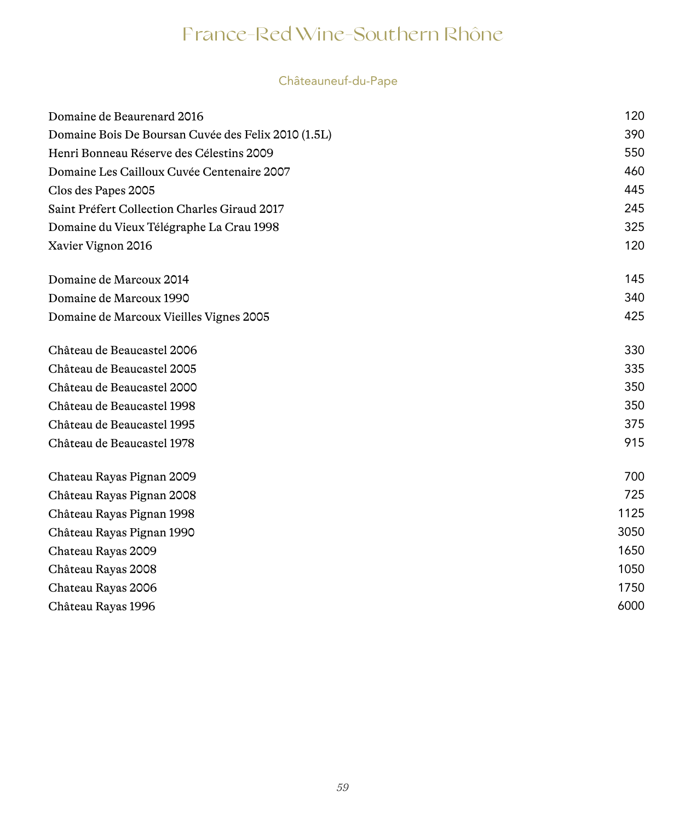## France-Red Wine-Southern Rhône

### Châteauneuf-du-Pape

| Domaine de Beaurenard 2016                          | 120  |
|-----------------------------------------------------|------|
| Domaine Bois De Boursan Cuvée des Felix 2010 (1.5L) | 390  |
| Henri Bonneau Réserve des Célestins 2009            | 550  |
| Domaine Les Cailloux Cuvée Centenaire 2007          | 460  |
| Clos des Papes 2005                                 | 445  |
| Saint Préfert Collection Charles Giraud 2017        | 245  |
| Domaine du Vieux Télégraphe La Crau 1998            | 325  |
| Xavier Vignon 2016                                  | 120  |
| Domaine de Marcoux 2014                             | 145  |
| Domaine de Marcoux 1990                             | 340  |
| Domaine de Marcoux Vieilles Vignes 2005             | 425  |
| Château de Beaucastel 2006                          | 330  |
| Château de Beaucastel 2005                          | 335  |
| Château de Beaucastel 2000                          | 350  |
| Château de Beaucastel 1998                          | 350  |
| Château de Beaucastel 1995                          | 375  |
| Château de Beaucastel 1978                          | 915  |
| Chateau Rayas Pignan 2009                           | 700  |
| Château Rayas Pignan 2008                           | 725  |
| Château Rayas Pignan 1998                           | 1125 |
| Château Rayas Pignan 1990                           | 3050 |
| Chateau Rayas 2009                                  | 1650 |
| Château Rayas 2008                                  | 1050 |
| Chateau Rayas 2006                                  | 1750 |
| Château Rayas 1996                                  | 6000 |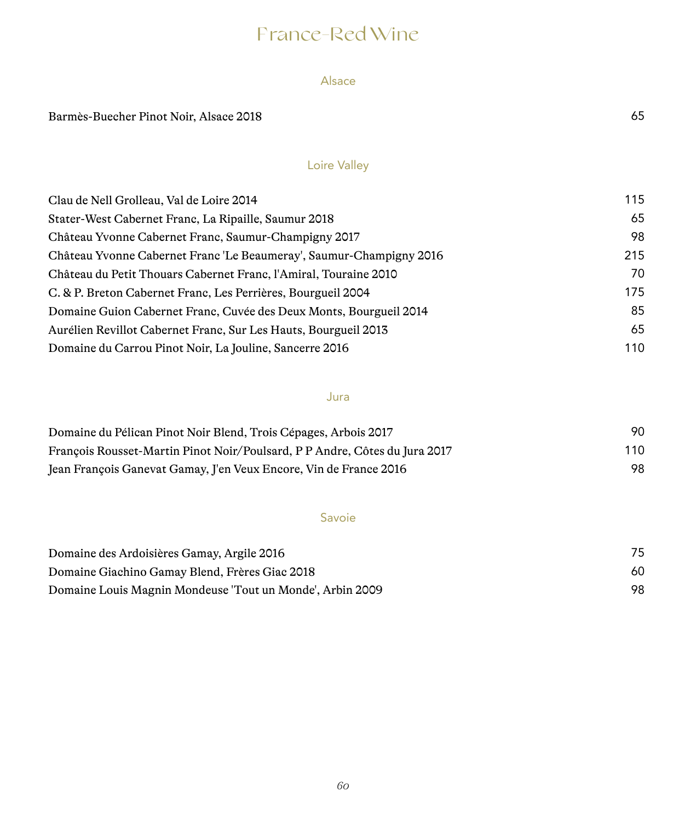## France-Red Wine

#### Alsace

Barmès-Buecher Pinot Noir, Alsace 2018 65

### Loire Valley

| Clau de Nell Grolleau, Val de Loire 2014                            | 115 |
|---------------------------------------------------------------------|-----|
| Stater-West Cabernet Franc, La Ripaille, Saumur 2018                | 65  |
| Château Yvonne Cabernet Franc, Saumur-Champigny 2017                | 98  |
| Château Yvonne Cabernet Franc 'Le Beaumeray', Saumur-Champigny 2016 | 215 |
| Château du Petit Thouars Cabernet Franc, l'Amiral, Touraine 2010    | 70  |
| C. & P. Breton Cabernet Franc, Les Perrières, Bourgueil 2004        | 175 |
| Domaine Guion Cabernet Franc, Cuvée des Deux Monts, Bourgueil 2014  | 85  |
| Aurélien Revillot Cabernet Franc, Sur Les Hauts, Bourgueil 2013     | 65  |
| Domaine du Carrou Pinot Noir, La Jouline, Sancerre 2016             | 110 |

#### Jura

| Domaine du Pélican Pinot Noir Blend, Trois Cépages, Arbois 2017            | 90  |
|----------------------------------------------------------------------------|-----|
| François Rousset-Martin Pinot Noir/Poulsard, P P Andre, Côtes du Jura 2017 | 110 |
| Jean François Ganevat Gamay, J'en Veux Encore, Vin de France 2016          | 98  |

#### Savoie

| Domaine des Ardoisières Gamay, Argile 2016              |    |
|---------------------------------------------------------|----|
| Domaine Giachino Gamay Blend, Frères Giac 2018          | 60 |
| Domaine Louis Magnin Mondeuse Tout un Monde, Arbin 2009 | 98 |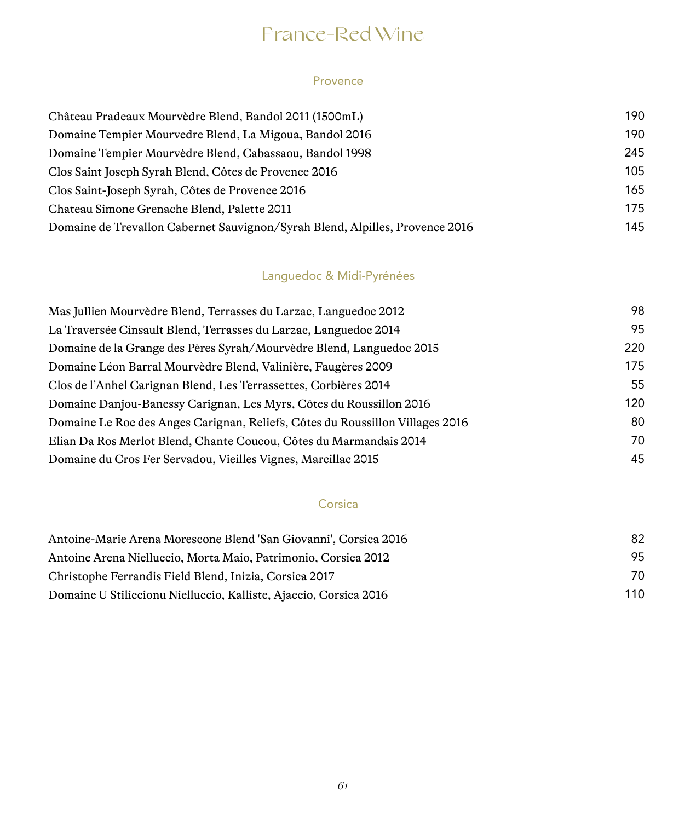## France-Red Wine

#### Provence

| Château Pradeaux Mourvèdre Blend, Bandol 2011 (1500mL)                       | 190 |
|------------------------------------------------------------------------------|-----|
| Domaine Tempier Mourvedre Blend, La Migoua, Bandol 2016                      | 190 |
| Domaine Tempier Mourvèdre Blend, Cabassaou, Bandol 1998                      | 245 |
| Clos Saint Joseph Syrah Blend, Côtes de Provence 2016                        | 105 |
| Clos Saint-Joseph Syrah, Côtes de Provence 2016                              | 165 |
| Chateau Simone Grenache Blend, Palette 2011                                  | 175 |
| Domaine de Trevallon Cabernet Sauvignon/Syrah Blend, Alpilles, Provence 2016 | 145 |

### Languedoc & Midi-Pyrénées

| Mas Jullien Mourvèdre Blend, Terrasses du Larzac, Languedoc 2012              | 98  |
|-------------------------------------------------------------------------------|-----|
| La Traversée Cinsault Blend, Terrasses du Larzac, Languedoc 2014              | 95  |
| Domaine de la Grange des Pères Syrah/Mourvèdre Blend, Languedoc 2015          | 220 |
| Domaine Léon Barral Mourvèdre Blend, Valinière, Faugères 2009                 | 175 |
| Clos de l'Anhel Carignan Blend, Les Terrassettes, Corbières 2014              | 55  |
| Domaine Danjou-Banessy Carignan, Les Myrs, Côtes du Roussillon 2016           | 120 |
| Domaine Le Roc des Anges Carignan, Reliefs, Côtes du Roussillon Villages 2016 | 80  |
| Elian Da Ros Merlot Blend, Chante Coucou, Côtes du Marmandais 2014            | 70  |
| Domaine du Cros Fer Servadou, Vieilles Vignes, Marcillac 2015                 | 45  |

#### Corsica

| Antoine-Marie Arena Morescone Blend 'San Giovanni', Corsica 2016  | 82  |
|-------------------------------------------------------------------|-----|
| Antoine Arena Nielluccio. Morta Maio. Patrimonio. Corsica 2012    | 95  |
| Christophe Ferrandis Field Blend, Inizia, Corsica 2017            | 70  |
| Domaine U Stiliccionu Nielluccio, Kalliste, Ajaccio, Corsica 2016 | 110 |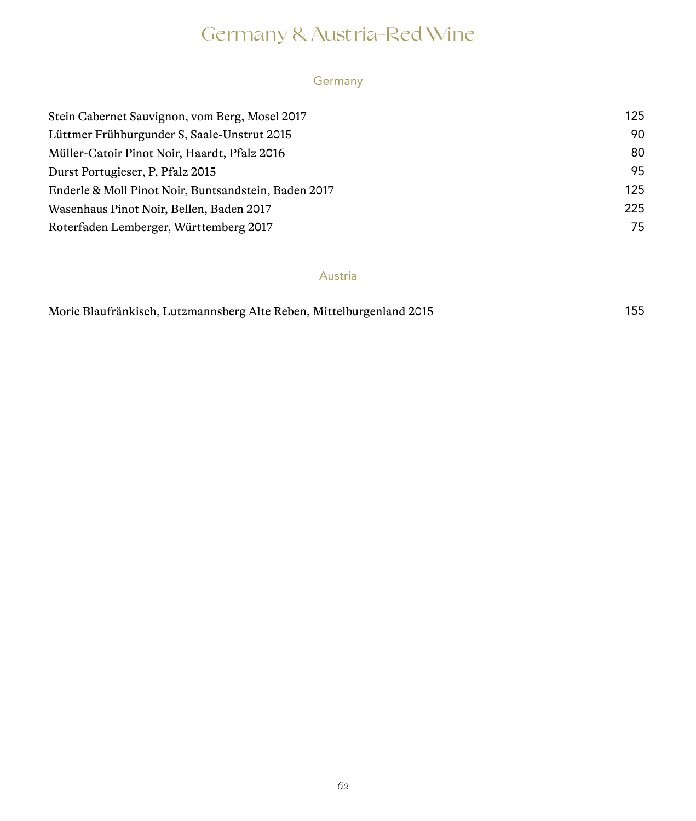## Germany & Austria-Red Wine

#### Germany

| Stein Cabernet Sauvignon, vom Berg, Mosel 2017       | 125 |
|------------------------------------------------------|-----|
| Lüttmer Frühburgunder S. Saale-Unstrut 2015          | 90  |
| Müller-Catoir Pinot Noir, Haardt, Pfalz 2016         | 80  |
| Durst Portugieser, P. Pfalz 2015                     | 95  |
| Enderle & Moll Pinot Noir, Buntsandstein, Baden 2017 | 125 |
| Wasenhaus Pinot Noir, Bellen, Baden 2017             | 225 |
| Roterfaden Lemberger, Württemberg 2017               | 75  |

#### Austria

|  |  | Moric Blaufränkisch, Lutzmannsberg Alte Reben, Mittelburgenland 2015 |  | 155 |
|--|--|----------------------------------------------------------------------|--|-----|
|--|--|----------------------------------------------------------------------|--|-----|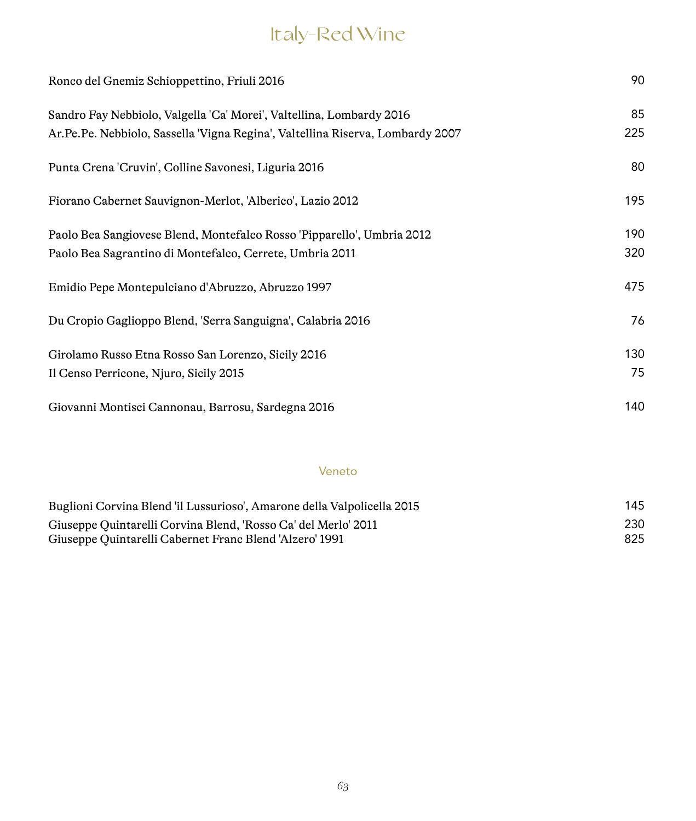## Italy-Red Wine

| Ronco del Gnemiz Schioppettino, Friuli 2016                                                                                                            | 90         |
|--------------------------------------------------------------------------------------------------------------------------------------------------------|------------|
| Sandro Fay Nebbiolo, Valgella 'Ca' Morei', Valtellina, Lombardy 2016<br>Ar.Pe.Pe. Nebbiolo, Sassella 'Vigna Regina', Valtellina Riserva, Lombardy 2007 | 85<br>225  |
| Punta Crena 'Cruvin', Colline Savonesi, Liguria 2016                                                                                                   | 80         |
| Fiorano Cabernet Sauvignon-Merlot, 'Alberico', Lazio 2012                                                                                              | 195        |
| Paolo Bea Sangiovese Blend, Montefalco Rosso 'Pipparello', Umbria 2012<br>Paolo Bea Sagrantino di Montefalco, Cerrete, Umbria 2011                     | 190<br>320 |
| Emidio Pepe Montepulciano d'Abruzzo, Abruzzo 1997                                                                                                      | 475        |
| Du Cropio Gaglioppo Blend, 'Serra Sanguigna', Calabria 2016                                                                                            | 76         |
| Girolamo Russo Etna Rosso San Lorenzo, Sicily 2016<br>Il Censo Perricone, Njuro, Sicily 2015                                                           | 130<br>75  |
| Giovanni Montisci Cannonau, Barrosu, Sardegna 2016                                                                                                     | 140        |

#### Veneto

| Buglioni Corvina Blend 'il Lussurioso', Amarone della Valpolicella 2015 | 145 |
|-------------------------------------------------------------------------|-----|
| Giuseppe Quintarelli Corvina Blend, 'Rosso Ca' del Merlo' 2011          | 230 |
| Giuseppe Quintarelli Cabernet Franc Blend 'Alzero' 1991                 | 825 |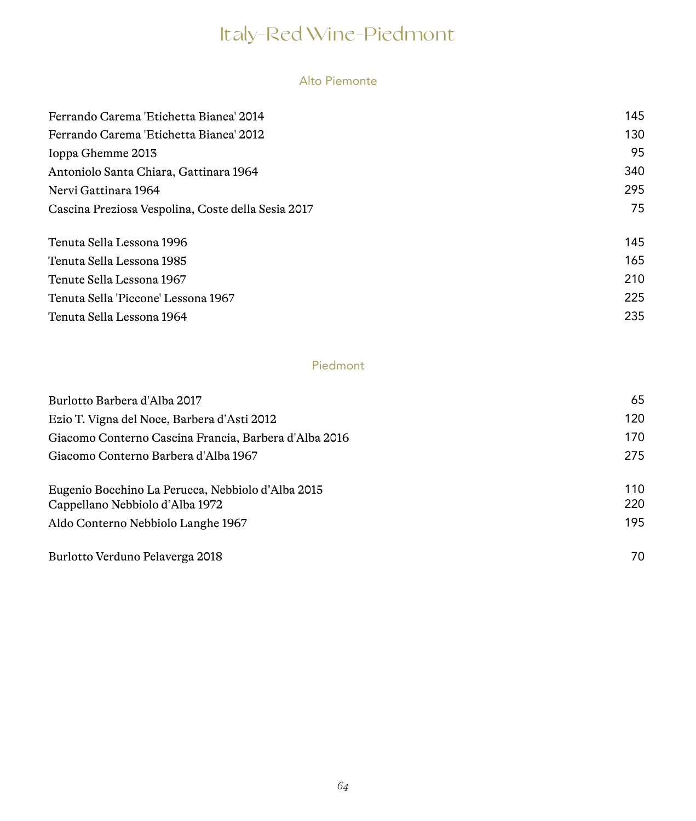#### Alto Piemonte

| 145 |
|-----|
| 130 |
| 95  |
| 340 |
| 295 |
| 75  |
| 145 |
| 165 |
| 210 |
| 225 |
| 235 |
|     |

### Piedmont

| Burlotto Barbera d'Alba 2017                          | 65  |
|-------------------------------------------------------|-----|
| Ezio T. Vigna del Noce, Barbera d'Asti 2012           | 120 |
| Giacomo Conterno Cascina Francia, Barbera d'Alba 2016 | 170 |
| Giacomo Conterno Barbera d'Alba 1967                  | 275 |
| Eugenio Bocchino La Perucca, Nebbiolo d'Alba 2015     | 110 |
| Cappellano Nebbiolo d'Alba 1972                       | 220 |
| Aldo Conterno Nebbiolo Langhe 1967                    | 195 |
| Burlotto Verduno Pelaverga 2018                       | 70  |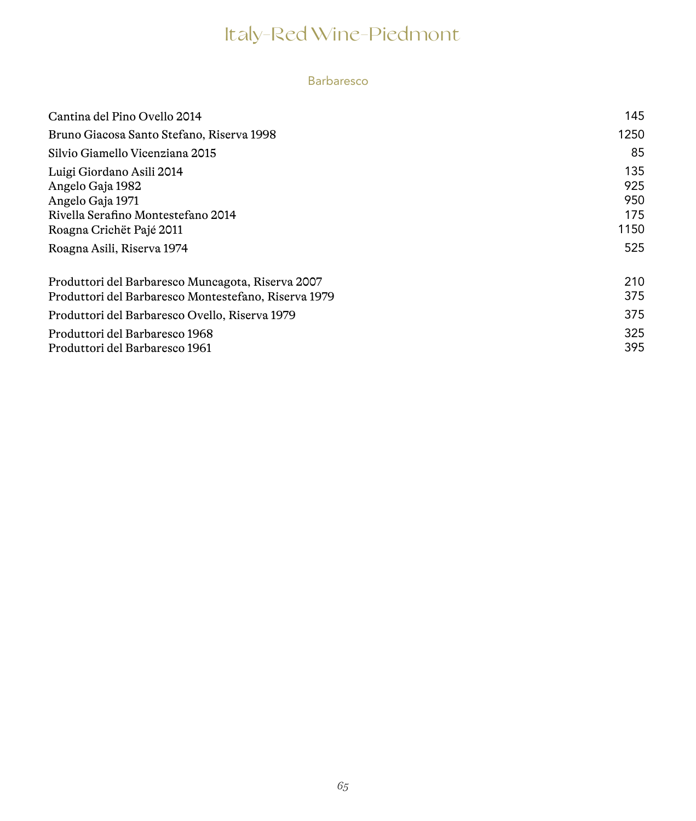#### Barbaresco

| Cantina del Pino Ovello 2014                                                                                                        | 145                              |
|-------------------------------------------------------------------------------------------------------------------------------------|----------------------------------|
| Bruno Giacosa Santo Stefano, Riserva 1998                                                                                           | 1250                             |
| Silvio Giamello Vicenziana 2015                                                                                                     | 85                               |
| Luigi Giordano Asili 2014<br>Angelo Gaja 1982<br>Angelo Gaja 1971<br>Rivella Serafino Montestefano 2014<br>Roagna Crichët Pajé 2011 | 135<br>925<br>950<br>175<br>1150 |
| Roagna Asili, Riserva 1974                                                                                                          | 525                              |
| Produttori del Barbaresco Muncagota, Riserva 2007<br>Produttori del Barbaresco Montestefano, Riserva 1979                           | 210<br>375                       |
| Produttori del Barbaresco Ovello, Riserva 1979                                                                                      | 375                              |
| Produttori del Barbaresco 1968<br>Produttori del Barbaresco 1961                                                                    | 325<br>395.                      |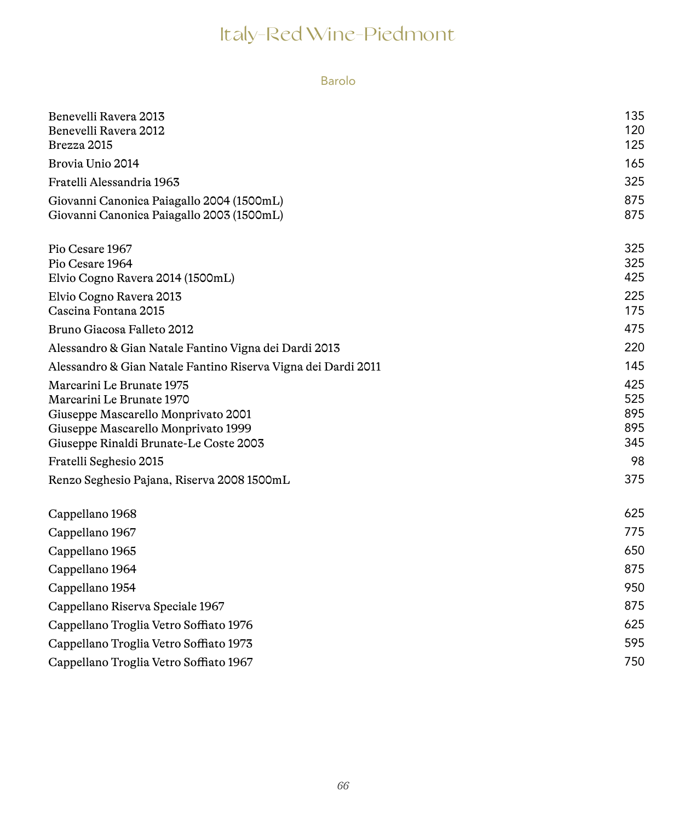Barolo

| Benevelli Ravera 2013<br>Benevelli Ravera 2012                                         | 135<br>120 |
|----------------------------------------------------------------------------------------|------------|
| Brezza 2015                                                                            | 125        |
| Brovia Unio 2014                                                                       | 165        |
| Fratelli Alessandria 1963                                                              | 325        |
|                                                                                        | 875        |
| Giovanni Canonica Paiagallo 2004 (1500mL)<br>Giovanni Canonica Paiagallo 2003 (1500mL) | 875        |
|                                                                                        |            |
| Pio Cesare 1967                                                                        | 325        |
| Pio Cesare 1964                                                                        | 325        |
| Elvio Cogno Ravera 2014 (1500mL)                                                       | 425        |
| Elvio Cogno Ravera 2013                                                                | 225        |
| Cascina Fontana 2015                                                                   | 175        |
| Bruno Giacosa Falleto 2012                                                             | 475        |
| Alessandro & Gian Natale Fantino Vigna dei Dardi 2013                                  | 220        |
| Alessandro & Gian Natale Fantino Riserva Vigna dei Dardi 2011                          | 145        |
| Marcarini Le Brunate 1975                                                              | 425        |
| Marcarini Le Brunate 1970                                                              | 525        |
| Giuseppe Mascarello Monprivato 2001                                                    | 895        |
| Giuseppe Mascarello Monprivato 1999                                                    | 895        |
| Giuseppe Rinaldi Brunate-Le Coste 2003                                                 | 345        |
| Fratelli Seghesio 2015                                                                 | 98         |
| Renzo Seghesio Pajana, Riserva 2008 1500mL                                             | 375        |
| Cappellano 1968                                                                        | 625        |
| Cappellano 1967                                                                        | 775        |
| Cappellano 1965                                                                        | 650        |
| Cappellano 1964                                                                        | 875        |
| Cappellano 1954                                                                        | 950        |
| Cappellano Riserva Speciale 1967                                                       | 875        |
| Cappellano Troglia Vetro Soffiato 1976                                                 | 625        |
| Cappellano Troglia Vetro Soffiato 1973                                                 | 595        |
| Cappellano Troglia Vetro Soffiato 1967                                                 | 750        |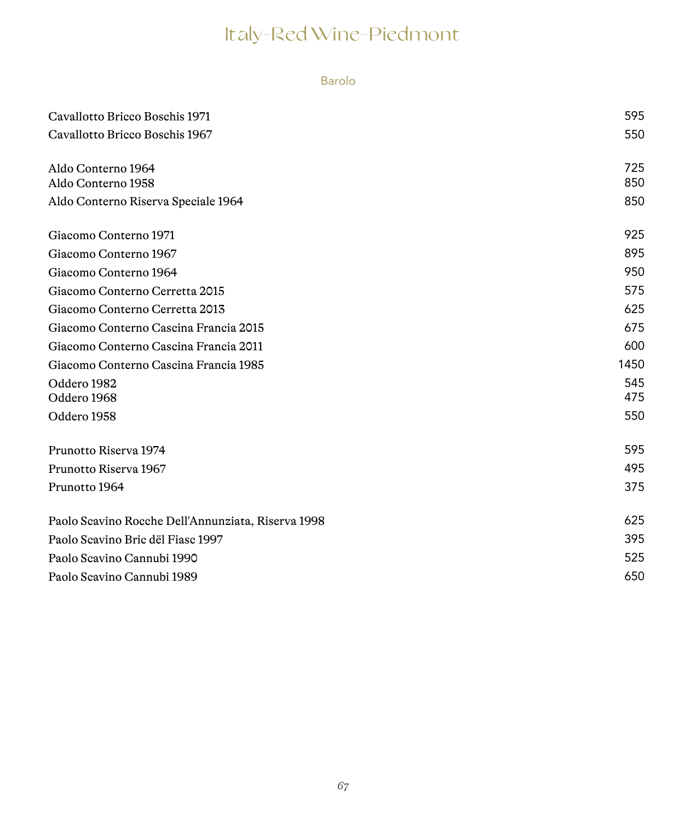#### Barolo

| Cavallotto Bricco Boschis 1971                     | 595  |
|----------------------------------------------------|------|
| Cavallotto Bricco Boschis 1967                     | 550  |
|                                                    |      |
| Aldo Conterno 1964                                 | 725  |
| Aldo Conterno 1958                                 | 850  |
| Aldo Conterno Riserva Speciale 1964                | 850  |
| Giacomo Conterno 1971                              | 925  |
| Giacomo Conterno 1967                              | 895  |
| Giacomo Conterno 1964                              | 950  |
| Giacomo Conterno Cerretta 2015                     | 575  |
| Giacomo Conterno Cerretta 2013                     | 625  |
| Giacomo Conterno Cascina Francia 2015              | 675  |
| Giacomo Conterno Cascina Francia 2011              | 600  |
| Giacomo Conterno Cascina Francia 1985              | 1450 |
| Oddero 1982                                        | 545  |
| Oddero 1968                                        | 475  |
| Oddero 1958                                        | 550  |
| Prunotto Riserva 1974                              | 595  |
| Prunotto Riserva 1967                              | 495  |
| Prunotto 1964                                      | 375  |
| Paolo Scavino Rocche Dell'Annunziata, Riserva 1998 | 625  |
| Paolo Scavino Bric dël Fiasc 1997                  | 395  |
| Paolo Scavino Cannubi 1990                         | 525  |
| Paolo Scavino Cannubi 1989                         | 650  |
|                                                    |      |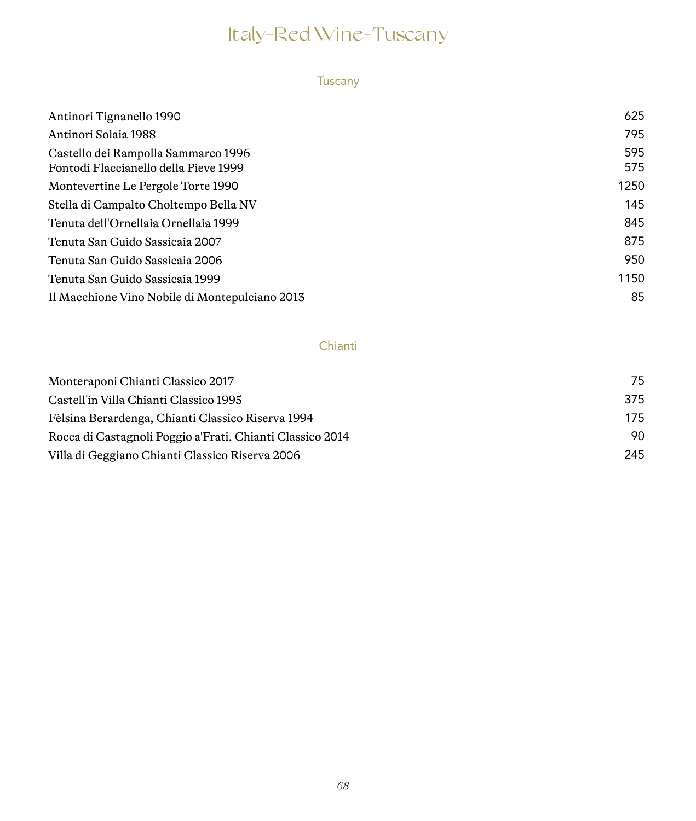## Italy-Red Wine-Tuscany

#### Tuscany

| Antinori Tignanello 1990                                                     | 625        |
|------------------------------------------------------------------------------|------------|
| Antinori Solaia 1988                                                         | 795        |
| Castello dei Rampolla Sammarco 1996<br>Fontodi Flaccianello della Pieve 1999 | 595<br>575 |
| Montevertine Le Pergole Torte 1990                                           | 1250       |
| Stella di Campalto Choltempo Bella NV                                        | 145        |
| Tenuta dell'Ornellaia Ornellaia 1999                                         | 845        |
| Tenuta San Guido Sassicaia 2007                                              | 875        |
| Tenuta San Guido Sassicaia 2006                                              | 950        |
| Tenuta San Guido Sassicaia 1999                                              | 1150       |
| Il Macchione Vino Nobile di Montepulciano 2013                               | 85         |

#### Chianti

| Monteraponi Chianti Classico 2017                         | 75  |
|-----------------------------------------------------------|-----|
| Castell'in Villa Chianti Classico 1995                    | 375 |
| Fèlsina Berardenga, Chianti Classico Riserva 1994         | 175 |
| Rocca di Castagnoli Poggio a'Frati, Chianti Classico 2014 | 90  |
| Villa di Geggiano Chianti Classico Riserva 2006           | 245 |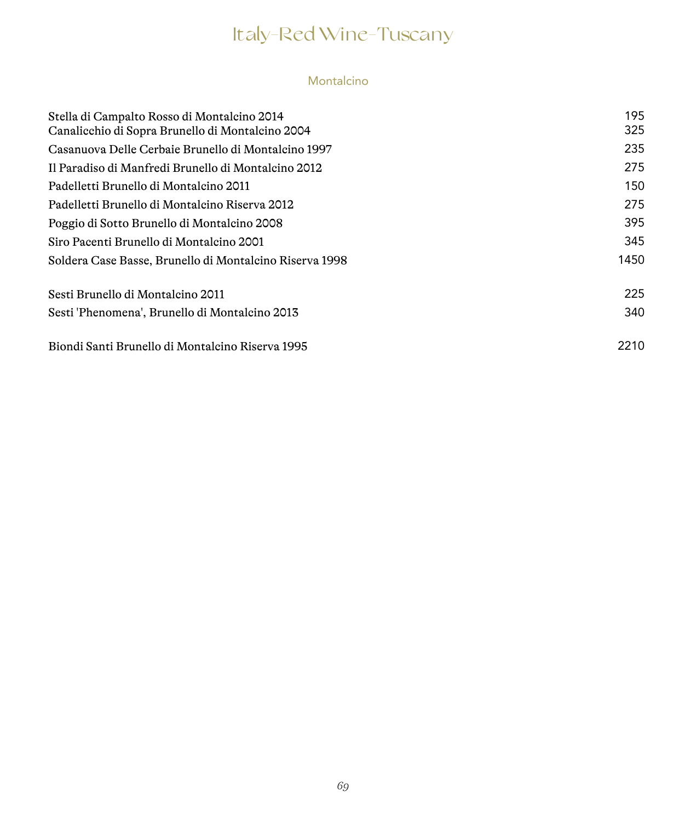## Italy-Red Wine-Tuscany

### Montalcino

| Stella di Campalto Rosso di Montalcino 2014             | 195  |
|---------------------------------------------------------|------|
| Canalicchio di Sopra Brunello di Montalcino 2004        | 325  |
| Casanuova Delle Cerbaie Brunello di Montalcino 1997     | 235  |
| Il Paradiso di Manfredi Brunello di Montalcino 2012     | 275  |
| Padelletti Brunello di Montalcino 2011                  | 150  |
| Padelletti Brunello di Montalcino Riserva 2012          | 275  |
| Poggio di Sotto Brunello di Montalcino 2008             | 395  |
| Siro Pacenti Brunello di Montalcino 2001                | 345  |
| Soldera Case Basse, Brunello di Montalcino Riserva 1998 | 1450 |
| Sesti Brunello di Montalcino 2011                       | 225  |
| Sesti 'Phenomena', Brunello di Montalcino 2013          | 340  |
| Biondi Santi Brunello di Montalcino Riserva 1995        | 2210 |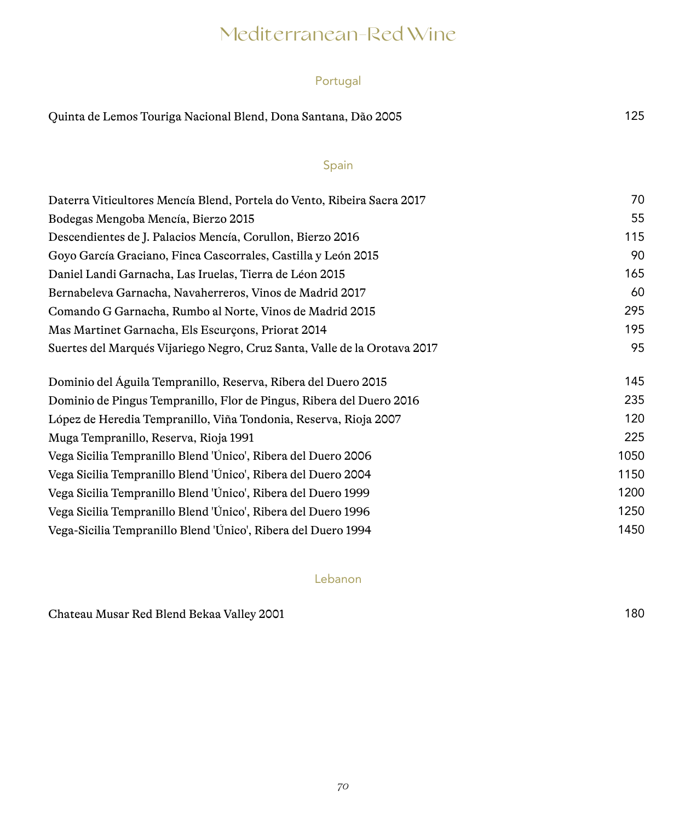## Mediterranean-Red Wine

#### Portugal

| Quinta de Lemos Touriga Nacional Blend, Dona Santana, Dão 2005 | 125 |
|----------------------------------------------------------------|-----|
|----------------------------------------------------------------|-----|

#### Spain

| Daterra Viticultores Mencía Blend, Portela do Vento, Ribeira Sacra 2017   | 70   |
|---------------------------------------------------------------------------|------|
| Bodegas Mengoba Mencía, Bierzo 2015                                       | 55   |
| Descendientes de J. Palacios Mencía, Corullon, Bierzo 2016                | 115  |
| Goyo García Graciano, Finca Cascorrales, Castilla y León 2015             | 90   |
| Daniel Landi Garnacha, Las Iruelas, Tierra de Léon 2015                   | 165  |
| Bernabeleva Garnacha, Navaherreros, Vinos de Madrid 2017                  | 60   |
| Comando G Garnacha, Rumbo al Norte, Vinos de Madrid 2015                  | 295  |
| Mas Martinet Garnacha, Els Escurçons, Priorat 2014                        | 195  |
| Suertes del Marqués Vijariego Negro, Cruz Santa, Valle de la Orotava 2017 | 95   |
| Dominio del Águila Tempranillo, Reserva, Ribera del Duero 2015            | 145  |
| Dominio de Pingus Tempranillo, Flor de Pingus, Ribera del Duero 2016      | 235  |
| López de Heredia Tempranillo, Viña Tondonia, Reserva, Rioja 2007          | 120  |
| Muga Tempranillo, Reserva, Rioja 1991                                     | 225  |
| Vega Sicilia Tempranillo Blend 'Único', Ribera del Duero 2006             | 1050 |
| Vega Sicilia Tempranillo Blend 'Único', Ribera del Duero 2004             | 1150 |
| Vega Sicilia Tempranillo Blend 'Único', Ribera del Duero 1999             | 1200 |
| Vega Sicilia Tempranillo Blend 'Único', Ribera del Duero 1996             | 1250 |
| Vega-Sicilia Tempranillo Blend 'Único', Ribera del Duero 1994             | 1450 |

Lebanon

Chateau Musar Red Blend Bekaa Valley 2001 180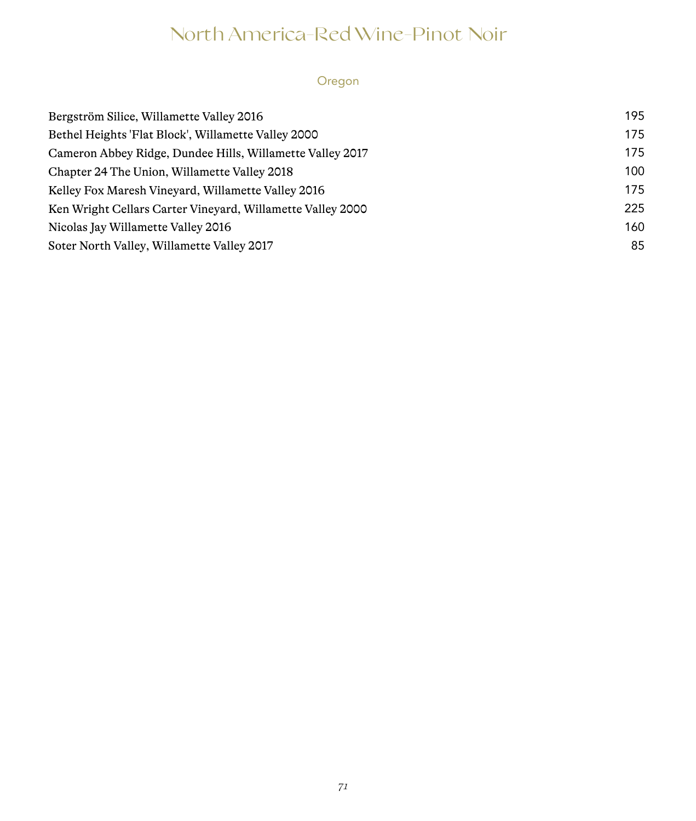## North America-Red Wine-Pinot Noir

### Oregon

| Bergström Silice, Willamette Valley 2016                   | 195 |
|------------------------------------------------------------|-----|
| Bethel Heights 'Flat Block', Willamette Valley 2000        | 175 |
| Cameron Abbey Ridge, Dundee Hills, Willamette Valley 2017  | 175 |
| Chapter 24 The Union, Willamette Valley 2018               | 100 |
| Kelley Fox Maresh Vineyard, Willamette Valley 2016         | 175 |
| Ken Wright Cellars Carter Vineyard, Willamette Valley 2000 | 225 |
| Nicolas Jay Willamette Valley 2016                         | 160 |
| Soter North Valley, Willamette Valley 2017                 | 85  |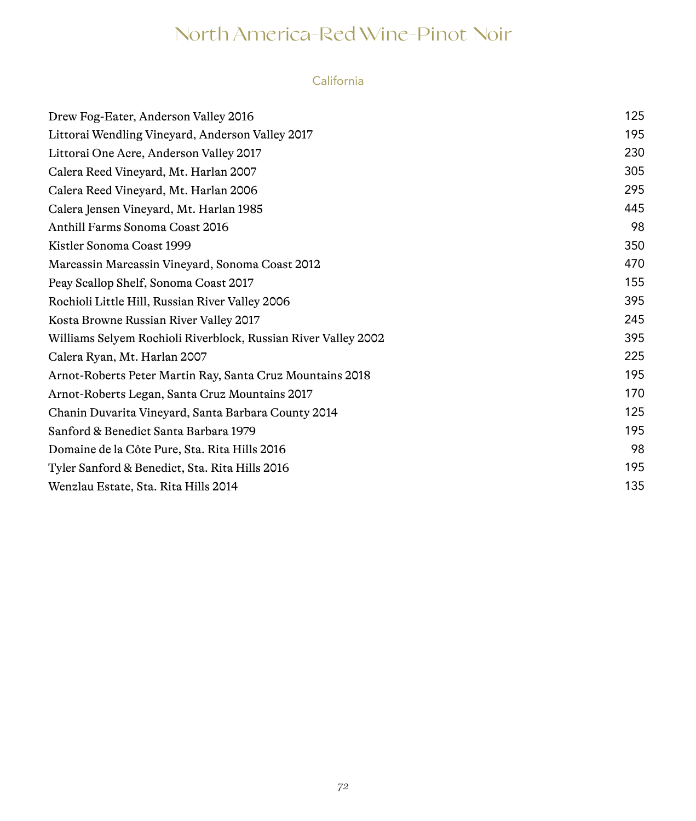## North America-Red Wine-Pinot Noir

### California

| Drew Fog-Eater, Anderson Valley 2016                           | 125 |
|----------------------------------------------------------------|-----|
| Littorai Wendling Vineyard, Anderson Valley 2017               | 195 |
| Littorai One Acre, Anderson Valley 2017                        | 230 |
| Calera Reed Vineyard, Mt. Harlan 2007                          | 305 |
| Calera Reed Vineyard, Mt. Harlan 2006                          | 295 |
| Calera Jensen Vineyard, Mt. Harlan 1985                        | 445 |
| Anthill Farms Sonoma Coast 2016                                | 98  |
| Kistler Sonoma Coast 1999                                      | 350 |
| Marcassin Marcassin Vineyard, Sonoma Coast 2012                | 470 |
| Peay Scallop Shelf, Sonoma Coast 2017                          | 155 |
| Rochioli Little Hill, Russian River Valley 2006                | 395 |
| Kosta Browne Russian River Valley 2017                         | 245 |
| Williams Selyem Rochioli Riverblock, Russian River Valley 2002 | 395 |
| Calera Ryan, Mt. Harlan 2007                                   | 225 |
| Arnot-Roberts Peter Martin Ray, Santa Cruz Mountains 2018      | 195 |
| Arnot-Roberts Legan, Santa Cruz Mountains 2017                 | 170 |
| Chanin Duvarita Vineyard, Santa Barbara County 2014            | 125 |
| Sanford & Benedict Santa Barbara 1979                          | 195 |
| Domaine de la Côte Pure, Sta. Rita Hills 2016                  | 98  |
| Tyler Sanford & Benedict, Sta. Rita Hills 2016                 | 195 |
| Wenzlau Estate, Sta. Rita Hills 2014                           | 135 |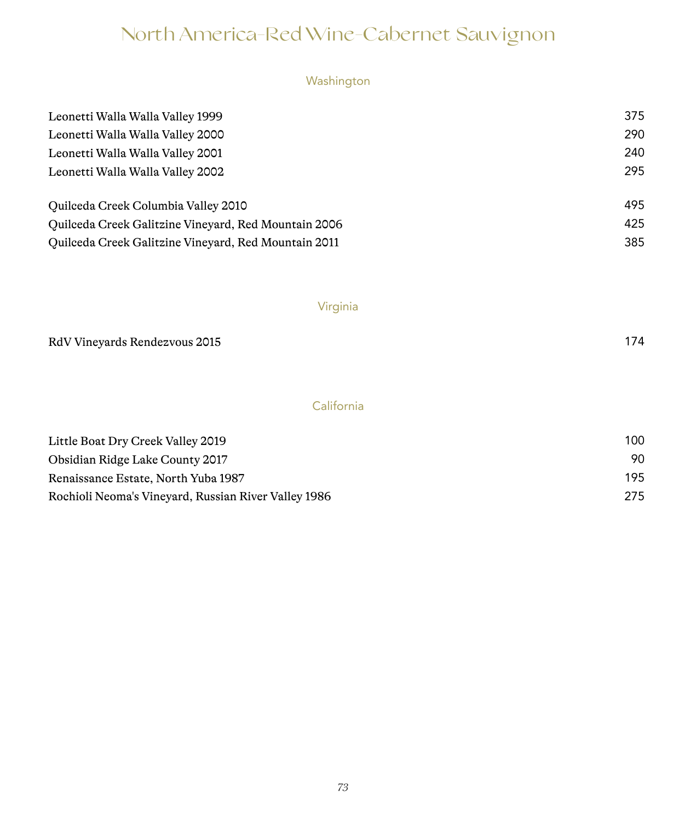# Washington

| Leonetti Walla Walla Valley 1999                     | 375 |
|------------------------------------------------------|-----|
| Leonetti Walla Walla Valley 2000                     | 290 |
| Leonetti Walla Walla Valley 2001                     | 240 |
| Leonetti Walla Walla Valley 2002                     | 295 |
| Quilceda Creek Columbia Valley 2010                  | 495 |
| Ouilceda Creek Galitzine Vineyard, Red Mountain 2006 | 425 |
| Quilceda Creek Galitzine Vineyard, Red Mountain 2011 | 385 |

# Virginia

| RdV Vineyards Rendezvous 2015 | 174 |
|-------------------------------|-----|
|                               |     |

# California

| Little Boat Dry Creek Valley 2019                    | 100 |  |
|------------------------------------------------------|-----|--|
| Obsidian Ridge Lake County 2017                      | 90. |  |
| Renaissance Estate, North Yuba 1987                  | 195 |  |
| Rochioli Neoma's Vineyard, Russian River Valley 1986 | 275 |  |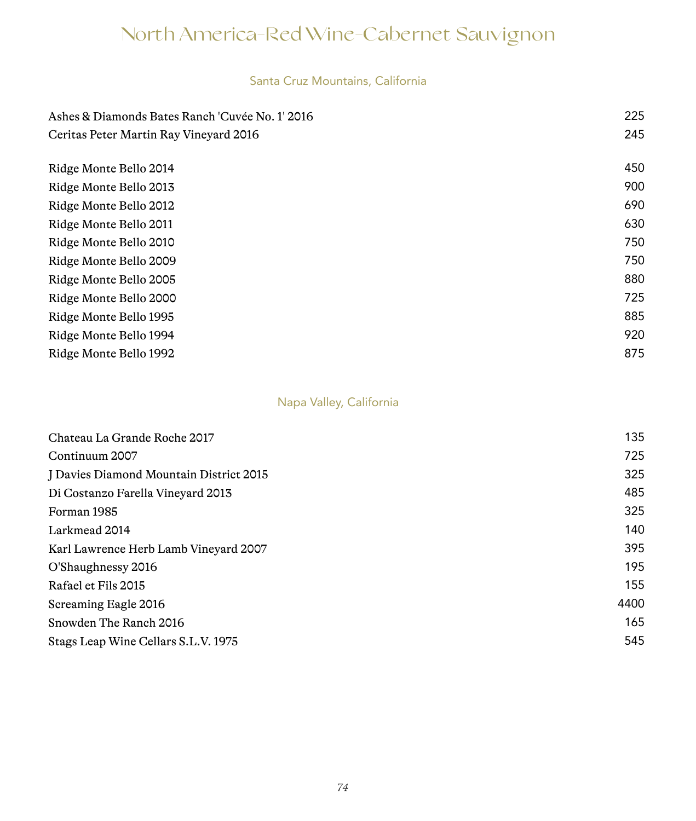#### Santa Cruz Mountains, California

| Ashes & Diamonds Bates Ranch 'Cuvée No. 1' 2016 | 225 |
|-------------------------------------------------|-----|
| Ceritas Peter Martin Ray Vineyard 2016          | 245 |
|                                                 |     |
| Ridge Monte Bello 2014                          | 450 |
| Ridge Monte Bello 2013                          | 900 |
| Ridge Monte Bello 2012                          | 690 |
| Ridge Monte Bello 2011                          | 630 |
| Ridge Monte Bello 2010                          | 750 |
| Ridge Monte Bello 2009                          | 750 |
| Ridge Monte Bello 2005                          | 880 |
| Ridge Monte Bello 2000                          | 725 |
| Ridge Monte Bello 1995                          | 885 |
| Ridge Monte Bello 1994                          | 920 |
| Ridge Monte Bello 1992                          | 875 |

#### Napa Valley, California

| Chateau La Grande Roche 2017            | 135  |
|-----------------------------------------|------|
| Continuum 2007                          | 725  |
| J Davies Diamond Mountain District 2015 | 325  |
| Di Costanzo Farella Vineyard 2013       | 485  |
| Forman 1985                             | 325  |
| Larkmead 2014                           | 140  |
| Karl Lawrence Herb Lamb Vineyard 2007   | 395  |
| O'Shaughnessy 2016                      | 195  |
| Rafael et Fils 2015                     | 155  |
| Screaming Eagle 2016                    | 4400 |
| Snowden The Ranch 2016                  | 165  |
| Stags Leap Wine Cellars S.L.V. 1975     | 545  |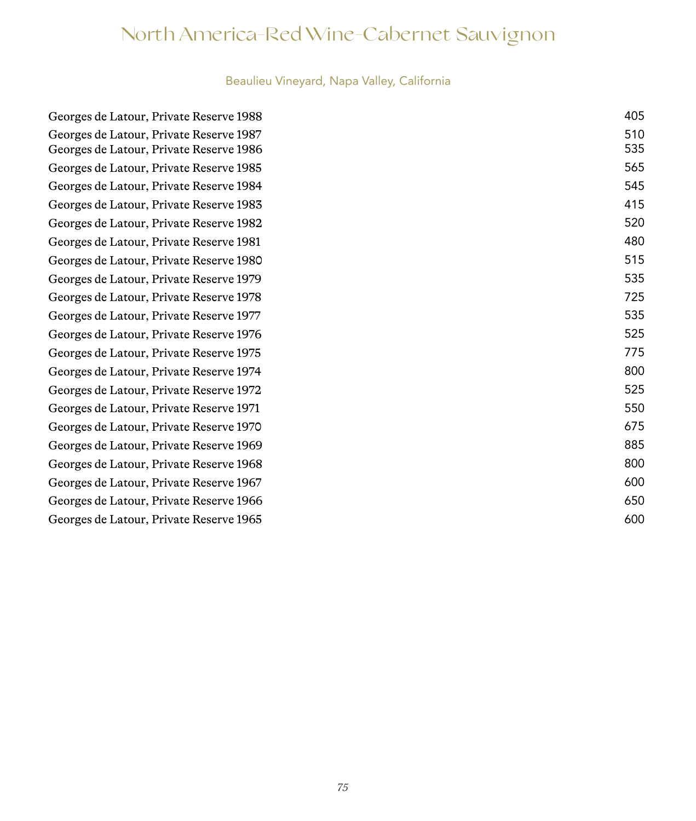# Beaulieu Vineyard, Napa Valley, California

| Georges de Latour, Private Reserve 1988 |
|-----------------------------------------|
| Georges de Latour, Private Reserve 1987 |
| Georges de Latour, Private Reserve 1986 |
| Georges de Latour, Private Reserve 1985 |
| Georges de Latour, Private Reserve 1984 |
| Georges de Latour, Private Reserve 1983 |
| Georges de Latour, Private Reserve 1982 |
| Georges de Latour, Private Reserve 1981 |
| Georges de Latour, Private Reserve 1980 |
| Georges de Latour, Private Reserve 1979 |
| Georges de Latour, Private Reserve 1978 |
| Georges de Latour, Private Reserve 1977 |
| Georges de Latour, Private Reserve 1976 |
| Georges de Latour, Private Reserve 1975 |
| Georges de Latour, Private Reserve 1974 |
| Georges de Latour, Private Reserve 1972 |
| Georges de Latour, Private Reserve 1971 |
| Georges de Latour, Private Reserve 1970 |
| Georges de Latour, Private Reserve 1969 |
| Georges de Latour, Private Reserve 1968 |
| Georges de Latour, Private Reserve 1967 |
| Georges de Latour, Private Reserve 1966 |
| Georges de Latour, Private Reserve 1965 |
|                                         |

| Georges de Latour, Private Reserve 1988 | 405 |
|-----------------------------------------|-----|
| Georges de Latour, Private Reserve 1987 | 510 |
| Georges de Latour, Private Reserve 1986 | 535 |
| Georges de Latour, Private Reserve 1985 | 565 |
| Georges de Latour, Private Reserve 1984 | 545 |
| Georges de Latour, Private Reserve 1983 | 415 |
| Georges de Latour, Private Reserve 1982 | 520 |
| Georges de Latour, Private Reserve 1981 | 480 |
| Georges de Latour, Private Reserve 1980 | 515 |
| Georges de Latour, Private Reserve 1979 | 535 |
| Georges de Latour, Private Reserve 1978 | 725 |
| Georges de Latour, Private Reserve 1977 | 535 |
| Georges de Latour, Private Reserve 1976 | 525 |
| Georges de Latour, Private Reserve 1975 | 775 |
| Georges de Latour, Private Reserve 1974 | 800 |
| Georges de Latour, Private Reserve 1972 | 525 |
| Georges de Latour, Private Reserve 1971 | 550 |
| Georges de Latour, Private Reserve 1970 | 675 |
| Georges de Latour, Private Reserve 1969 | 885 |
| Georges de Latour, Private Reserve 1968 | 800 |
| Georges de Latour, Private Reserve 1967 | 600 |
| Georges de Latour, Private Reserve 1966 | 650 |
| Georges de Latour, Private Reserve 1965 | 600 |
|                                         |     |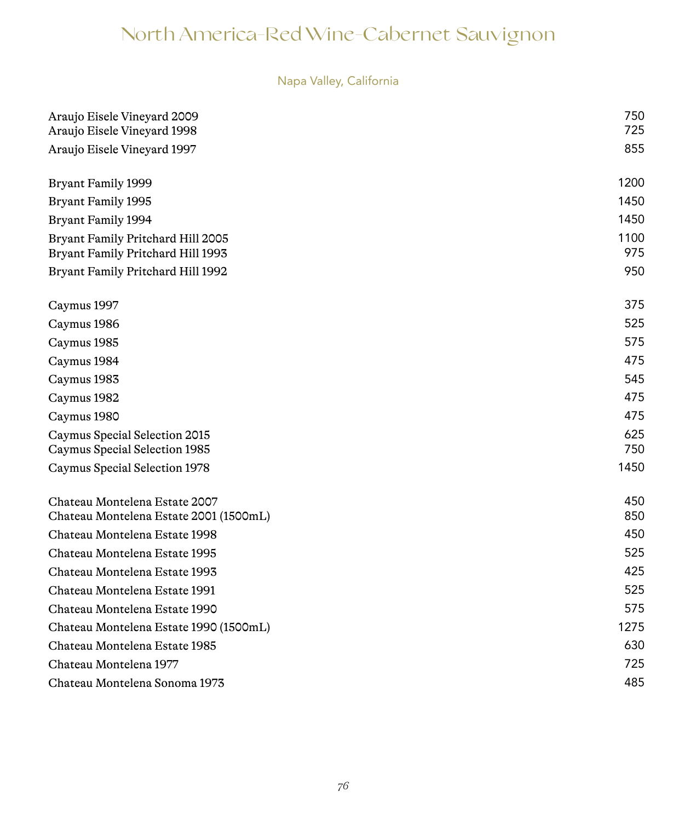# Napa Valley, California

| Araujo Eisele Vineyard 2009<br>Araujo Eisele Vineyard 1998              | 750<br>725  |
|-------------------------------------------------------------------------|-------------|
| Araujo Eisele Vineyard 1997                                             | 855         |
|                                                                         |             |
| Bryant Family 1999                                                      | 1200        |
| Bryant Family 1995                                                      | 1450        |
| <b>Bryant Family 1994</b>                                               | 1450        |
| Bryant Family Pritchard Hill 2005<br>Bryant Family Pritchard Hill 1993  | 1100<br>975 |
| Bryant Family Pritchard Hill 1992                                       | 950         |
| Caymus 1997                                                             | 375         |
| Caymus 1986                                                             | 525         |
| Caymus 1985                                                             | 575         |
| Caymus 1984                                                             | 475         |
| Caymus 1983                                                             | 545         |
| Caymus 1982                                                             | 475         |
| Caymus 1980                                                             | 475         |
| Caymus Special Selection 2015<br>Caymus Special Selection 1985          | 625<br>750  |
| Caymus Special Selection 1978                                           | 1450        |
|                                                                         |             |
| Chateau Montelena Estate 2007<br>Chateau Montelena Estate 2001 (1500mL) | 450<br>850  |
| Chateau Montelena Estate 1998                                           | 450         |
| Chateau Montelena Estate 1995                                           | 525         |
| Chateau Montelena Estate 1993                                           | 425         |
| Chateau Montelena Estate 1991                                           | 525         |
| Chateau Montelena Estate 1990                                           | 575         |
| Chateau Montelena Estate 1990 (1500mL)                                  | 1275        |
| Chateau Montelena Estate 1985                                           | 630         |
| Chateau Montelena 1977                                                  | 725         |
| Chateau Montelena Sonoma 1973                                           | 485         |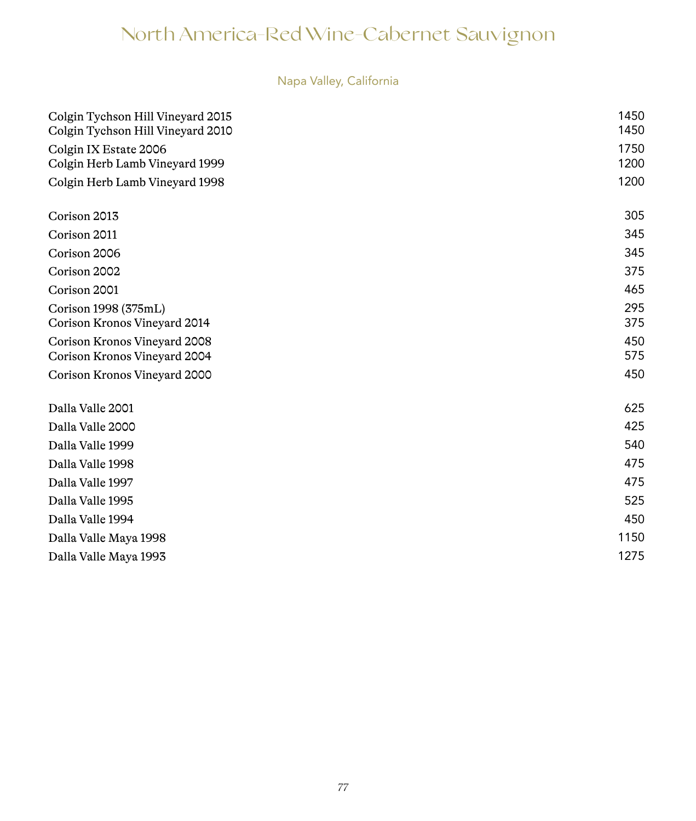# Napa Valley, California

| Colgin Tychson Hill Vineyard 2015<br>Colgin Tychson Hill Vineyard 2010 | 1450<br>1450 |
|------------------------------------------------------------------------|--------------|
| Colgin IX Estate 2006<br>Colgin Herb Lamb Vineyard 1999                | 1750<br>1200 |
| Colgin Herb Lamb Vineyard 1998                                         | 1200         |
| Corison 2013                                                           | 305          |
| Corison 2011                                                           | 345          |
| Corison 2006                                                           | 345          |
| Corison 2002                                                           | 375          |
| Corison 2001                                                           | 465          |
| Corison 1998 (375mL)                                                   | 295          |
| Corison Kronos Vineyard 2014                                           | 375          |
| Corison Kronos Vineyard 2008                                           | 450          |
| Corison Kronos Vineyard 2004                                           | 575          |
| Corison Kronos Vineyard 2000                                           | 450          |
| Dalla Valle 2001                                                       | 625          |
| Dalla Valle 2000                                                       | 425          |
| Dalla Valle 1999                                                       | 540          |
| Dalla Valle 1998                                                       | 475          |
| Dalla Valle 1997                                                       | 475          |
| Dalla Valle 1995                                                       | 525          |
| Dalla Valle 1994                                                       | 450          |
| Dalla Valle Maya 1998                                                  | 1150         |
| Dalla Valle Maya 1993                                                  | 1275         |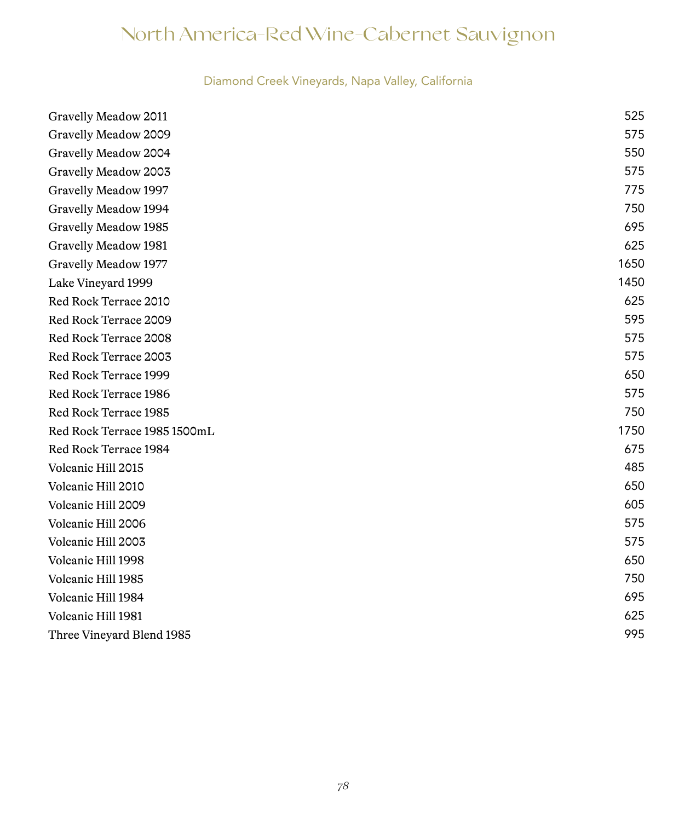# Diamond Creek Vineyards, Napa Valley, California

| Gravelly Meadow 2011         | 525  |
|------------------------------|------|
| Gravelly Meadow 2009         | 575  |
| Gravelly Meadow 2004         | 550  |
| Gravelly Meadow 2003         | 575  |
| Gravelly Meadow 1997         | 775  |
| Gravelly Meadow 1994         | 750  |
| Gravelly Meadow 1985         | 695  |
| Gravelly Meadow 1981         | 625  |
| Gravelly Meadow 1977         | 1650 |
| Lake Vineyard 1999           | 1450 |
| Red Rock Terrace 2010        | 625  |
| Red Rock Terrace 2009        | 595  |
| Red Rock Terrace 2008        | 575  |
| Red Rock Terrace 2003        | 575  |
| Red Rock Terrace 1999        | 650  |
| Red Rock Terrace 1986        | 575  |
| Red Rock Terrace 1985        | 750  |
| Red Rock Terrace 1985 1500mL | 1750 |
| Red Rock Terrace 1984        | 675  |
| Volcanic Hill 2015           | 485  |
| Volcanic Hill 2010           | 650  |
| Volcanic Hill 2009           | 605  |
| Volcanic Hill 2006           | 575  |
| Volcanic Hill 2003           | 575  |
| Volcanic Hill 1998           | 650  |
| Volcanic Hill 1985           | 750  |
| Volcanic Hill 1984           | 695  |
| Volcanic Hill 1981           | 625  |
| Three Vineyard Blend 1985    | 995  |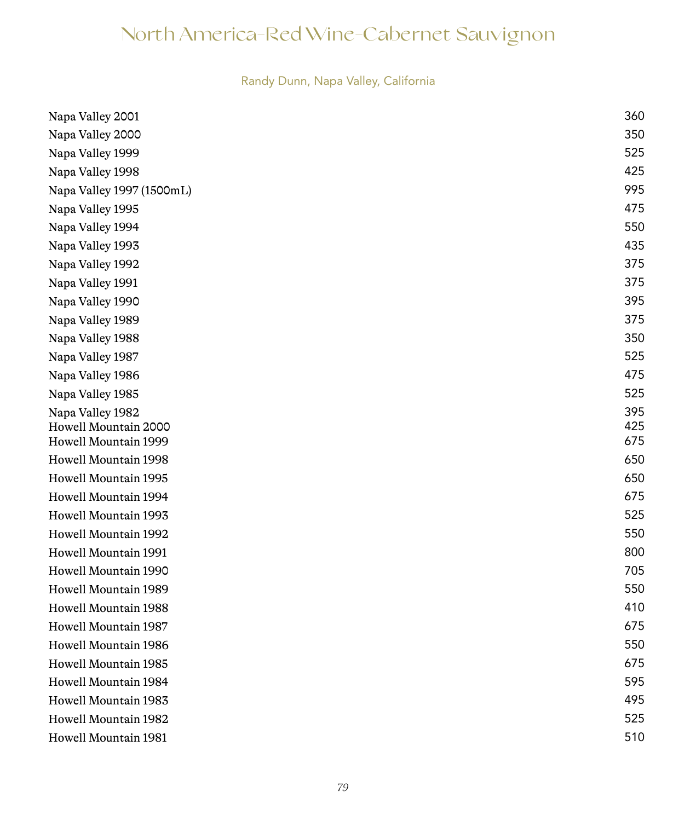# Randy Dunn, Napa Valley, California

| Napa Valley 2001          | 360 |
|---------------------------|-----|
| Napa Valley 2000          | 350 |
| Napa Valley 1999          | 525 |
| Napa Valley 1998          | 425 |
| Napa Valley 1997 (1500mL) | 995 |
| Napa Valley 1995          | 475 |
| Napa Valley 1994          | 550 |
| Napa Valley 1993          | 435 |
| Napa Valley 1992          | 375 |
| Napa Valley 1991          | 375 |
| Napa Valley 1990          | 395 |
| Napa Valley 1989          | 375 |
| Napa Valley 1988          | 350 |
| Napa Valley 1987          | 525 |
| Napa Valley 1986          | 475 |
| Napa Valley 1985          | 525 |
| Napa Valley 1982          | 395 |
| Howell Mountain 2000      | 425 |
| Howell Mountain 1999      | 675 |
| Howell Mountain 1998      | 650 |
| Howell Mountain 1995      | 650 |
| Howell Mountain 1994      | 675 |
| Howell Mountain 1993      | 525 |
| Howell Mountain 1992      | 550 |
| Howell Mountain 1991      | 800 |
| Howell Mountain 1990      | 705 |
| Howell Mountain 1989      | 550 |
| Howell Mountain 1988      | 410 |
| Howell Mountain 1987      | 675 |
| Howell Mountain 1986      | 550 |
| Howell Mountain 1985      | 675 |
| Howell Mountain 1984      | 595 |
| Howell Mountain 1983      | 495 |
| Howell Mountain 1982      | 525 |
| Howell Mountain 1981      | 510 |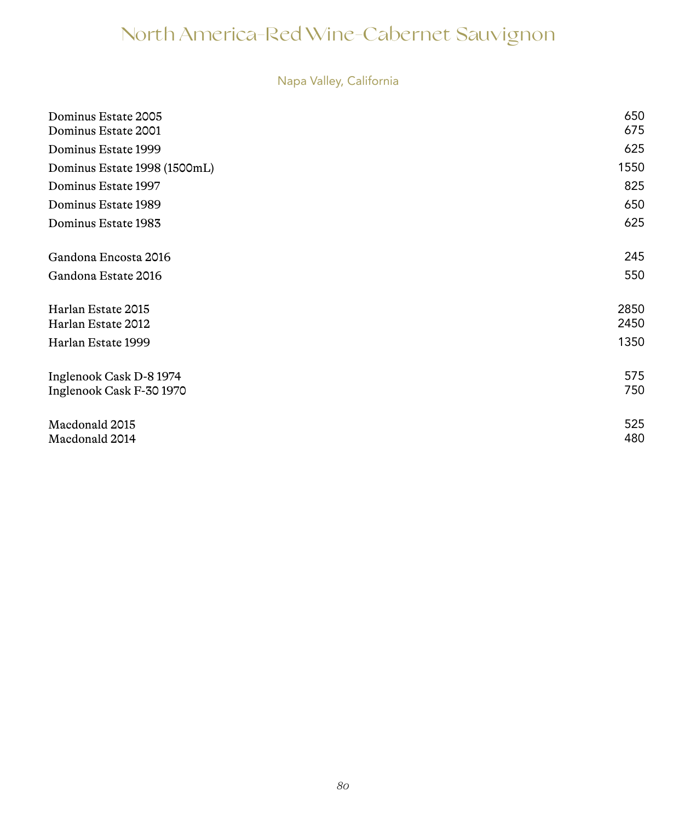# Napa Valley, California

| Dominus Estate 2005<br>Dominus Estate 2001          | 650<br>675   |
|-----------------------------------------------------|--------------|
| Dominus Estate 1999                                 | 625          |
| Dominus Estate 1998 (1500mL)                        | 1550         |
| Dominus Estate 1997                                 | 825          |
| Dominus Estate 1989                                 | 650          |
| Dominus Estate 1983                                 | 625          |
| Gandona Encosta 2016                                | 245          |
| Gandona Estate 2016                                 | 550          |
| Harlan Estate 2015<br>Harlan Estate 2012            | 2850<br>2450 |
| Harlan Estate 1999                                  | 1350         |
| Inglenook Cask D-8 1974<br>Inglenook Cask F-30 1970 | 575<br>750   |
| Macdonald 2015<br>Macdonald 2014                    | 525<br>480   |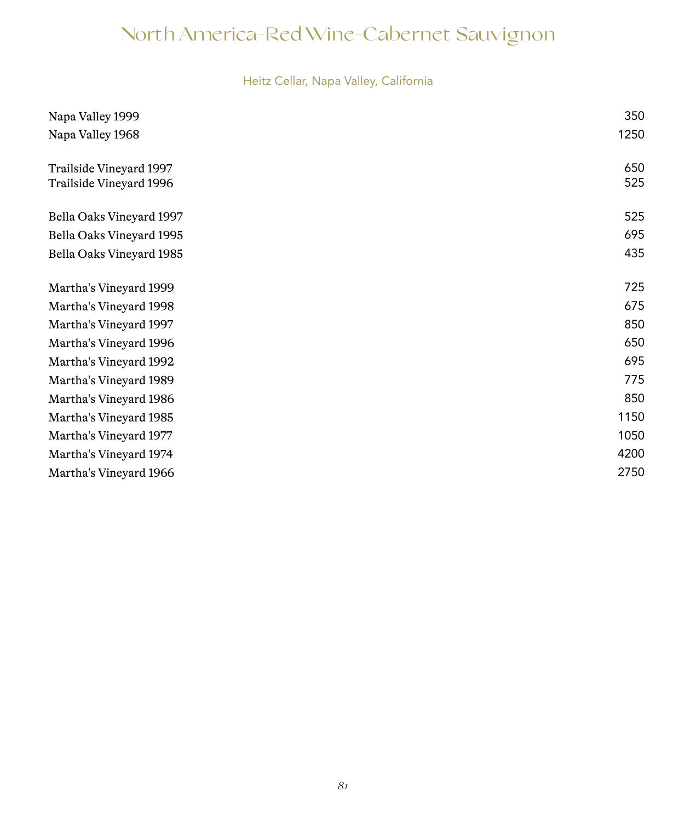# Heitz Cellar, Napa Valley, California

| Napa Valley 1999         | 350  |
|--------------------------|------|
| Napa Valley 1968         | 1250 |
| Trailside Vineyard 1997  | 650  |
| Trailside Vineyard 1996  | 525  |
| Bella Oaks Vineyard 1997 | 525  |
| Bella Oaks Vineyard 1995 | 695  |
| Bella Oaks Vineyard 1985 | 435  |
| Martha's Vineyard 1999   | 725  |
| Martha's Vineyard 1998   | 675  |
| Martha's Vineyard 1997   | 850  |
| Martha's Vineyard 1996   | 650  |
| Martha's Vineyard 1992   | 695  |
| Martha's Vineyard 1989   | 775  |
| Martha's Vineyard 1986   | 850  |
| Martha's Vineyard 1985   | 1150 |
| Martha's Vineyard 1977   | 1050 |
| Martha's Vineyard 1974   | 4200 |
| Martha's Vineyard 1966   | 2750 |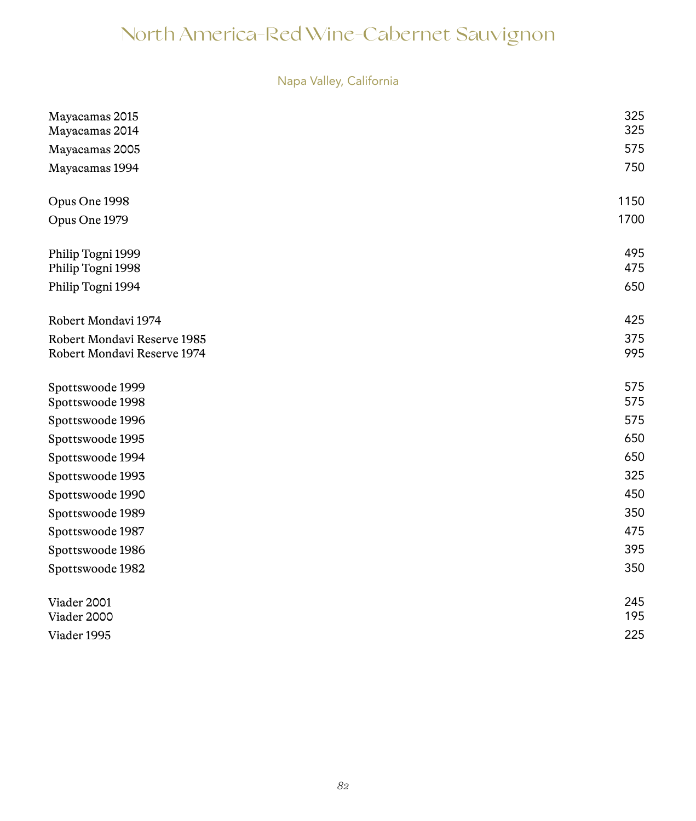| Napa Valley, California |  |  |  |
|-------------------------|--|--|--|
|                         |  |  |  |

| Mayacamas 2015              | 325  |
|-----------------------------|------|
| Mayacamas 2014              | 325  |
| Mayacamas 2005              | 575  |
| Mayacamas 1994              | 750  |
| Opus One 1998               | 1150 |
|                             | 1700 |
| Opus One 1979               |      |
| Philip Togni 1999           | 495  |
| Philip Togni 1998           | 475  |
| Philip Togni 1994           | 650  |
| Robert Mondavi 1974         | 425  |
| Robert Mondavi Reserve 1985 | 375  |
| Robert Mondavi Reserve 1974 | 995  |
|                             |      |
| Spottswoode 1999            | 575  |
| Spottswoode 1998            | 575  |
| Spottswoode 1996            | 575  |
| Spottswoode 1995            | 650  |
| Spottswoode 1994            | 650  |
| Spottswoode 1993            | 325  |
| Spottswoode 1990            | 450  |
| Spottswoode 1989            | 350  |
| Spottswoode 1987            | 475  |
| Spottswoode 1986            | 395  |
|                             |      |
| Spottswoode 1982            | 350  |
|                             | 245  |
| Viader 2001<br>Viader 2000  | 195  |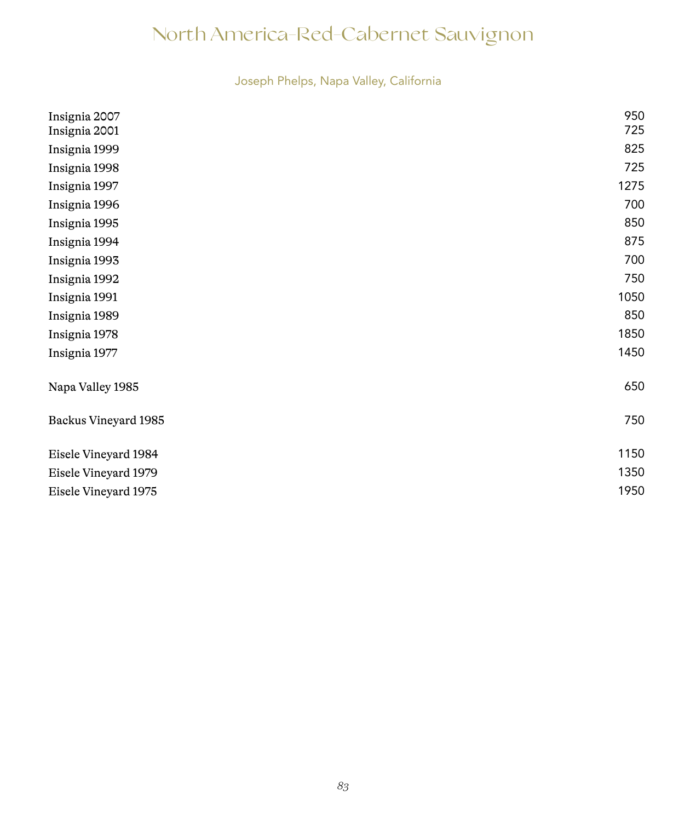Joseph Phelps, Napa Valley, California

| Insignia 2007        | 950  |
|----------------------|------|
| Insignia 2001        | 725  |
| Insignia 1999        | 825  |
| Insignia 1998        | 725  |
| Insignia 1997        | 1275 |
| Insignia 1996        | 700  |
| Insignia 1995        | 850  |
| Insignia 1994        | 875  |
| Insignia 1993        | 700  |
| Insignia 1992        | 750  |
| Insignia 1991        | 1050 |
| Insignia 1989        | 850  |
| Insignia 1978        | 1850 |
| Insignia 1977        | 1450 |
| Napa Valley 1985     | 650  |
| Backus Vineyard 1985 | 750  |
| Eisele Vineyard 1984 | 1150 |
| Eisele Vineyard 1979 | 1350 |
| Eisele Vineyard 1975 | 1950 |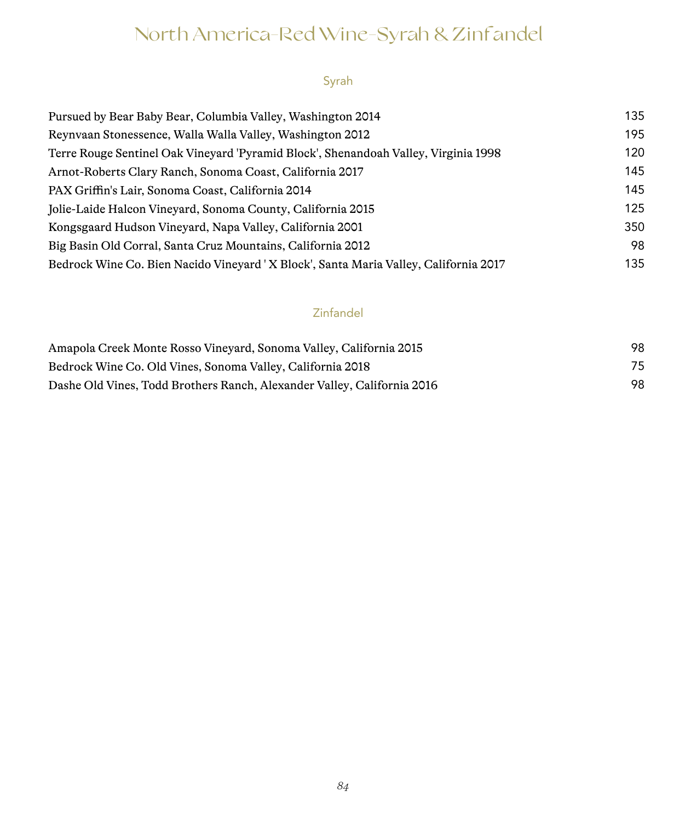# North America-Red Wine-Syrah & Zinfandel

# Syrah

| Pursued by Bear Baby Bear, Columbia Valley, Washington 2014                          | 135 |
|--------------------------------------------------------------------------------------|-----|
| Reynvaan Stonessence, Walla Walla Valley, Washington 2012                            | 195 |
| Terre Rouge Sentinel Oak Vineyard 'Pyramid Block', Shenandoah Valley, Virginia 1998  | 120 |
| Arnot-Roberts Clary Ranch, Sonoma Coast, California 2017                             | 145 |
| PAX Griffin's Lair, Sonoma Coast, California 2014                                    | 145 |
| Jolie-Laide Halcon Vineyard, Sonoma County, California 2015                          | 125 |
| Kongsgaard Hudson Vineyard, Napa Valley, California 2001                             | 350 |
| Big Basin Old Corral, Santa Cruz Mountains, California 2012                          | 98  |
| Bedrock Wine Co. Bien Nacido Vineyard 'X Block', Santa Maria Valley, California 2017 | 135 |

# Zinfandel

| Amapola Creek Monte Rosso Vineyard, Sonoma Valley, California 2015      | 98 |
|-------------------------------------------------------------------------|----|
| Bedrock Wine Co. Old Vines, Sonoma Valley, California 2018              | 75 |
| Dashe Old Vines, Todd Brothers Ranch, Alexander Valley, California 2016 | 98 |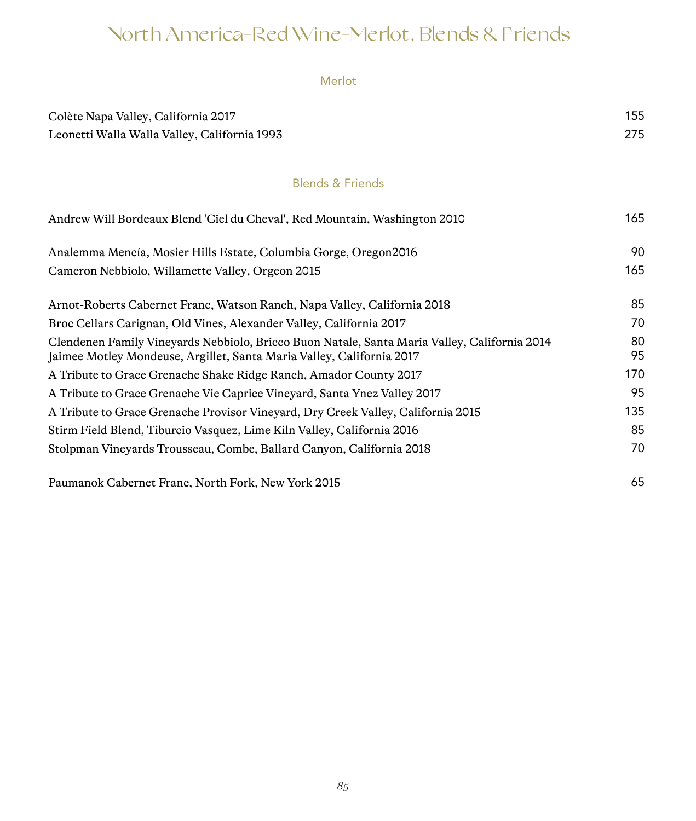# North America-Red Wine-Merlot, Blends & Friends

Merlot

| Colète Napa Valley, California 2017<br>Leonetti Walla Walla Valley, California 1993                                                                                   | 155<br>275 |
|-----------------------------------------------------------------------------------------------------------------------------------------------------------------------|------------|
| <b>Blends &amp; Friends</b>                                                                                                                                           |            |
| Andrew Will Bordeaux Blend 'Ciel du Cheval', Red Mountain, Washington 2010                                                                                            | 165        |
| Analemma Mencía, Mosier Hills Estate, Columbia Gorge, Oregon 2016                                                                                                     | 90         |
| Cameron Nebbiolo, Willamette Valley, Orgeon 2015                                                                                                                      | 165        |
| Arnot-Roberts Cabernet Franc, Watson Ranch, Napa Valley, California 2018                                                                                              | 85         |
| Broc Cellars Carignan, Old Vines, Alexander Valley, California 2017                                                                                                   | 70         |
| Clendenen Family Vineyards Nebbiolo, Bricco Buon Natale, Santa Maria Valley, California 2014<br>Jaimee Motley Mondeuse, Argillet, Santa Maria Valley, California 2017 | 80<br>95   |
| A Tribute to Grace Grenache Shake Ridge Ranch, Amador County 2017                                                                                                     | 170        |
| A Tribute to Grace Grenache Vie Caprice Vineyard, Santa Ynez Valley 2017                                                                                              | 95         |
| A Tribute to Grace Grenache Provisor Vineyard, Dry Creek Valley, California 2015                                                                                      | 135        |
| Stirm Field Blend, Tiburcio Vasquez, Lime Kiln Valley, California 2016                                                                                                | 85         |
| Stolpman Vineyards Trousseau, Combe, Ballard Canyon, California 2018                                                                                                  | 70         |
| Paumanok Cabernet Franc, North Fork, New York 2015                                                                                                                    | 65         |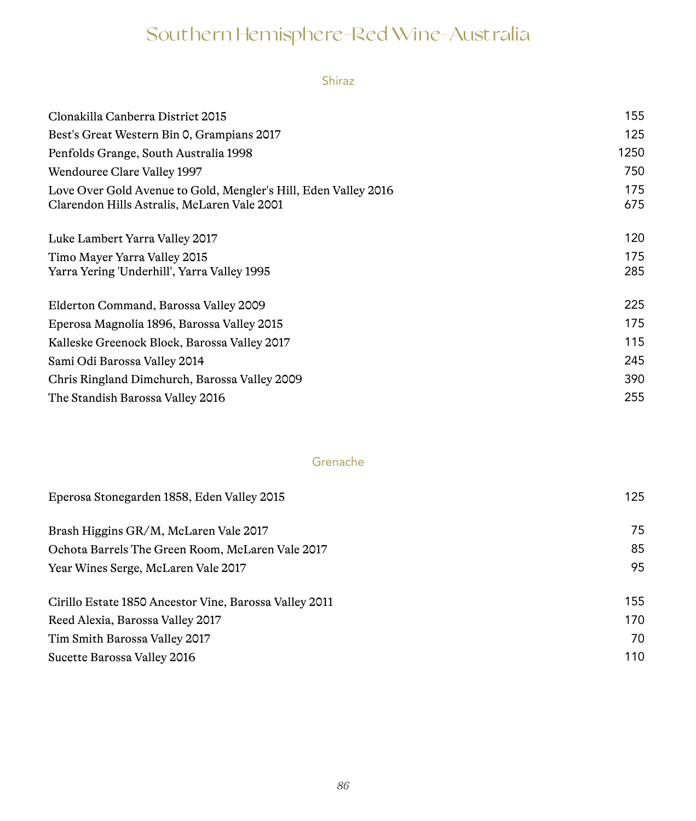# Southern Hemisphere-Red Wine-Australia

Shiraz

| Clonakilla Canberra District 2015                                                                              | 155        |
|----------------------------------------------------------------------------------------------------------------|------------|
| Best's Great Western Bin 0, Grampians 2017                                                                     | 125        |
| Penfolds Grange, South Australia 1998                                                                          | 1250       |
| Wendouree Clare Valley 1997                                                                                    | 750        |
| Love Over Gold Avenue to Gold, Mengler's Hill, Eden Valley 2016<br>Clarendon Hills Astralis, McLaren Vale 2001 | 175<br>675 |
| Luke Lambert Yarra Valley 2017                                                                                 | 120        |
| Timo Mayer Yarra Valley 2015                                                                                   | 175        |
| Yarra Yering 'Underhill', Yarra Valley 1995                                                                    | 285        |
| Elderton Command, Barossa Valley 2009                                                                          | 225        |
| Eperosa Magnolia 1896, Barossa Valley 2015                                                                     | 175        |
| Kalleske Greenock Block, Barossa Valley 2017                                                                   | 115        |
| Sami Odi Barossa Valley 2014                                                                                   | 245        |
| Chris Ringland Dimchurch, Barossa Valley 2009                                                                  | 390        |
| The Standish Barossa Valley 2016                                                                               | 255        |
|                                                                                                                |            |

## Grenache

| Eperosa Stonegarden 1858, Eden Valley 2015             | 125 |
|--------------------------------------------------------|-----|
| Brash Higgins GR/M, McLaren Vale 2017                  | 75  |
| Ochota Barrels The Green Room, McLaren Vale 2017       | 85  |
| Year Wines Serge, McLaren Vale 2017                    | 95  |
| Cirillo Estate 1850 Ancestor Vine, Barossa Valley 2011 | 155 |
| Reed Alexia, Barossa Valley 2017                       | 170 |
| Tim Smith Barossa Valley 2017                          | 70  |
| Sucette Barossa Valley 2016                            | 110 |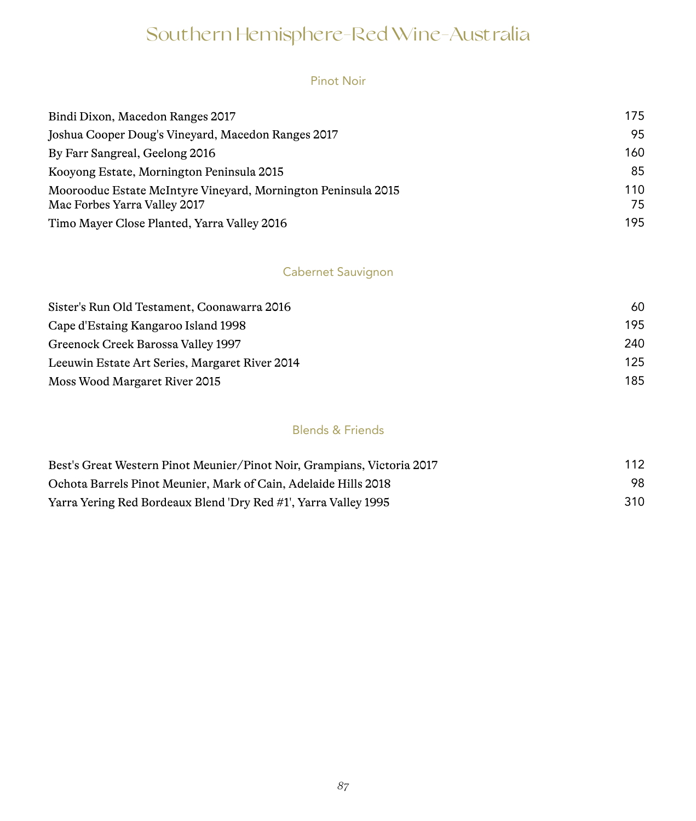# Southern Hemisphere-Red Wine-Australia

#### Pinot Noir

| Bindi Dixon, Macedon Ranges 2017                                                              | 175       |
|-----------------------------------------------------------------------------------------------|-----------|
| Joshua Cooper Doug's Vineyard, Macedon Ranges 2017                                            | 95        |
| By Farr Sangreal, Geelong 2016                                                                | 160       |
| Kooyong Estate, Mornington Peninsula 2015                                                     | 85        |
| Moorooduc Estate McIntyre Vineyard, Mornington Peninsula 2015<br>Mac Forbes Yarra Valley 2017 | 110<br>75 |
| Timo Mayer Close Planted, Yarra Valley 2016                                                   | 195       |

# Cabernet Sauvignon

| Sister's Run Old Testament, Coonawarra 2016    | 60  |
|------------------------------------------------|-----|
| Cape d'Estaing Kangaroo Island 1998            | 195 |
| Greenock Creek Barossa Valley 1997             | 240 |
| Leeuwin Estate Art Series, Margaret River 2014 | 125 |
| Moss Wood Margaret River 2015                  | 185 |

## Blends & Friends

| Best's Great Western Pinot Meunier/Pinot Noir, Grampians, Victoria 2017 | 112 |
|-------------------------------------------------------------------------|-----|
| Ochota Barrels Pinot Meunier, Mark of Cain, Adelaide Hills 2018         | 98. |
| Yarra Yering Red Bordeaux Blend 'Dry Red #1', Yarra Valley 1995         | 310 |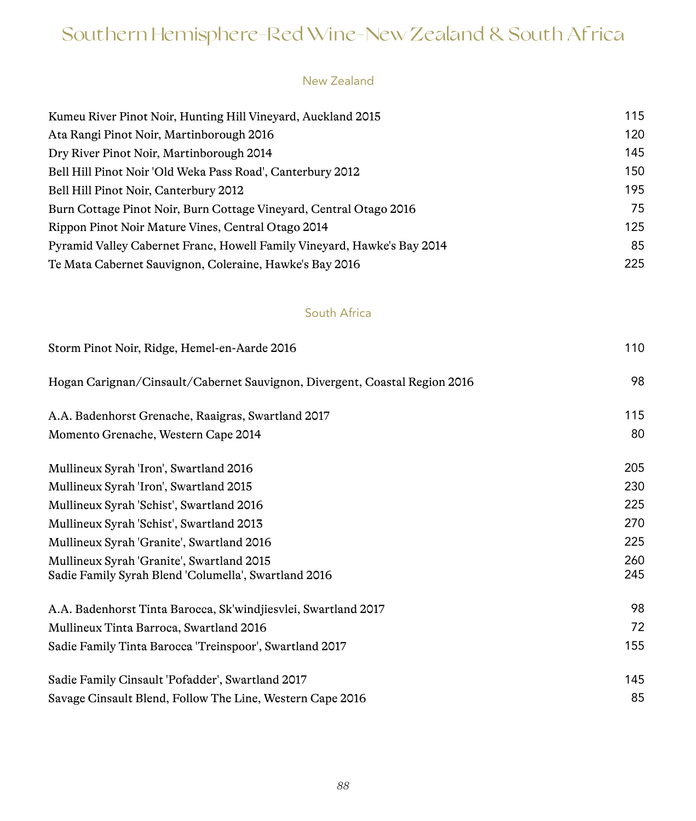# Southern Hemisphere-Red Wine-New Zealand & South Africa

#### New Zealand

| Kumeu River Pinot Noir, Hunting Hill Vinevard, Auckland 2015            | 115 |
|-------------------------------------------------------------------------|-----|
| Ata Rangi Pinot Noir, Martinborough 2016                                | 120 |
| Dry River Pinot Noir, Martinborough 2014                                | 145 |
| Bell Hill Pinot Noir 'Old Weka Pass Road', Canterbury 2012              | 150 |
| Bell Hill Pinot Noir, Canterbury 2012                                   | 195 |
| Burn Cottage Pinot Noir, Burn Cottage Vineyard, Central Otago 2016      | 75  |
| Rippon Pinot Noir Mature Vines, Central Otago 2014                      | 125 |
| Pyramid Valley Cabernet Franc, Howell Family Vineyard, Hawke's Bay 2014 | 85  |
| Te Mata Cabernet Sauvignon, Coleraine, Hawke's Bay 2016                 | 225 |

## South Africa

| Storm Pinot Noir, Ridge, Hemel-en-Aarde 2016                                                      | 110        |
|---------------------------------------------------------------------------------------------------|------------|
| Hogan Carignan/Cinsault/Cabernet Sauvignon, Divergent, Coastal Region 2016                        | 98         |
| A.A. Badenhorst Grenache, Raaigras, Swartland 2017                                                | 115        |
| Momento Grenache, Western Cape 2014                                                               | 80         |
| Mullineux Syrah 'Iron', Swartland 2016                                                            | 205        |
| Mullineux Syrah 'Iron', Swartland 2015                                                            | 230        |
| Mullineux Syrah 'Schist', Swartland 2016                                                          | 225        |
| Mullineux Syrah 'Schist', Swartland 2013                                                          | 270        |
| Mullineux Syrah 'Granite', Swartland 2016                                                         | 225        |
| Mullineux Syrah 'Granite', Swartland 2015<br>Sadie Family Syrah Blend 'Columella', Swartland 2016 | 260<br>245 |
| A.A. Badenhorst Tinta Barocca, Sk'windjiesvlei, Swartland 2017                                    | 98         |
| Mullineux Tinta Barroca, Swartland 2016                                                           | 72         |
| Sadie Family Tinta Barocca 'Treinspoor', Swartland 2017                                           | 155        |
| Sadie Family Cinsault 'Pofadder', Swartland 2017                                                  | 145        |
| Savage Cinsault Blend, Follow The Line, Western Cape 2016                                         | 85         |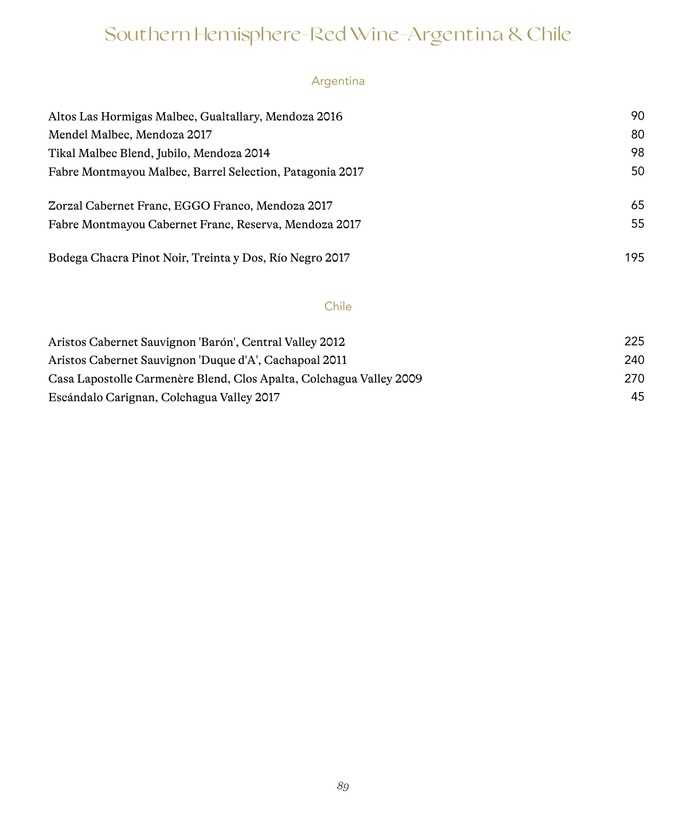# Southern Hemisphere-Red Wine-Argentina & Chile

# Argentina

| Altos Las Hormigas Malbec, Gualtallary, Mendoza 2016     | 90  |
|----------------------------------------------------------|-----|
| Mendel Malbec, Mendoza 2017                              | 80  |
| Tikal Malbec Blend, Jubilo, Mendoza 2014                 | 98  |
| Fabre Montmayou Malbec, Barrel Selection, Patagonia 2017 | 50  |
| Zorzal Cabernet Franc, EGGO Franco, Mendoza 2017         | 65  |
| Fabre Montmayou Cabernet Franc, Reserva, Mendoza 2017    | 55  |
| Bodega Chacra Pinot Noir, Treinta y Dos, Río Negro 2017  | 195 |

## Chile

| Aristos Cabernet Sauvignon 'Barón', Central Valley 2012             | 225 |
|---------------------------------------------------------------------|-----|
| Aristos Cabernet Sauvignon 'Duque d'A', Cachapoal 2011              | 240 |
| Casa Lapostolle Carmenère Blend, Clos Apalta, Colchagua Valley 2009 | 270 |
| Escándalo Carignan, Colchagua Valley 2017                           | 45  |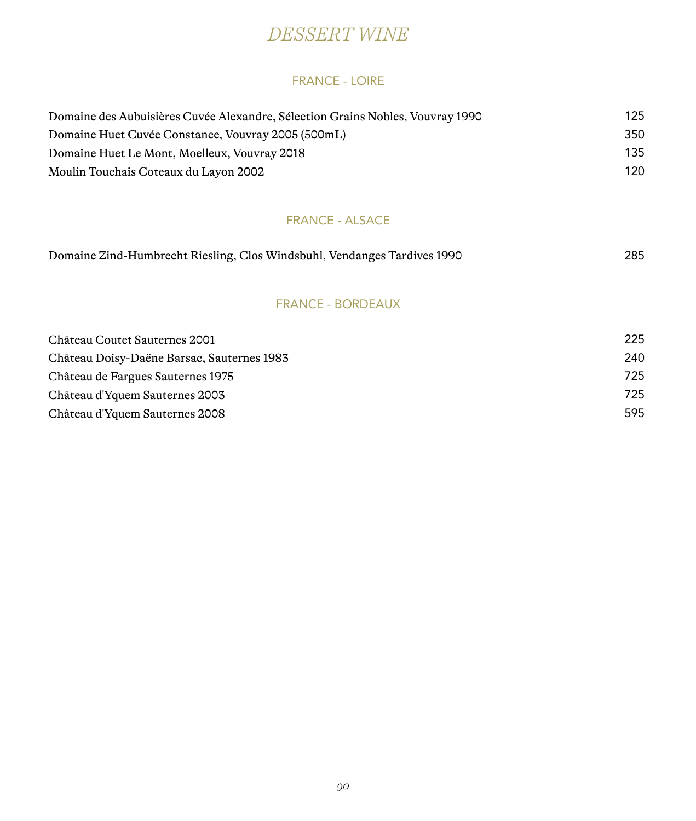# *DESSERT WINE*

#### FRANCE - LOIRE

| Domaine des Aubuisières Cuvée Alexandre, Sélection Grains Nobles, Vouvray 1990 | 125 |
|--------------------------------------------------------------------------------|-----|
| Domaine Huet Cuvée Constance, Vouvray 2005 (500mL)                             | 350 |
| Domaine Huet Le Mont, Moelleux, Vouvray 2018                                   | 135 |
| Moulin Touchais Coteaux du Layon 2002                                          | 120 |

#### FRANCE - ALSACE

| Domaine Zind-Humbrecht Riesling, Clos Windsbuhl, Vendanges Tardives 1990 |  | 285 |
|--------------------------------------------------------------------------|--|-----|

#### FRANCE - BORDEAUX

| Château Coutet Sauternes 2001              | 225  |
|--------------------------------------------|------|
| Château Doisy-Daëne Barsac, Sauternes 1983 | 240  |
| Château de Fargues Sauternes 1975          | 725. |
| Château d'Yquem Sauternes 2003             | 725. |
| Château d'Yquem Sauternes 2008             | 595  |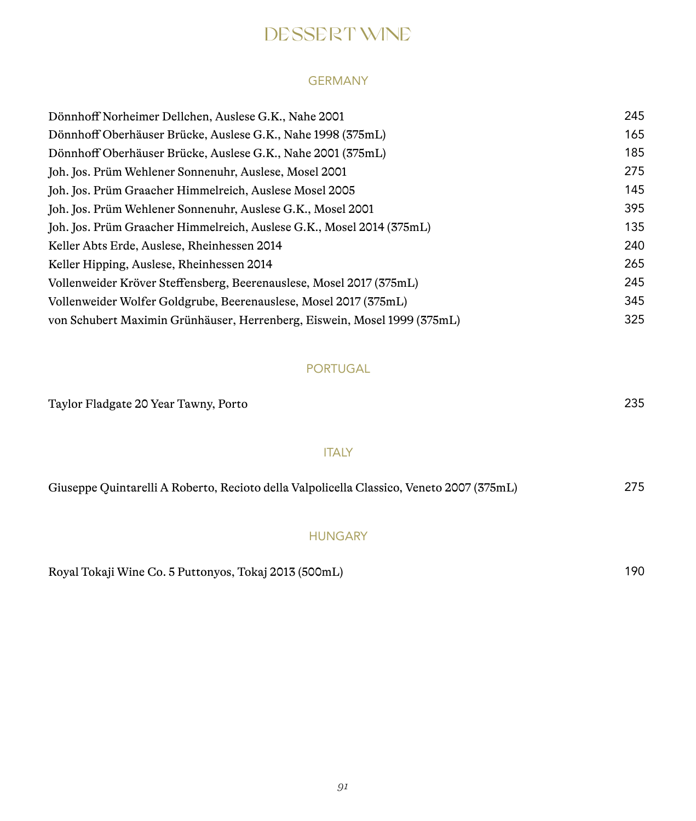# DESSERT WINE

#### GERMANY

| Dönnhoff Norheimer Dellchen, Auslese G.K., Nahe 2001                     | 245 |
|--------------------------------------------------------------------------|-----|
| Dönnhoff Oberhäuser Brücke, Auslese G.K., Nahe 1998 (375mL)              | 165 |
| Dönnhoff Oberhäuser Brücke, Auslese G.K., Nahe 2001 (375mL)              | 185 |
| Joh. Jos. Prüm Wehlener Sonnenuhr, Auslese, Mosel 2001                   | 275 |
| Joh. Jos. Prüm Graacher Himmelreich, Auslese Mosel 2005                  | 145 |
| Joh. Jos. Prüm Wehlener Sonnenuhr, Auslese G.K., Mosel 2001              | 395 |
| Joh. Jos. Prüm Graacher Himmelreich, Auslese G.K., Mosel 2014 (375mL)    | 135 |
| Keller Abts Erde, Auslese, Rheinhessen 2014                              | 240 |
| Keller Hipping, Auslese, Rheinhessen 2014                                | 265 |
| Vollenweider Kröver Steffensberg, Beerenauslese, Mosel 2017 (375mL)      | 245 |
| Vollenweider Wolfer Goldgrube, Beerenauslese, Mosel 2017 (375mL)         | 345 |
| von Schubert Maximin Grünhäuser, Herrenberg, Eiswein, Mosel 1999 (375mL) | 325 |

# PORTUGAL

| Taylor Fladgate 20 Year Tawny, Porto                                                     |     |
|------------------------------------------------------------------------------------------|-----|
| <b>ITALY</b>                                                                             |     |
| Giuseppe Quintarelli A Roberto, Recioto della Valpolicella Classico, Veneto 2007 (375mL) | 275 |

# HUNGARY

Royal Tokaji Wine Co. 5 Puttonyos, Tokaj 2013 (500mL) 190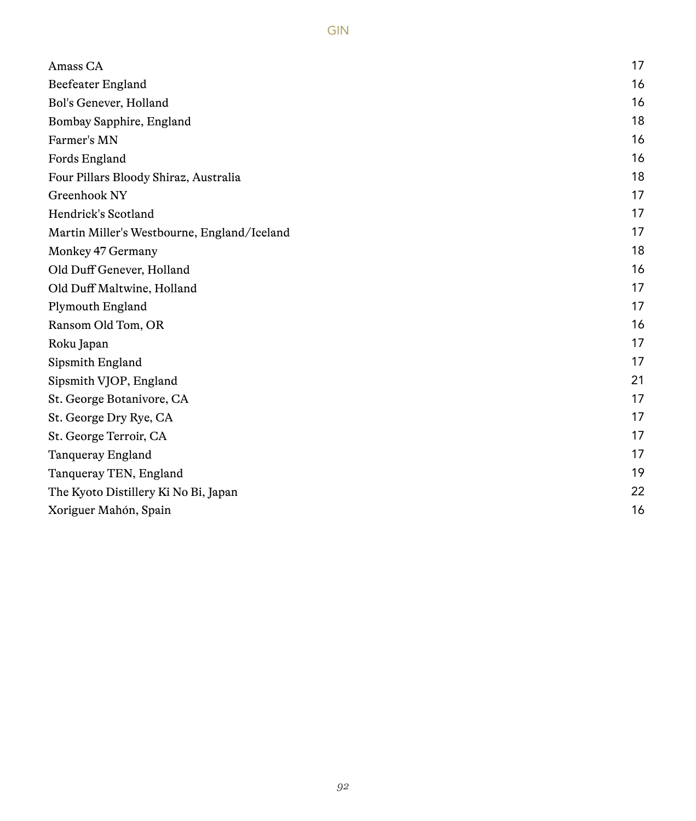| Amass CA                                    | 17 |
|---------------------------------------------|----|
| Beefeater England                           | 16 |
| Bol's Genever, Holland                      | 16 |
| Bombay Sapphire, England                    | 18 |
| Farmer's MN                                 | 16 |
| Fords England                               | 16 |
| Four Pillars Bloody Shiraz, Australia       | 18 |
| Greenhook NY                                | 17 |
| Hendrick's Scotland                         | 17 |
| Martin Miller's Westbourne, England/Iceland | 17 |
| Monkey 47 Germany                           | 18 |
| Old Duff Genever, Holland                   | 16 |
| Old Duff Maltwine, Holland                  | 17 |
| Plymouth England                            | 17 |
| Ransom Old Tom, OR                          | 16 |
| Roku Japan                                  | 17 |
| Sipsmith England                            | 17 |
| Sipsmith VJOP, England                      | 21 |
| St. George Botanivore, CA                   | 17 |
| St. George Dry Rye, CA                      | 17 |
| St. George Terroir, CA                      | 17 |
| Tangueray England                           | 17 |
| Tanqueray TEN, England                      | 19 |
| The Kyoto Distillery Ki No Bi, Japan        | 22 |
| Xoriguer Mahón, Spain                       | 16 |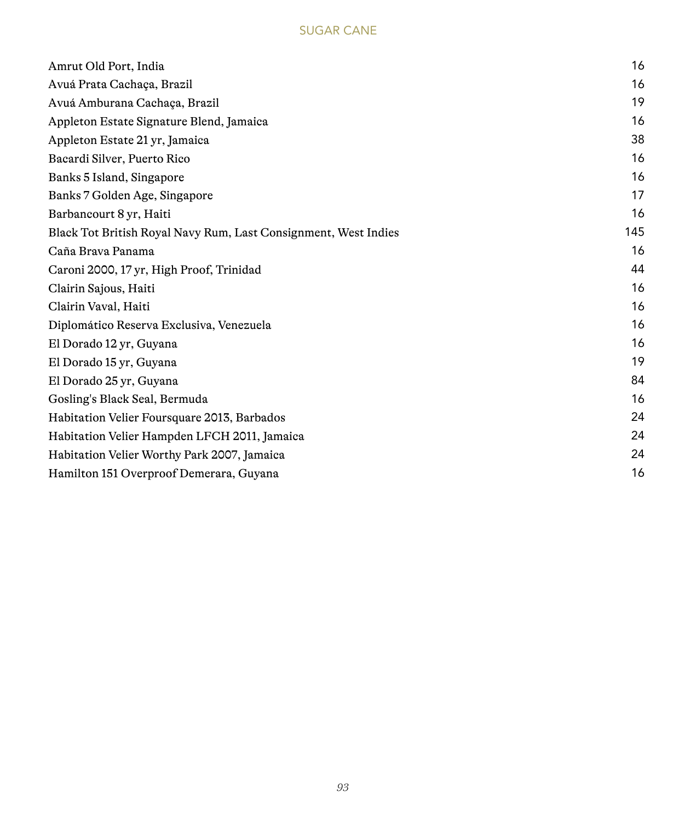## SUGAR CANE

| Amrut Old Port, India                                           | 16  |
|-----------------------------------------------------------------|-----|
| Avuá Prata Cachaca, Brazil                                      | 16  |
| Avuá Amburana Cachaca, Brazil                                   | 19  |
| Appleton Estate Signature Blend, Jamaica                        | 16  |
| Appleton Estate 21 yr, Jamaica                                  | 38  |
| Bacardi Silver, Puerto Rico                                     | 16  |
| Banks 5 Island, Singapore                                       | 16  |
| Banks 7 Golden Age, Singapore                                   | 17  |
| Barbancourt 8 yr, Haiti                                         | 16  |
| Black Tot British Royal Navy Rum, Last Consignment, West Indies | 145 |
| Caña Brava Panama                                               | 16  |
| Caroni 2000, 17 yr, High Proof, Trinidad                        | 44  |
| Clairin Sajous, Haiti                                           | 16  |
| Clairin Vaval, Haiti                                            | 16  |
| Diplomático Reserva Exclusiva, Venezuela                        | 16  |
| El Dorado 12 yr, Guyana                                         | 16  |
| El Dorado 15 yr, Guyana                                         | 19  |
| El Dorado 25 yr, Guyana                                         | 84  |
| Gosling's Black Seal, Bermuda                                   | 16  |
| Habitation Velier Foursquare 2013, Barbados                     | 24  |
| Habitation Velier Hampden LFCH 2011, Jamaica                    | 24  |
| Habitation Velier Worthy Park 2007, Jamaica                     | 24  |
| Hamilton 151 Overproof Demerara, Guyana                         | 16  |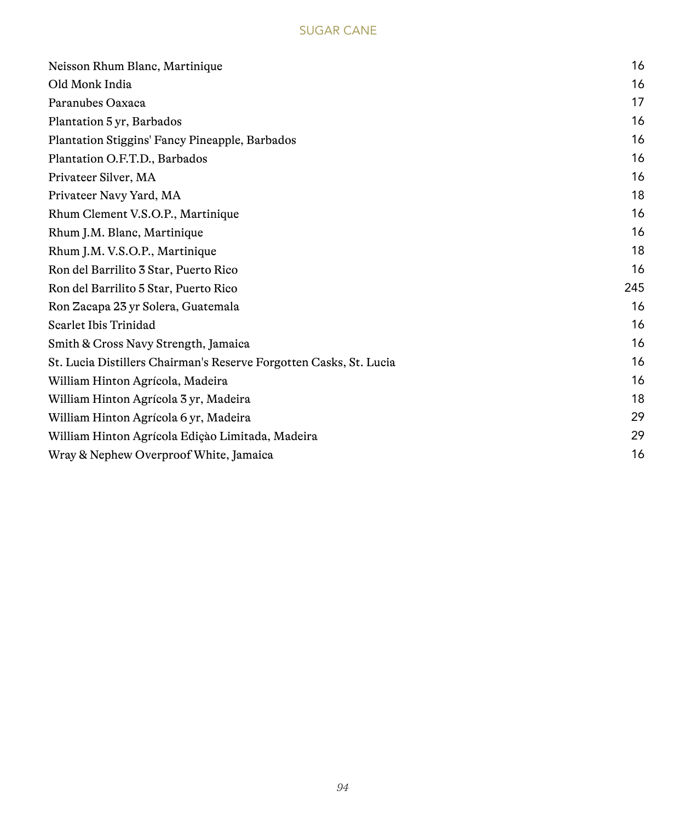## SUGAR CANE

| Neisson Rhum Blanc, Martinique                                     | 16  |
|--------------------------------------------------------------------|-----|
| Old Monk India                                                     | 16  |
| Paranubes Oaxaca                                                   | 17  |
| Plantation 5 yr, Barbados                                          | 16  |
| Plantation Stiggins' Fancy Pineapple, Barbados                     | 16  |
| Plantation O.F.T.D., Barbados                                      | 16  |
| Privateer Silver, MA                                               | 16  |
| Privateer Navy Yard, MA                                            | 18  |
| Rhum Clement V.S.O.P., Martinique                                  | 16  |
| Rhum J.M. Blanc, Martinique                                        | 16  |
| Rhum J.M. V.S.O.P., Martinique                                     | 18  |
| Ron del Barrilito 3 Star, Puerto Rico                              | 16  |
| Ron del Barrilito 5 Star, Puerto Rico                              | 245 |
| Ron Zacapa 23 yr Solera, Guatemala                                 | 16  |
| Scarlet Ibis Trinidad                                              | 16  |
| Smith & Cross Navy Strength, Jamaica                               | 16  |
| St. Lucia Distillers Chairman's Reserve Forgotten Casks, St. Lucia | 16  |
| William Hinton Agrícola, Madeira                                   | 16  |
| William Hinton Agrícola 3 yr, Madeira                              | 18  |
| William Hinton Agrícola 6 yr, Madeira                              | 29  |
| William Hinton Agrícola Edição Limitada, Madeira                   | 29  |
| Wray & Nephew Overproof White, Jamaica                             | 16  |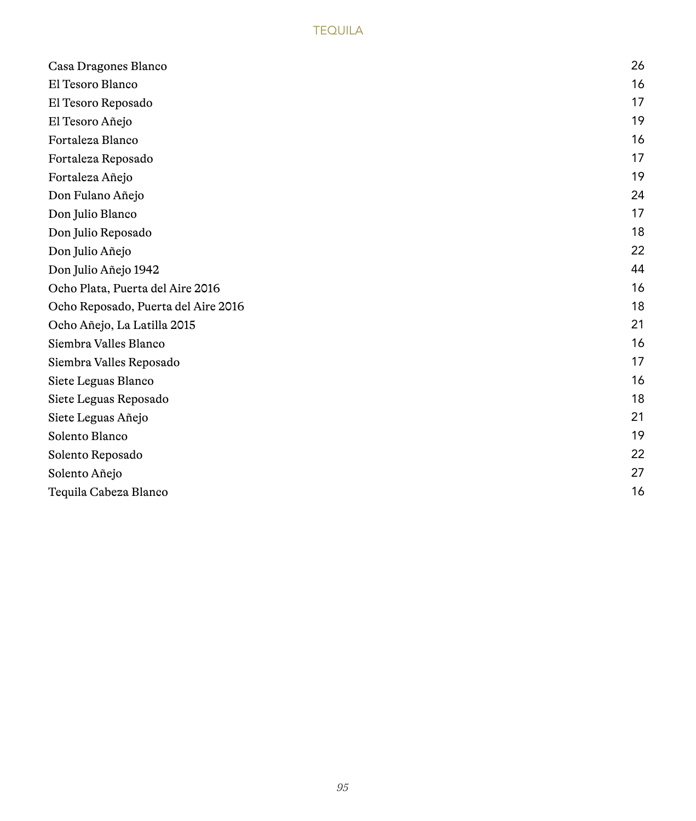## **TEQUILA**

| Casa Dragones Blanco                | 26 |
|-------------------------------------|----|
| El Tesoro Blanco                    | 16 |
| El Tesoro Reposado                  | 17 |
| El Tesoro Añejo                     | 19 |
| Fortaleza Blanco                    | 16 |
| Fortaleza Reposado                  | 17 |
| Fortaleza Añejo                     | 19 |
| Don Fulano Añejo                    | 24 |
| Don Julio Blanco                    | 17 |
| Don Julio Reposado                  | 18 |
| Don Julio Añejo                     | 22 |
| Don Julio Añejo 1942                | 44 |
| Ocho Plata, Puerta del Aire 2016    | 16 |
| Ocho Reposado, Puerta del Aire 2016 | 18 |
| Ocho Añejo, La Latilla 2015         | 21 |
| Siembra Valles Blanco               | 16 |
| Siembra Valles Reposado             | 17 |
| Siete Leguas Blanco                 | 16 |
| Siete Leguas Reposado               | 18 |
| Siete Leguas Añejo                  | 21 |
| Solento Blanco                      | 19 |
| Solento Reposado                    | 22 |
| Solento Añejo                       | 27 |
| Tequila Cabeza Blanco               | 16 |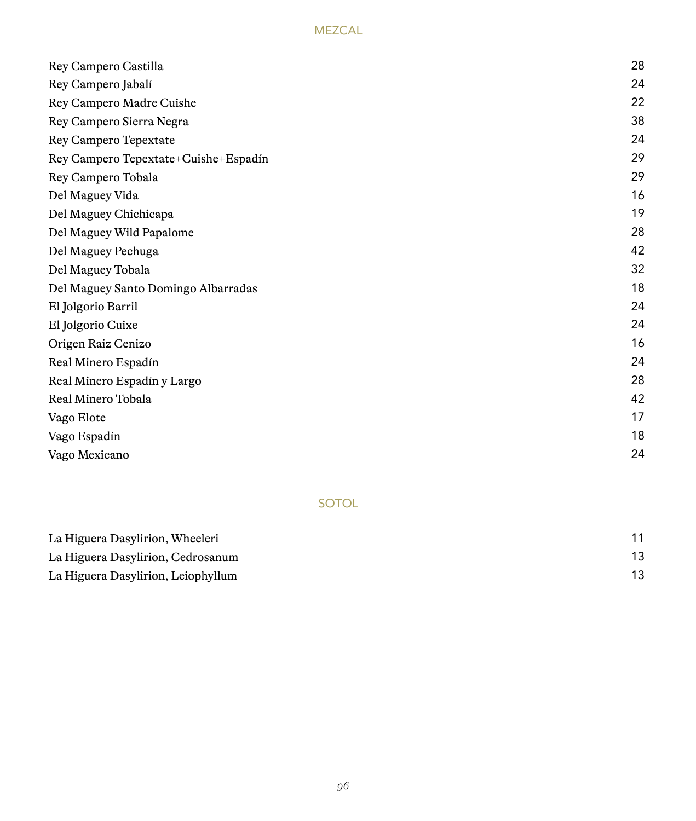## MEZCAL

| Rey Campero Castilla                 | 28 |
|--------------------------------------|----|
| Rey Campero Jabalí                   | 24 |
| Rey Campero Madre Cuishe             | 22 |
| Rey Campero Sierra Negra             | 38 |
| Rey Campero Tepextate                | 24 |
| Rey Campero Tepextate+Cuishe+Espadín | 29 |
| Rey Campero Tobala                   | 29 |
| Del Maguey Vida                      | 16 |
| Del Maguey Chichicapa                | 19 |
| Del Maguey Wild Papalome             | 28 |
| Del Maguey Pechuga                   | 42 |
| Del Maguey Tobala                    | 32 |
| Del Maguey Santo Domingo Albarradas  | 18 |
| El Jolgorio Barril                   | 24 |
| El Jolgorio Cuixe                    | 24 |
| Origen Raiz Cenizo                   | 16 |
| Real Minero Espadín                  | 24 |
| Real Minero Espadín y Largo          | 28 |
| Real Minero Tobala                   | 42 |
| Vago Elote                           | 17 |
| Vago Espadín                         | 18 |
| Vago Mexicano                        | 24 |

# SOTOL

| La Higuera Dasylirion, Wheeleri    |  |  |
|------------------------------------|--|--|
| La Higuera Dasylirion, Cedrosanum  |  |  |
| La Higuera Dasylirion, Leiophyllum |  |  |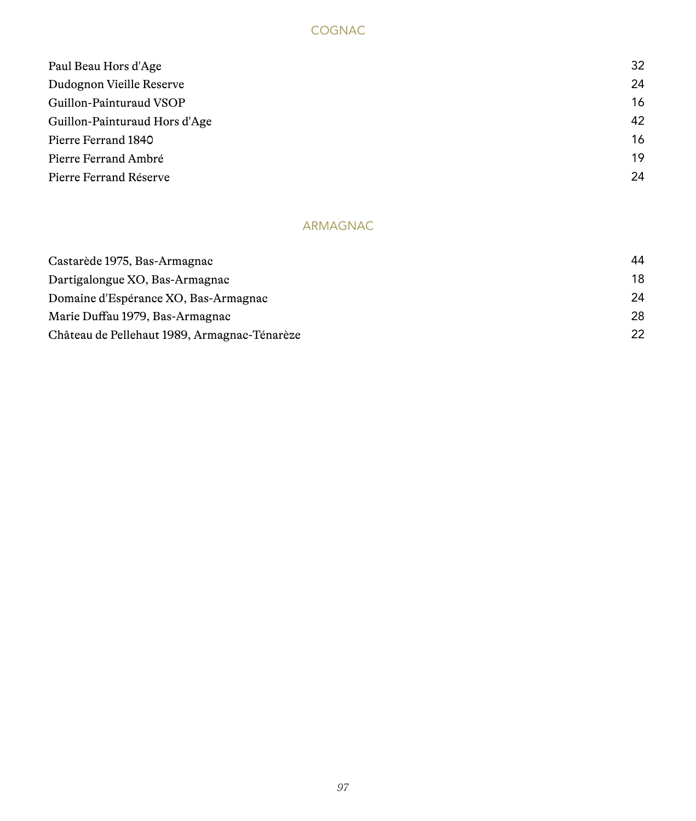## COGNAC

| Paul Beau Hors d'Age          | 32 |
|-------------------------------|----|
| Dudognon Vieille Reserve      | 24 |
| Guillon-Painturaud VSOP       | 16 |
| Guillon-Painturaud Hors d'Age | 42 |
| Pierre Ferrand 1840           | 16 |
| Pierre Ferrand Ambré          | 19 |
| Pierre Ferrand Réserve        | 24 |
|                               |    |

# ARMAGNAC

| Castarède 1975, Bas-Armagnac                 | 44 |
|----------------------------------------------|----|
| Dartigalongue XO, Bas-Armagnac               | 18 |
| Domaine d'Espérance XO, Bas-Armagnac         | 24 |
| Marie Duffau 1979, Bas-Armagnac              | 28 |
| Château de Pellehaut 1989, Armagnac-Ténarèze | 22 |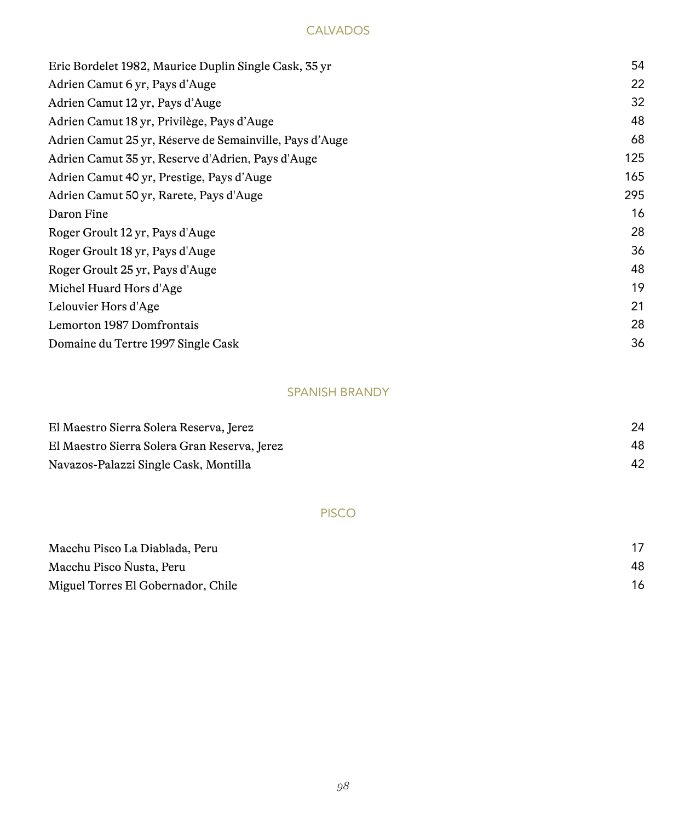#### **CALVADOS**

| Eric Bordelet 1982, Maurice Duplin Single Cask, 35 yr   | 54  |
|---------------------------------------------------------|-----|
| Adrien Camut 6 yr, Pays d'Auge                          | 22  |
| Adrien Camut 12 yr, Pays d'Auge                         | 32  |
| Adrien Camut 18 yr, Privilège, Pays d'Auge              | 48  |
| Adrien Camut 25 yr, Réserve de Semainville, Pays d'Auge | 68  |
| Adrien Camut 35 yr, Reserve d'Adrien, Pays d'Auge       | 125 |
| Adrien Camut 40 yr, Prestige, Pays d'Auge               | 165 |
| Adrien Camut 50 yr, Rarete, Pays d'Auge                 | 295 |
| Daron Fine                                              | 16  |
| Roger Groult 12 yr, Pays d'Auge                         | 28  |
| Roger Groult 18 yr, Pays d'Auge                         | 36  |
| Roger Groult 25 yr, Pays d'Auge                         | 48  |
| Michel Huard Hors d'Age                                 | 19  |
| Lelouvier Hors d'Age                                    | 21  |
| Lemorton 1987 Domfrontais                               | 28  |
| Domaine du Tertre 1997 Single Cask                      | 36  |
|                                                         |     |

# SPANISH BRANDY

| El Maestro Sierra Solera Reserva, Jerez      |    |
|----------------------------------------------|----|
| El Maestro Sierra Solera Gran Reserva, Jerez | 48 |
| Navazos-Palazzi Single Cask, Montilla        |    |

#### PISCO

| Macchu Pisco La Diablada, Peru     |    |
|------------------------------------|----|
| Macchu Pisco Ñusta, Peru           | 48 |
| Miguel Torres El Gobernador, Chile |    |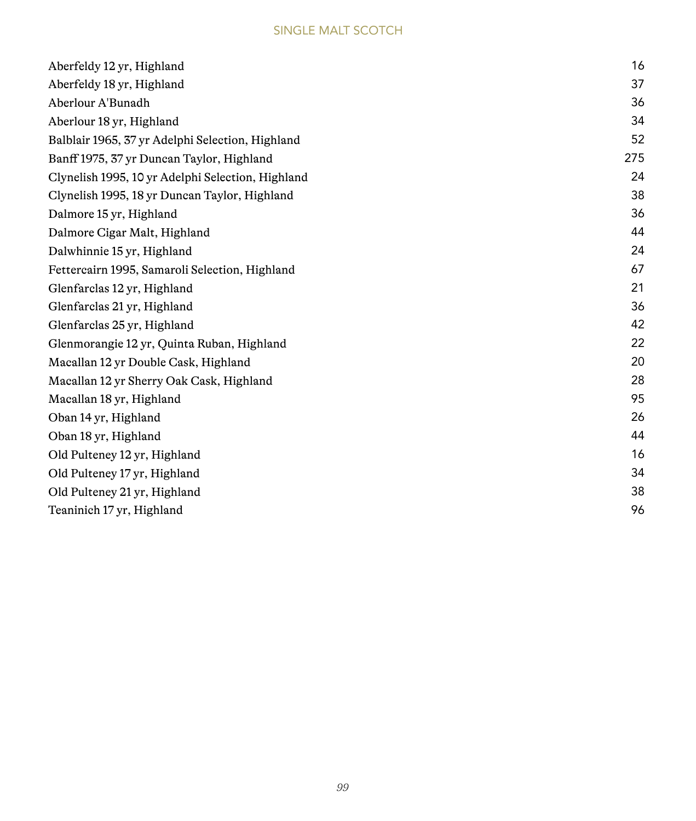| Aberfeldy 12 yr, Highland                         | 16  |
|---------------------------------------------------|-----|
|                                                   | 37  |
| Aberfeldy 18 yr, Highland                         |     |
| Aberlour A'Bunadh                                 | 36  |
| Aberlour 18 yr, Highland                          | 34  |
| Balblair 1965, 37 yr Adelphi Selection, Highland  | 52  |
| Banff 1975, 37 yr Duncan Taylor, Highland         | 275 |
| Clynelish 1995, 10 yr Adelphi Selection, Highland | 24  |
| Clynelish 1995, 18 yr Duncan Taylor, Highland     | 38  |
| Dalmore 15 yr, Highland                           | 36  |
| Dalmore Cigar Malt, Highland                      | 44  |
| Dalwhinnie 15 yr, Highland                        | 24  |
| Fettercairn 1995, Samaroli Selection, Highland    | 67  |
| Glenfarclas 12 yr, Highland                       | 21  |
| Glenfarclas 21 yr, Highland                       | 36  |
| Glenfarclas 25 yr, Highland                       | 42  |
| Glenmorangie 12 yr, Quinta Ruban, Highland        | 22  |
| Macallan 12 yr Double Cask, Highland              | 20  |
| Macallan 12 yr Sherry Oak Cask, Highland          | 28  |
| Macallan 18 yr, Highland                          | 95  |
| Oban 14 yr, Highland                              | 26  |
| Oban 18 yr, Highland                              | 44  |
| Old Pulteney 12 yr, Highland                      | 16  |
| Old Pulteney 17 yr, Highland                      | 34  |
| Old Pulteney 21 yr, Highland                      | 38  |
| Teaninich 17 yr, Highland                         | 96  |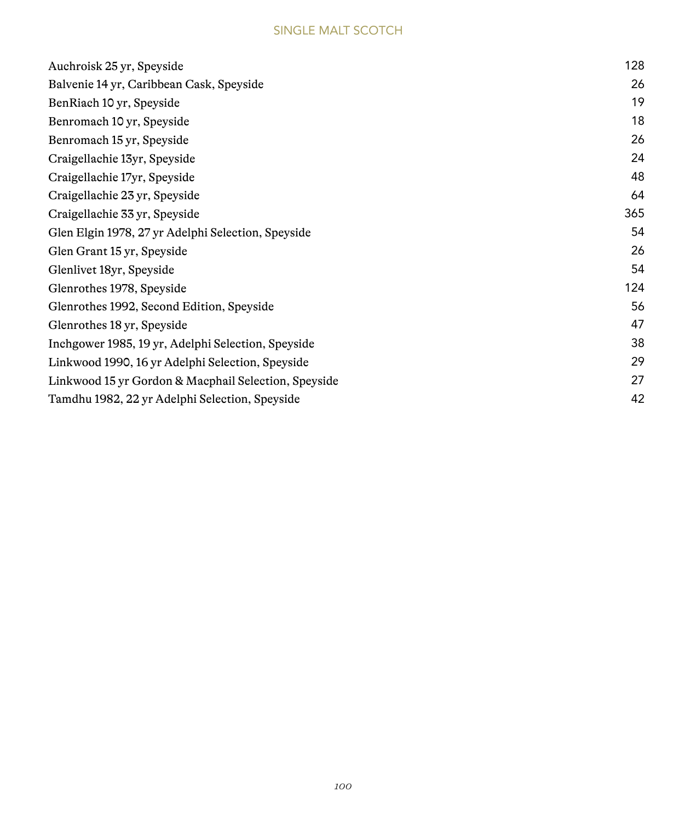| Auchroisk 25 yr, Speyside                            | 128 |
|------------------------------------------------------|-----|
| Balvenie 14 yr, Caribbean Cask, Speyside             | 26  |
| BenRiach 10 yr, Speyside                             | 19  |
| Benromach 10 yr, Speyside                            | 18  |
| Benromach 15 yr, Speyside                            | 26  |
| Craigellachie 13yr, Speyside                         | 24  |
| Craigellachie 17yr, Speyside                         | 48  |
| Craigellachie 23 yr, Speyside                        | 64  |
| Craigellachie 33 yr, Speyside                        | 365 |
| Glen Elgin 1978, 27 yr Adelphi Selection, Speyside   | 54  |
| Glen Grant 15 yr, Speyside                           | 26  |
| Glenlivet 18yr, Speyside                             | 54  |
| Glenrothes 1978, Speyside                            | 124 |
| Glenrothes 1992, Second Edition, Speyside            | 56  |
| Glenrothes 18 yr, Speyside                           | 47  |
| Inchgower 1985, 19 yr, Adelphi Selection, Speyside   | 38  |
| Linkwood 1990, 16 yr Adelphi Selection, Speyside     | 29  |
| Linkwood 15 yr Gordon & Macphail Selection, Speyside | 27  |
| Tamdhu 1982, 22 yr Adelphi Selection, Speyside       | 42  |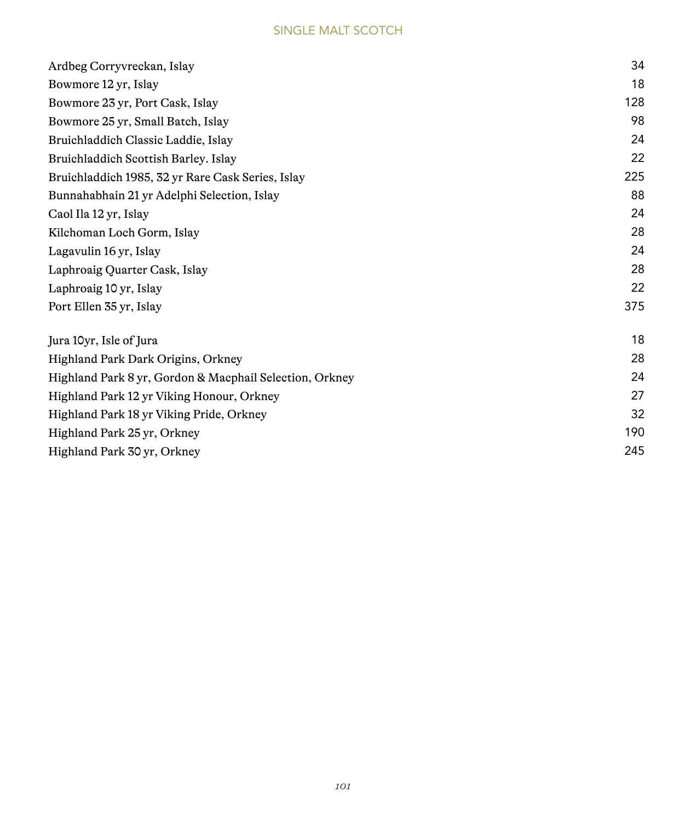| 34<br>18<br>128<br>98 |
|-----------------------|
|                       |
|                       |
|                       |
|                       |
| 24                    |
| 22                    |
| 225                   |
| 88                    |
| 24                    |
| 28                    |
| 24                    |
| 28                    |
| 22                    |
| 375                   |
| 18                    |
| 28                    |
| 24                    |
| 27                    |
| 32                    |
| 190                   |
| 245                   |
|                       |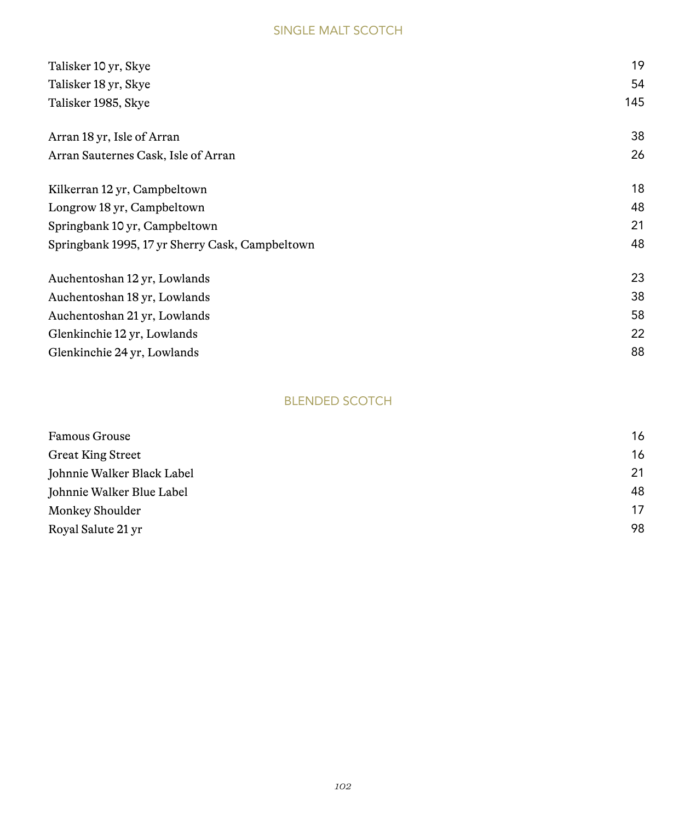| Talisker 10 yr, Skye                            | 19  |
|-------------------------------------------------|-----|
| Talisker 18 yr, Skye                            | 54  |
| Talisker 1985, Skye                             | 145 |
| Arran 18 yr, Isle of Arran                      | 38  |
| Arran Sauternes Cask, Isle of Arran             | 26  |
| Kilkerran 12 yr, Campbeltown                    | 18  |
| Longrow 18 yr, Campbeltown                      | 48  |
| Springbank 10 yr, Campbeltown                   | 21  |
| Springbank 1995, 17 yr Sherry Cask, Campbeltown | 48  |
| Auchentoshan 12 yr, Lowlands                    | 23  |
| Auchentoshan 18 yr, Lowlands                    | 38  |
| Auchentoshan 21 yr, Lowlands                    | 58  |
| Glenkinchie 12 yr, Lowlands                     | 22  |
| Glenkinchie 24 yr, Lowlands                     | 88  |

## BLENDED SCOTCH

| Famous Grouse              | 16 |
|----------------------------|----|
| <b>Great King Street</b>   | 16 |
| Johnnie Walker Black Label | 21 |
| Johnnie Walker Blue Label  | 48 |
| Monkey Shoulder            | 17 |
| Royal Salute 21 yr         | 98 |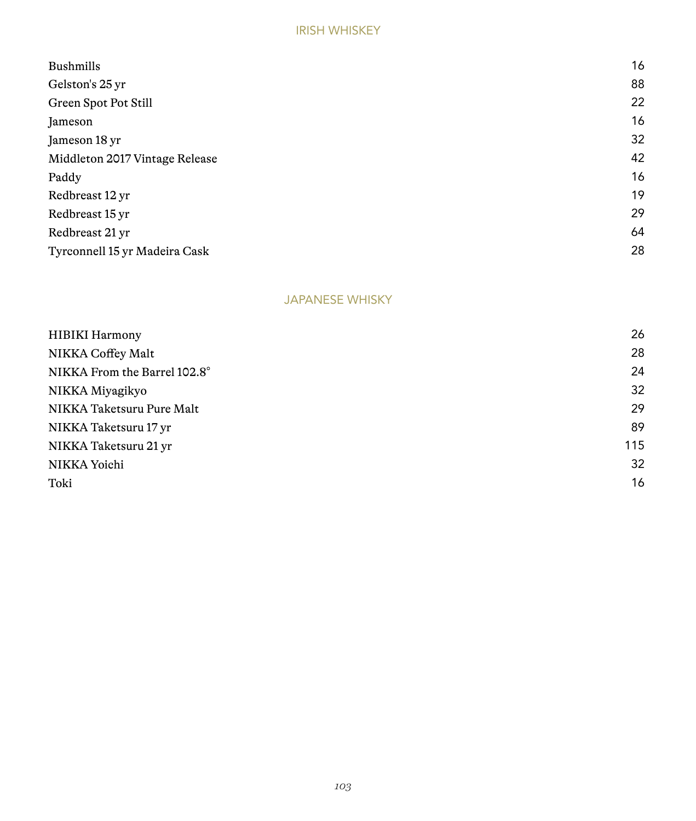#### IRISH WHISKEY

| <b>Bushmills</b>               | 16 |
|--------------------------------|----|
| Gelston's 25 yr                | 88 |
| Green Spot Pot Still           | 22 |
| Jameson                        | 16 |
| Jameson 18 yr                  | 32 |
| Middleton 2017 Vintage Release | 42 |
| Paddy                          | 16 |
| Redbreast 12 yr                | 19 |
| Redbreast 15 yr                | 29 |
| Redbreast 21 yr                | 64 |
| Tyrconnell 15 yr Madeira Cask  | 28 |
|                                |    |

## JAPANESE WHISKY

| HIBIKI Harmony               | 26  |
|------------------------------|-----|
| NIKKA Coffey Malt            | 28  |
| NIKKA From the Barrel 102.8° | 24  |
| NIKKA Miyagikyo              | 32  |
| NIKKA Taketsuru Pure Malt    | 29  |
| NIKKA Taketsuru 17 yr        | 89  |
| NIKKA Taketsuru 21 yr        | 115 |
| NIKKA Yoichi                 | 32  |
| Toki                         | 16  |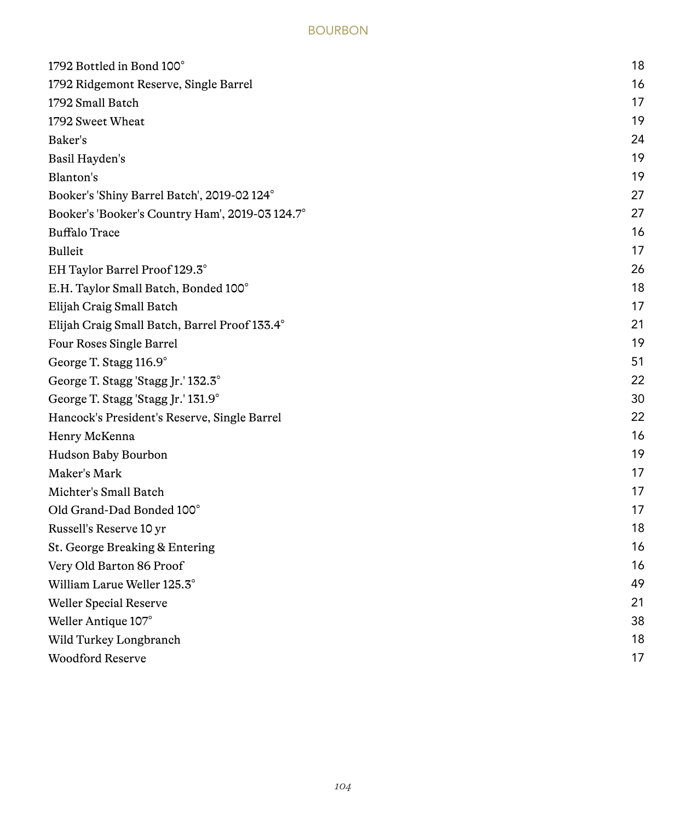## BOURBON

| 1792 Bottled in Bond 100°                       | 18 |
|-------------------------------------------------|----|
| 1792 Ridgemont Reserve, Single Barrel           | 16 |
| 1792 Small Batch                                | 17 |
| 1792 Sweet Wheat                                | 19 |
| Baker's                                         | 24 |
| Basil Hayden's                                  | 19 |
| Blanton's                                       | 19 |
| Booker's 'Shiny Barrel Batch', 2019-02 124°     | 27 |
| Booker's 'Booker's Country Ham', 2019-03 124.7° | 27 |
| <b>Buffalo Trace</b>                            | 16 |
| Bulleit                                         | 17 |
| EH Taylor Barrel Proof 129.3°                   | 26 |
| E.H. Taylor Small Batch, Bonded 100°            | 18 |
| Elijah Craig Small Batch                        | 17 |
| Elijah Craig Small Batch, Barrel Proof 133.4°   | 21 |
| Four Roses Single Barrel                        | 19 |
| George T. Stagg 116.9°                          | 51 |
| George T. Stagg 'Stagg Jr.' 132.3°              | 22 |
| George T. Stagg 'Stagg Jr.' 131.9°              | 30 |
| Hancock's President's Reserve, Single Barrel    | 22 |
| Henry McKenna                                   | 16 |
| Hudson Baby Bourbon                             | 19 |
| Maker's Mark                                    | 17 |
| Michter's Small Batch                           | 17 |
| Old Grand-Dad Bonded 100°                       | 17 |
| Russell's Reserve 10 yr                         | 18 |
| St. George Breaking & Entering                  | 16 |
| Very Old Barton 86 Proof                        | 16 |
| William Larue Weller 125.3°                     | 49 |
| Weller Special Reserve                          | 21 |
| Weller Antique 107°                             | 38 |
| Wild Turkey Longbranch                          | 18 |
| <b>Woodford Reserve</b>                         | 17 |
|                                                 |    |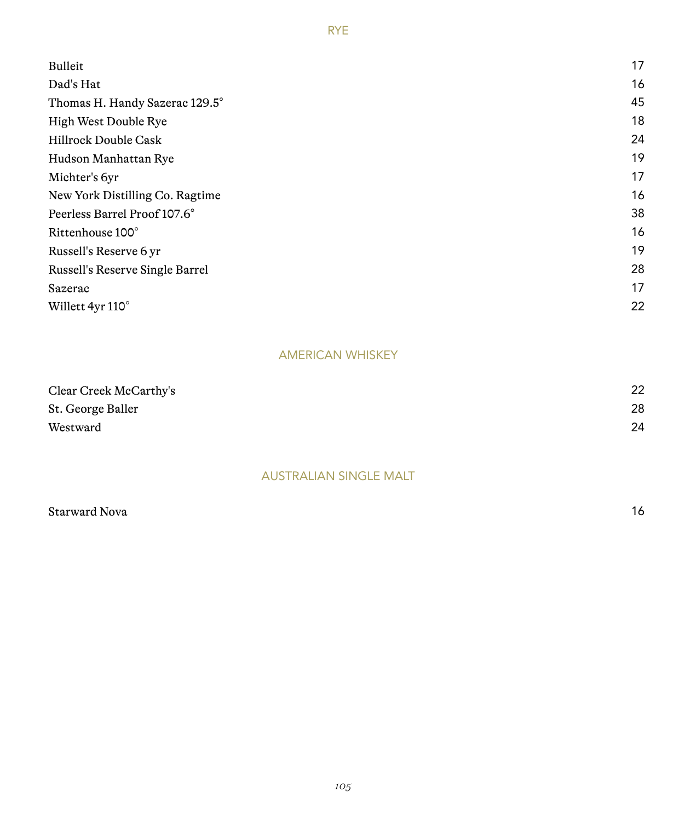| Bulleit                         | 17 |
|---------------------------------|----|
| Dad's Hat                       | 16 |
| Thomas H. Handy Sazerac 129.5°  | 45 |
| High West Double Rye            | 18 |
| Hillrock Double Cask            | 24 |
| Hudson Manhattan Rye            | 19 |
| Michter's 6yr                   | 17 |
| New York Distilling Co. Ragtime | 16 |
| Peerless Barrel Proof 107.6°    | 38 |
| Rittenhouse 100°                | 16 |
| Russell's Reserve 6 yr          | 19 |
| Russell's Reserve Single Barrel | 28 |
| Sazerac                         | 17 |
| Willett 4yr 110°                | 22 |

## AMERICAN WHISKEY

| Clear Creek McCarthy's | 22 |
|------------------------|----|
| St. George Baller      | 28 |
| Westward               | 24 |

# AUSTRALIAN SINGLE MALT

| Starward Nova | 16 |
|---------------|----|
|               |    |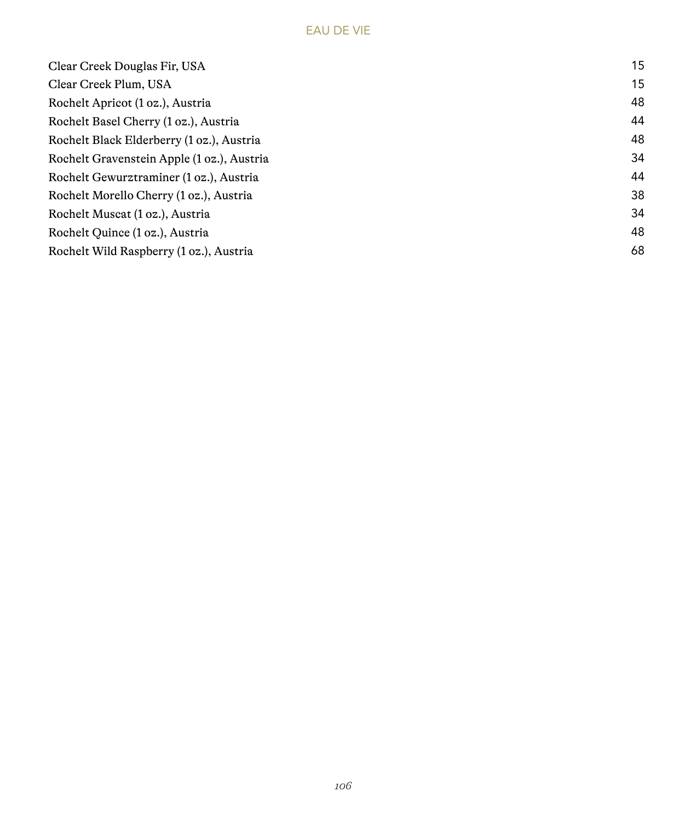# EAU DE VIE

| Clear Creek Douglas Fir, USA               | 15 |
|--------------------------------------------|----|
| Clear Creek Plum, USA                      | 15 |
| Rochelt Apricot (1 oz.), Austria           | 48 |
| Rochelt Basel Cherry (1 oz.), Austria      | 44 |
| Rochelt Black Elderberry (1 oz.), Austria  | 48 |
| Rochelt Gravenstein Apple (1 oz.), Austria | 34 |
| Rochelt Gewurztraminer (1 oz.), Austria    | 44 |
| Rochelt Morello Cherry (1 oz.), Austria    | 38 |
| Rochelt Muscat (1 oz.), Austria            | 34 |
| Rochelt Quince (1 oz.), Austria            | 48 |
| Rochelt Wild Raspberry (1 oz.), Austria    | 68 |